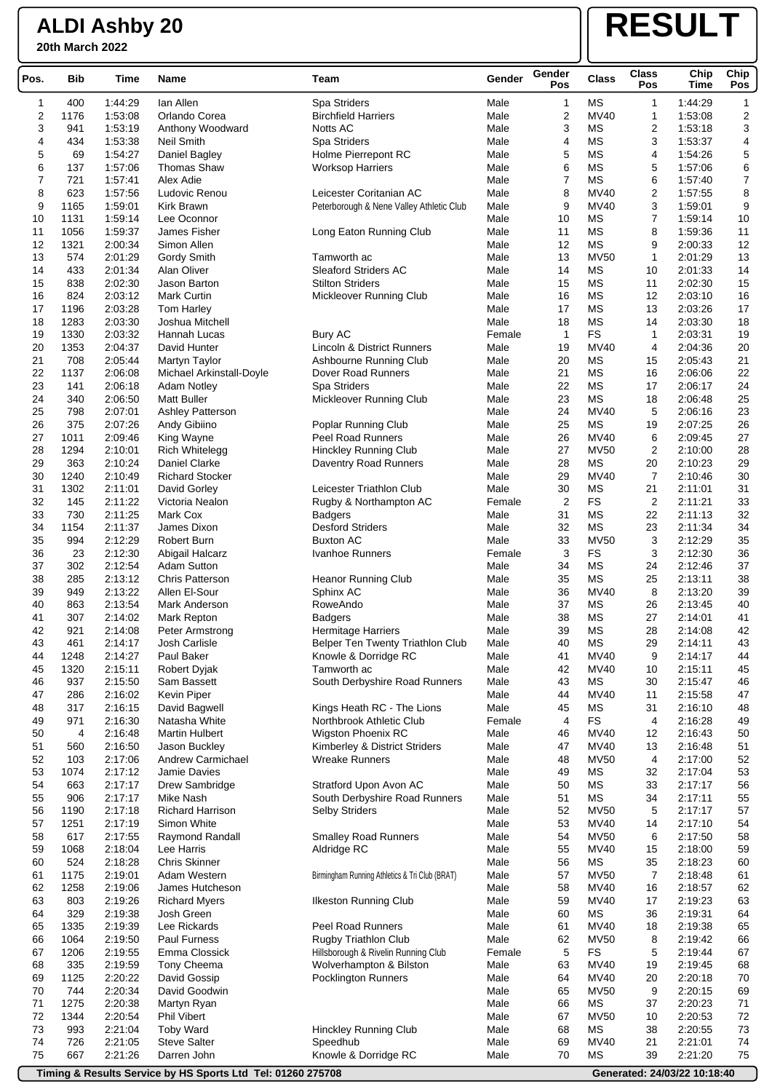**20th March 2022**

### **RESULT**

| Pos.             | <b>Bib</b>   | Time               | Name                                   | Team                                           | Gender         | Gender<br>Pos  | <b>Class</b>               | <b>Class</b><br>Pos | Chip<br><b>Time</b> | Chip<br>Pos             |
|------------------|--------------|--------------------|----------------------------------------|------------------------------------------------|----------------|----------------|----------------------------|---------------------|---------------------|-------------------------|
| $\mathbf{1}$     | 400          | 1:44:29            | Ian Allen                              | Spa Striders                                   | Male           | 1              | <b>MS</b>                  | 1                   | 1:44:29             | $\mathbf{1}$            |
| $\boldsymbol{2}$ | 1176         | 1:53:08            | Orlando Corea                          | <b>Birchfield Harriers</b>                     | Male           | 2              | <b>MV40</b>                | 1                   | 1:53:08             | $\overline{\mathbf{c}}$ |
| 3                | 941          | 1:53:19            | Anthony Woodward                       | Notts AC                                       | Male           | 3              | ΜS                         | 2                   | 1:53:18             | 3                       |
| 4                | 434          | 1:53:38            | Neil Smith                             | Spa Striders                                   | Male           | 4              | <b>MS</b>                  | 3                   | 1:53:37             | 4                       |
| 5                | 69           | 1:54:27            | Daniel Bagley                          | Holme Pierrepont RC                            | Male           | 5              | ΜS                         | 4                   | 1:54:26             | $\mathbf 5$             |
| 6                | 137          | 1:57:06            | <b>Thomas Shaw</b>                     | <b>Worksop Harriers</b>                        | Male           | 6              | <b>MS</b>                  | 5                   | 1:57:06             | 6                       |
| 7                | 721          | 1:57:41            | Alex Adie                              |                                                | Male           | $\overline{7}$ | <b>MS</b>                  | 6                   | 1:57:40             | $\overline{7}$          |
| 8                | 623          | 1:57:56            | Ludovic Renou                          | Leicester Coritanian AC                        | Male           | 8              | MV40                       | 2                   | 1:57:55             | 8                       |
| 9                | 1165         | 1:59:01<br>1:59:14 | Kirk Brawn<br>Lee Oconnor              | Peterborough & Nene Valley Athletic Club       | Male           | 9              | MV40                       | 3<br>$\overline{7}$ | 1:59:01             | 9                       |
| 10<br>11         | 1131<br>1056 | 1:59:37            | James Fisher                           | Long Eaton Running Club                        | Male<br>Male   | 10<br>11       | ΜS<br><b>MS</b>            | 8                   | 1:59:14<br>1:59:36  | 10<br>11                |
| 12               | 1321         | 2:00:34            | Simon Allen                            |                                                | Male           | 12             | <b>MS</b>                  | 9                   | 2:00:33             | 12                      |
| 13               | 574          | 2:01:29            | Gordy Smith                            | Tamworth ac                                    | Male           | 13             | <b>MV50</b>                | $\mathbf{1}$        | 2:01:29             | 13                      |
| 14               | 433          | 2:01:34            | Alan Oliver                            | <b>Sleaford Striders AC</b>                    | Male           | 14             | <b>MS</b>                  | 10                  | 2:01:33             | 14                      |
| 15               | 838          | 2:02:30            | Jason Barton                           | <b>Stilton Striders</b>                        | Male           | 15             | МS                         | 11                  | 2:02:30             | 15                      |
| 16               | 824          | 2:03:12            | <b>Mark Curtin</b>                     | Mickleover Running Club                        | Male           | 16             | <b>MS</b>                  | 12                  | 2:03:10             | 16                      |
| 17               | 1196         | 2:03:28            | <b>Tom Harley</b>                      |                                                | Male           | 17             | <b>MS</b>                  | 13                  | 2:03:26             | 17                      |
| 18               | 1283         | 2:03:30            | Joshua Mitchell                        |                                                | Male           | 18             | ΜS                         | 14                  | 2:03:30             | 18                      |
| 19               | 1330         | 2:03:32            | Hannah Lucas                           | Bury AC                                        | Female         | $\mathbf{1}$   | <b>FS</b>                  | $\mathbf{1}$        | 2:03:31             | 19                      |
| 20               | 1353         | 2:04:37            | David Hunter                           | Lincoln & District Runners                     | Male           | 19             | <b>MV40</b>                | 4                   | 2:04:36             | 20                      |
| 21               | 708          | 2:05:44            | Martyn Taylor                          | Ashbourne Running Club                         | Male           | 20             | ΜS                         | 15                  | 2:05:43             | 21                      |
| 22               | 1137         | 2:06:08            | Michael Arkinstall-Doyle               | Dover Road Runners                             | Male           | 21             | <b>MS</b>                  | 16                  | 2:06:06             | 22                      |
| 23               | 141          | 2:06:18            | <b>Adam Notley</b>                     | Spa Striders                                   | Male           | 22             | <b>MS</b>                  | 17                  | 2:06:17             | 24                      |
| 24               | 340          | 2:06:50            | <b>Matt Buller</b>                     | Mickleover Running Club                        | Male           | 23             | <b>MS</b>                  | 18                  | 2:06:48             | 25                      |
| 25               | 798          | 2:07:01            | <b>Ashley Patterson</b>                |                                                | Male           | 24             | <b>MV40</b>                | 5                   | 2:06:16             | 23                      |
| 26               | 375          | 2:07:26            | Andy Gibiino                           | Poplar Running Club                            | Male           | 25             | <b>MS</b>                  | 19                  | 2:07:25             | 26                      |
| 27               | 1011         | 2:09:46            | King Wayne                             | <b>Peel Road Runners</b>                       | Male           | 26             | MV40                       | 6                   | 2:09:45             | 27                      |
| 28               | 1294         | 2:10:01            | <b>Rich Whitelegg</b>                  | Hinckley Running Club                          | Male           | 27             | <b>MV50</b>                | 2                   | 2:10:00             | 28                      |
| 29               | 363          | 2:10:24            | <b>Daniel Clarke</b>                   | Daventry Road Runners                          | Male           | 28             | <b>MS</b>                  | 20                  | 2:10:23             | 29                      |
| 30               | 1240         | 2:10:49            | <b>Richard Stocker</b>                 |                                                | Male           | 29             | <b>MV40</b>                | $\overline{7}$      | 2:10:46             | 30                      |
| 31               | 1302         | 2:11:01            | David Gorley                           | Leicester Triathlon Club                       | Male           | 30             | <b>MS</b>                  | 21                  | 2:11:01             | 31                      |
| 32               | 145          | 2:11:22            | Victoria Nealon                        | Rugby & Northampton AC                         | Female         | 2              | <b>FS</b>                  | $\overline{c}$      | 2:11:21             | 33                      |
| 33               | 730          | 2:11:25            | Mark Cox                               | <b>Badgers</b>                                 | Male           | 31             | <b>MS</b>                  | 22                  | 2:11:13             | 32                      |
| 34               | 1154         | 2:11:37            | James Dixon                            | <b>Desford Striders</b>                        | Male           | 32             | ΜS<br><b>MV50</b>          | 23                  | 2:11:34             | 34                      |
| 35               | 994          | 2:12:29            | Robert Burn                            | <b>Buxton AC</b>                               | Male           | 33             | <b>FS</b>                  | 3                   | 2:12:29<br>2:12:30  | 35                      |
| 36<br>37         | 23<br>302    | 2:12:30<br>2:12:54 | Abigail Halcarz<br><b>Adam Sutton</b>  | Ivanhoe Runners                                | Female<br>Male | 3<br>34        | <b>MS</b>                  | 3<br>24             | 2:12:46             | 36<br>37                |
| 38               | 285          | 2:13:12            | <b>Chris Patterson</b>                 | Heanor Running Club                            | Male           | 35             | <b>MS</b>                  | 25                  | 2:13:11             | 38                      |
| 39               | 949          | 2:13:22            | Allen El-Sour                          | Sphinx AC                                      | Male           | 36             | <b>MV40</b>                | 8                   | 2:13:20             | 39                      |
| 40               | 863          | 2:13:54            | Mark Anderson                          | RoweAndo                                       | Male           | 37             | ΜS                         | 26                  | 2:13:45             | 40                      |
| 41               | 307          | 2:14:02            | <b>Mark Repton</b>                     | <b>Badgers</b>                                 | Male           | 38             | МS                         | 27                  | 2:14:01             | 41                      |
| 42               | 921          | 2:14:08            | Peter Armstrong                        | <b>Hermitage Harriers</b>                      | Male           | 39             | <b>MS</b>                  | 28                  | 2:14:08             | 42                      |
| 43               | 461          | 2:14:17            | Josh Carlisle                          | Belper Ten Twenty Triathlon Club               | Male           | 40             | <b>MS</b>                  | 29                  | 2:14:11             | 43                      |
| 44               | 1248         | 2:14:27            | Paul Baker                             | Knowle & Dorridge RC                           | Male           | 41             | <b>MV40</b>                | 9                   | 2:14:17             | 44                      |
| 45               | 1320         | 2:15:11            | Robert Dyjak                           | Tamworth ac                                    | Male           | 42             | <b>MV40</b>                | 10                  | 2:15:11             | 45                      |
| 46               | 937          | 2:15:50            | Sam Bassett                            | South Derbyshire Road Runners                  | Male           | 43             | <b>MS</b>                  | 30                  | 2:15:47             | 46                      |
| 47               | 286          | 2:16:02            | Kevin Piper                            |                                                | Male           | 44             | <b>MV40</b>                | 11                  | 2:15:58             | 47                      |
| 48               | 317          | 2:16:15            | David Bagwell                          | Kings Heath RC - The Lions                     | Male           | 45             | <b>MS</b>                  | 31                  | 2:16:10             | 48                      |
| 49               | 971          | 2:16:30            | Natasha White                          | Northbrook Athletic Club                       | Female         | 4              | FS                         | 4                   | 2:16:28             | 49                      |
| 50               | 4            | 2:16:48            | <b>Martin Hulbert</b>                  | <b>Wigston Phoenix RC</b>                      | Male           | 46             | <b>MV40</b>                | 12                  | 2:16:43             | 50                      |
| 51               | 560          | 2:16:50            | Jason Buckley                          | Kimberley & District Striders                  | Male           | 47             | <b>MV40</b>                | 13                  | 2:16:48             | 51                      |
| 52               | 103          | 2:17:06            | Andrew Carmichael                      | <b>Wreake Runners</b>                          | Male           | 48             | <b>MV50</b>                | 4                   | 2:17:00             | 52                      |
| 53               | 1074         | 2:17:12            | Jamie Davies                           |                                                | Male           | 49             | МS                         | 32                  | 2:17:04             | 53                      |
| 54               | 663          | 2:17:17            | Drew Sambridge                         | Stratford Upon Avon AC                         | Male           | 50             | MS                         | 33                  | 2:17:17             | 56                      |
| 55               | 906          | 2:17:17            | Mike Nash                              | South Derbyshire Road Runners                  | Male           | 51             | <b>MS</b>                  | 34                  | 2:17:11             | 55                      |
| 56<br>57         | 1190<br>1251 | 2:17:18<br>2:17:19 | <b>Richard Harrison</b><br>Simon White | <b>Selby Striders</b>                          | Male<br>Male   | 52<br>53       | <b>MV50</b><br><b>MV40</b> | 5<br>14             | 2:17:17<br>2:17:10  | 57<br>54                |
| 58               | 617          | 2:17:55            | Raymond Randall                        | <b>Smalley Road Runners</b>                    | Male           | 54             | <b>MV50</b>                | 6                   | 2:17:50             | 58                      |
| 59               | 1068         | 2:18:04            | Lee Harris                             | Aldridge RC                                    | Male           | 55             | <b>MV40</b>                | 15                  | 2:18:00             | 59                      |
| 60               | 524          | 2:18:28            | Chris Skinner                          |                                                | Male           | 56             | MS                         | 35                  | 2:18:23             | 60                      |
| 61               | 1175         | 2:19:01            | Adam Western                           | Birmingham Running Athletics & Tri Club (BRAT) | Male           | 57             | <b>MV50</b>                | 7                   | 2:18:48             | 61                      |
| 62               | 1258         | 2:19:06            | James Hutcheson                        |                                                | Male           | 58             | <b>MV40</b>                | 16                  | 2:18:57             | 62                      |
| 63               | 803          | 2:19:26            | <b>Richard Myers</b>                   | Ilkeston Running Club                          | Male           | 59             | <b>MV40</b>                | 17                  | 2:19:23             | 63                      |
| 64               | 329          | 2:19:38            | Josh Green                             |                                                | Male           | 60             | <b>MS</b>                  | 36                  | 2:19:31             | 64                      |
| 65               | 1335         | 2:19:39            | Lee Rickards                           | Peel Road Runners                              | Male           | 61             | <b>MV40</b>                | 18                  | 2:19:38             | 65                      |
| 66               | 1064         | 2:19:50            | Paul Furness                           | <b>Rugby Triathlon Club</b>                    | Male           | 62             | <b>MV50</b>                | 8                   | 2:19:42             | 66                      |
| 67               | 1206         | 2:19:55            | Emma Clossick                          | Hillsborough & Rivelin Running Club            | Female         | 5              | FS                         | 5                   | 2:19:44             | 67                      |
| 68               | 335          | 2:19:59            | Tony Cheema                            | Wolverhampton & Bilston                        | Male           | 63             | <b>MV40</b>                | 19                  | 2:19:45             | 68                      |
| 69               | 1125         | 2:20:22            | David Gossip                           | Pocklington Runners                            | Male           | 64             | <b>MV40</b>                | 20                  | 2:20:18             | 70                      |
| 70               | 744          | 2:20:34            | David Goodwin                          |                                                | Male           | 65             | <b>MV50</b>                | 9                   | 2:20:15             | 69                      |
| 71               | 1275         | 2:20:38            | Martyn Ryan                            |                                                | Male           | 66             | <b>MS</b>                  | 37                  | 2:20:23             | 71                      |
| 72               | 1344         | 2:20:54            | <b>Phil Vibert</b>                     |                                                | Male           | 67             | <b>MV50</b>                | 10                  | 2:20:53             | 72                      |
| 73               | 993          | 2:21:04            | <b>Toby Ward</b>                       | Hinckley Running Club                          | Male           | 68             | МS                         | 38                  | 2:20:55             | 73                      |
| 74               | 726          | 2:21:05            | <b>Steve Salter</b>                    | Speedhub                                       | Male           | 69             | <b>MV40</b>                | 21                  | 2:21:01             | 74                      |
| 75               | 667          | 2:21:26            | Darren John                            | Knowle & Dorridge RC                           | Male           | 70             | <b>MS</b>                  | 39                  | 2:21:20             | 75                      |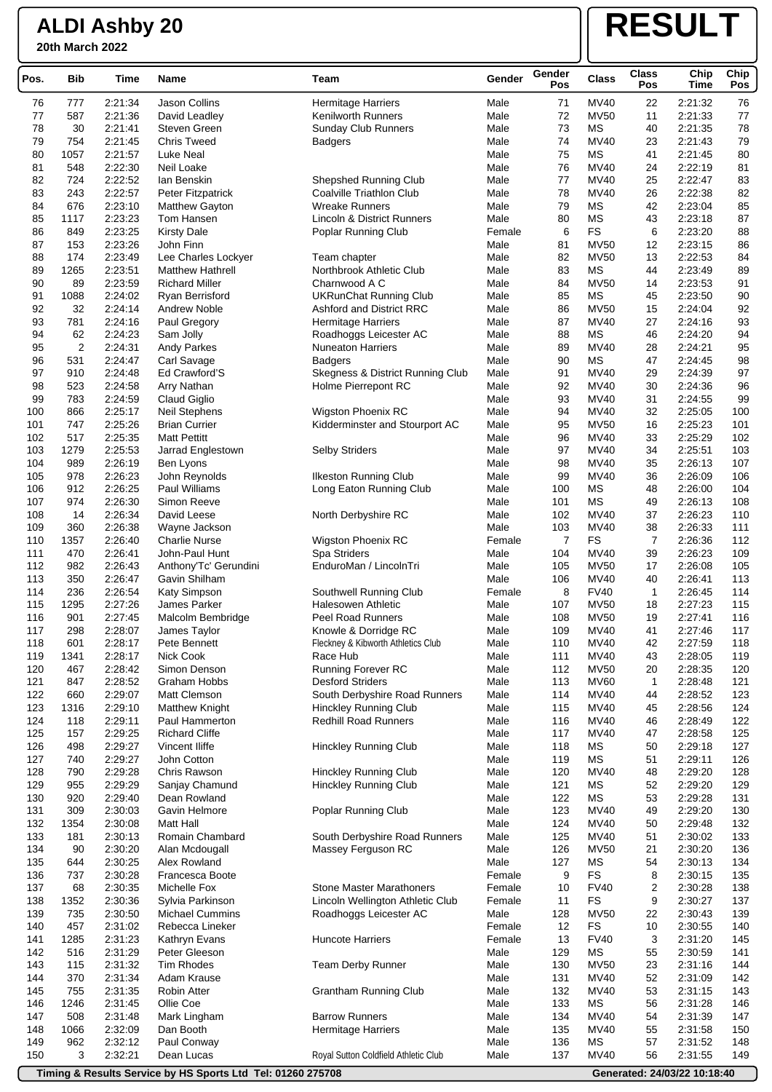**20th March 2022**

# **RESULT**

| Pos. | <b>Bib</b>     | Time    | Name                    | Team                                 | Gender | Gender<br>Pos | <b>Class</b> | <b>Class</b><br>Pos | Chip<br>Time | Chip<br>Pos |
|------|----------------|---------|-------------------------|--------------------------------------|--------|---------------|--------------|---------------------|--------------|-------------|
| 76   | 777            | 2:21:34 | Jason Collins           | <b>Hermitage Harriers</b>            | Male   | 71            | MV40         | 22                  | 2:21:32      | 76          |
| 77   | 587            | 2:21:36 | David Leadley           | <b>Kenilworth Runners</b>            | Male   | 72            | <b>MV50</b>  | 11                  | 2:21:33      | 77          |
| 78   | 30             | 2:21:41 | Steven Green            | <b>Sunday Club Runners</b>           | Male   | 73            | <b>MS</b>    | 40                  | 2:21:35      | 78          |
| 79   | 754            | 2:21:45 | <b>Chris Tweed</b>      | <b>Badgers</b>                       | Male   | 74            | MV40         | 23                  | 2:21:43      | 79          |
| 80   | 1057           | 2:21:57 | Luke Neal               |                                      | Male   | 75            | <b>MS</b>    | 41                  | 2:21:45      | 80          |
| 81   | 548            | 2:22:30 | Neil Loake              |                                      | Male   | 76            | MV40         | 24                  | 2:22:19      | 81          |
| 82   | 724            | 2:22:52 | lan Benskin             | Shepshed Running Club                | Male   | 77            | MV40         | 25                  | 2:22:47      | 83          |
| 83   | 243            | 2:22:57 | Peter Fitzpatrick       | Coalville Triathlon Club             | Male   | 78            | MV40         | 26                  | 2:22:38      | 82          |
| 84   | 676            | 2:23:10 | <b>Matthew Gayton</b>   | <b>Wreake Runners</b>                | Male   | 79            | ΜS           | 42                  | 2:23:04      | 85          |
| 85   | 1117           | 2:23:23 | Tom Hansen              | Lincoln & District Runners           | Male   | 80            | <b>MS</b>    | 43                  | 2:23:18      | 87          |
| 86   | 849            | 2:23:25 | <b>Kirsty Dale</b>      | Poplar Running Club                  | Female | 6             | <b>FS</b>    | 6                   | 2:23:20      | 88          |
| 87   | 153            | 2:23:26 | John Finn               |                                      | Male   | 81            | <b>MV50</b>  | 12                  | 2:23:15      | 86          |
| 88   | 174            | 2:23:49 | Lee Charles Lockyer     | Team chapter                         | Male   | 82            | <b>MV50</b>  | 13                  | 2:22:53      | 84          |
| 89   | 1265           | 2:23:51 | <b>Matthew Hathrell</b> | Northbrook Athletic Club             | Male   | 83            | <b>MS</b>    | 44                  | 2:23:49      | 89          |
| 90   | 89             | 2:23:59 | <b>Richard Miller</b>   | Charnwood A C                        | Male   | 84            | <b>MV50</b>  | 14                  | 2:23:53      | 91          |
| 91   | 1088           | 2:24:02 | Ryan Berrisford         | <b>UKRunChat Running Club</b>        | Male   | 85            | <b>MS</b>    | 45                  | 2:23:50      | 90          |
| 92   | 32             | 2:24:14 | Andrew Noble            | Ashford and District RRC             | Male   | 86            | <b>MV50</b>  | 15                  | 2:24:04      | 92          |
| 93   | 781            | 2:24:16 | Paul Gregory            | <b>Hermitage Harriers</b>            | Male   | 87            | MV40         | 27                  | 2:24:16      | 93          |
| 94   | 62             | 2:24:23 | Sam Jolly               | Roadhoggs Leicester AC               | Male   | 88            | <b>MS</b>    | 46                  | 2:24:20      | 94          |
| 95   | $\overline{2}$ | 2:24:31 | <b>Andy Parkes</b>      | Nuneaton Harriers                    | Male   | 89            | MV40         | 28                  | 2:24:21      | 95          |
| 96   | 531            | 2:24:47 | Carl Savage             | <b>Badgers</b>                       | Male   | 90            | <b>MS</b>    | 47                  | 2:24:45      | 98          |
| 97   | 910            | 2:24:48 | Ed Crawford'S           | Skegness & District Running Club     |        | 91            | MV40         | 29                  | 2:24:39      | 97          |
|      |                |         |                         |                                      | Male   |               |              |                     |              | 96          |
| 98   | 523            | 2:24:58 | Arry Nathan             | Holme Pierrepont RC                  | Male   | 92            | MV40         | 30                  | 2:24:36      |             |
| 99   | 783            | 2:24:59 | Claud Giglio            |                                      | Male   | 93            | MV40         | 31                  | 2:24:55      | 99          |
| 100  | 866            | 2:25:17 | Neil Stephens           | <b>Wigston Phoenix RC</b>            | Male   | 94            | MV40         | 32                  | 2:25:05      | 100         |
| 101  | 747            | 2:25:26 | <b>Brian Currier</b>    | Kidderminster and Stourport AC       | Male   | 95            | <b>MV50</b>  | 16                  | 2:25:23      | 101         |
| 102  | 517            | 2:25:35 | <b>Matt Pettitt</b>     |                                      | Male   | 96            | MV40         | 33                  | 2:25:29      | 102         |
| 103  | 1279           | 2:25:53 | Jarrad Englestown       | <b>Selby Striders</b>                | Male   | 97            | MV40         | 34                  | 2:25:51      | 103         |
| 104  | 989            | 2:26:19 | Ben Lyons               |                                      | Male   | 98            | MV40         | 35                  | 2:26:13      | 107         |
| 105  | 978            | 2:26:23 | John Reynolds           | <b>Ilkeston Running Club</b>         | Male   | 99            | MV40         | 36                  | 2:26:09      | 106         |
| 106  | 912            | 2:26:25 | Paul Williams           | Long Eaton Running Club              | Male   | 100           | <b>MS</b>    | 48                  | 2:26:00      | 104         |
| 107  | 974            | 2:26:30 | Simon Reeve             |                                      | Male   | 101           | МS           | 49                  | 2:26:13      | 108         |
| 108  | 14             | 2:26:34 | David Leese             | North Derbyshire RC                  | Male   | 102           | MV40         | 37                  | 2:26:23      | 110         |
| 109  | 360            | 2:26:38 | Wayne Jackson           |                                      | Male   | 103           | MV40         | 38                  | 2:26:33      | 111         |
| 110  | 1357           | 2:26:40 | Charlie Nurse           | Wigston Phoenix RC                   | Female | 7             | <b>FS</b>    | 7                   | 2:26:36      | 112         |
| 111  | 470            | 2:26:41 | John-Paul Hunt          | Spa Striders                         | Male   | 104           | MV40         | 39                  | 2:26:23      | 109         |
| 112  | 982            | 2:26:43 | Anthony'Tc' Gerundini   | EnduroMan / LincolnTri               | Male   | 105           | <b>MV50</b>  | 17                  | 2:26:08      | 105         |
| 113  | 350            | 2:26:47 | Gavin Shilham           |                                      | Male   | 106           | MV40         | 40                  | 2:26:41      | 113         |
| 114  | 236            | 2:26:54 | Katy Simpson            | Southwell Running Club               | Female | 8             | <b>FV40</b>  | 1                   | 2:26:45      | 114         |
| 115  | 1295           | 2:27:26 | James Parker            | Halesowen Athletic                   | Male   | 107           | <b>MV50</b>  | 18                  | 2:27:23      | 115         |
| 116  | 901            | 2:27:45 | Malcolm Bembridge       | <b>Peel Road Runners</b>             | Male   | 108           | <b>MV50</b>  | 19                  | 2:27:41      | 116         |
| 117  | 298            | 2:28:07 | James Taylor            | Knowle & Dorridge RC                 | Male   | 109           | MV40         | 41                  | 2:27:46      | 117         |
| 118  | 601            | 2:28:17 | Pete Bennett            | Fleckney & Kibworth Athletics Club   | Male   | 110           | MV40         | 42                  | 2:27:59      | 118         |
| 119  | 1341           | 2:28:17 | Nick Cook               | Race Hub                             | Male   | 111           | MV40         | 43                  | 2:28:05      | 119         |
| 120  | 467            | 2:28:42 | Simon Denson            | <b>Running Forever RC</b>            | Male   | 112           | <b>MV50</b>  | 20                  | 2:28:35      | 120         |
| 121  | 847            | 2:28:52 | Graham Hobbs            | <b>Desford Striders</b>              | Male   | 113           | <b>MV60</b>  | 1                   | 2:28:48      | 121         |
| 122  | 660            | 2:29:07 | Matt Clemson            | South Derbyshire Road Runners        | Male   | 114           | MV40         | 44                  | 2:28:52      | 123         |
| 123  | 1316           | 2:29:10 | <b>Matthew Knight</b>   | Hinckley Running Club                | Male   | 115           | MV40         | 45                  | 2:28:56      | 124         |
| 124  | 118            | 2:29:11 | Paul Hammerton          | <b>Redhill Road Runners</b>          | Male   | 116           | MV40         | 46                  | 2:28:49      | 122         |
| 125  | 157            | 2:29:25 | <b>Richard Cliffe</b>   |                                      | Male   | 117           | MV40         | 47                  | 2:28:58      | 125         |
| 126  | 498            | 2:29:27 | Vincent Iliffe          | <b>Hinckley Running Club</b>         | Male   | 118           | МS           | 50                  | 2:29:18      | 127         |
| 127  | 740            | 2:29:27 | John Cotton             |                                      | Male   | 119           | <b>MS</b>    | 51                  | 2:29:11      | 126         |
| 128  | 790            | 2:29:28 | Chris Rawson            | Hinckley Running Club                | Male   | 120           | MV40         | 48                  | 2:29:20      | 128         |
| 129  | 955            | 2:29:29 | Sanjay Chamund          | Hinckley Running Club                | Male   | 121           | <b>MS</b>    | 52                  | 2:29:20      | 129         |
| 130  | 920            | 2:29:40 | Dean Rowland            |                                      | Male   | 122           | <b>MS</b>    | 53                  | 2:29:28      | 131         |
| 131  | 309            | 2:30:03 | Gavin Helmore           | Poplar Running Club                  | Male   | 123           | MV40         | 49                  | 2:29:20      | 130         |
| 132  | 1354           | 2:30:08 | Matt Hall               |                                      | Male   | 124           | <b>MV40</b>  | 50                  | 2:29:48      | 132         |
| 133  | 181            | 2:30:13 | Romain Chambard         | South Derbyshire Road Runners        | Male   | 125           | MV40         | 51                  | 2:30:02      | 133         |
| 134  | 90             | 2:30:20 | Alan Mcdougall          | Massey Ferguson RC                   | Male   | 126           | <b>MV50</b>  | 21                  | 2:30:20      | 136         |
| 135  | 644            | 2:30:25 | Alex Rowland            |                                      | Male   | 127           | <b>MS</b>    | 54                  | 2:30:13      | 134         |
| 136  | 737            | 2:30:28 | Francesca Boote         |                                      | Female | 9             | FS           | 8                   | 2:30:15      | 135         |
| 137  | 68             | 2:30:35 | Michelle Fox            | <b>Stone Master Marathoners</b>      | Female | 10            | <b>FV40</b>  | 2                   | 2:30:28      | 138         |
| 138  | 1352           | 2:30:36 | Sylvia Parkinson        | Lincoln Wellington Athletic Club     | Female | 11            | FS           | 9                   | 2:30:27      | 137         |
| 139  | 735            | 2:30:50 | Michael Cummins         |                                      | Male   | 128           | <b>MV50</b>  | 22                  | 2:30:43      | 139         |
| 140  | 457            | 2:31:02 | Rebecca Lineker         | Roadhoggs Leicester AC               | Female | 12            | FS           | 10                  | 2:30:55      | 140         |
| 141  | 1285           | 2:31:23 |                         | <b>Huncote Harriers</b>              |        | 13            | <b>FV40</b>  |                     | 2:31:20      | 145         |
|      |                |         | Kathryn Evans           |                                      | Female |               |              | 3                   |              |             |
| 142  | 516            | 2:31:29 | Peter Gleeson           |                                      | Male   | 129           | <b>MS</b>    | 55                  | 2:30:59      | 141         |
| 143  | 115            | 2:31:32 | Tim Rhodes              | <b>Team Derby Runner</b>             | Male   | 130           | <b>MV50</b>  | 23                  | 2:31:16      | 144         |
| 144  | 370            | 2:31:34 | Adam Krause             |                                      | Male   | 131           | MV40         | 52                  | 2:31:09      | 142         |
| 145  | 755            | 2:31:35 | Robin Atter             | <b>Grantham Running Club</b>         | Male   | 132           | MV40         | 53                  | 2:31:15      | 143         |
| 146  | 1246           | 2:31:45 | Ollie Coe               |                                      | Male   | 133           | <b>MS</b>    | 56                  | 2:31:28      | 146         |
| 147  | 508            | 2:31:48 | Mark Lingham            | <b>Barrow Runners</b>                | Male   | 134           | MV40         | 54                  | 2:31:39      | 147         |
| 148  | 1066           | 2:32:09 | Dan Booth               | <b>Hermitage Harriers</b>            | Male   | 135           | MV40         | 55                  | 2:31:58      | 150         |
| 149  | 962            | 2:32:12 | Paul Conway             |                                      | Male   | 136           | МS           | 57                  | 2:31:52      | 148         |
| 150  | 3              | 2:32:21 | Dean Lucas              | Royal Sutton Coldfield Athletic Club | Male   | 137           | MV40         | 56                  | 2:31:55      | 149         |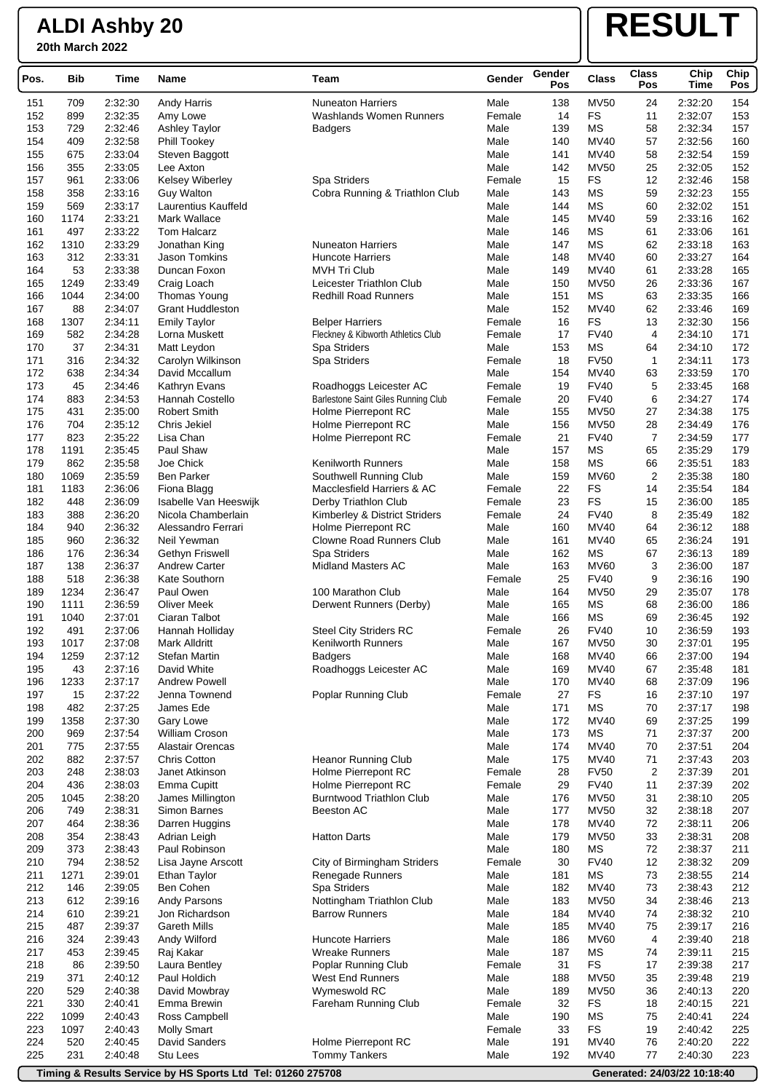**20th March 2022**

# **RESULT**

| Pos. | <b>Bib</b> | Time    | Name                        | Team                                | Gender | Gender<br>Pos | <b>Class</b>      | <b>Class</b><br>Pos | Chip<br><b>Time</b> | Chip<br>Pos |
|------|------------|---------|-----------------------------|-------------------------------------|--------|---------------|-------------------|---------------------|---------------------|-------------|
| 151  | 709        | 2:32:30 | Andy Harris                 | <b>Nuneaton Harriers</b>            | Male   | 138           | <b>MV50</b>       | 24                  | 2:32:20             | 154         |
| 152  | 899        | 2:32:35 | Amy Lowe                    | <b>Washlands Women Runners</b>      | Female | 14            | <b>FS</b>         | 11                  | 2:32:07             | 153         |
| 153  | 729        | 2:32:46 | Ashley Taylor               | <b>Badgers</b>                      | Male   | 139           | <b>MS</b>         | 58                  | 2:32:34             | 157         |
| 154  | 409        | 2:32:58 | Phill Tookey                |                                     | Male   | 140           | <b>MV40</b>       | 57                  | 2:32:56             | 160         |
| 155  | 675        | 2:33:04 | Steven Baggott              |                                     | Male   | 141           | MV40              | 58                  | 2:32:54             | 159         |
| 156  | 355        | 2:33:05 | Lee Axton                   |                                     | Male   | 142           | <b>MV50</b>       | 25                  | 2:32:05             | 152         |
| 157  | 961        | 2:33:06 | Kelsey Wiberley             | Spa Striders                        | Female | 15            | <b>FS</b>         | 12                  | 2:32:46             | 158         |
| 158  | 358        | 2:33:16 | <b>Guy Walton</b>           | Cobra Running & Triathlon Club      | Male   | 143           | <b>MS</b>         | 59                  | 2:32:23             | 155         |
| 159  | 569        | 2:33:17 | Laurentius Kauffeld         |                                     | Male   | 144           | <b>MS</b>         | 60                  | 2:32:02             | 151         |
| 160  | 1174       | 2:33:21 | Mark Wallace                |                                     | Male   | 145           | MV40              | 59                  | 2:33:16             | 162         |
| 161  | 497        | 2:33:22 | Tom Halcarz                 |                                     | Male   | 146           | <b>MS</b>         | 61                  | 2:33:06             | 161         |
| 162  | 1310       | 2:33:29 | Jonathan King               | <b>Nuneaton Harriers</b>            | Male   | 147           | <b>MS</b>         | 62                  | 2:33:18             | 163         |
| 163  | 312        | 2:33:31 | <b>Jason Tomkins</b>        | <b>Huncote Harriers</b>             | Male   | 148           | <b>MV40</b>       | 60                  | 2:33:27             | 164         |
| 164  | 53         | 2:33:38 | Duncan Foxon                | <b>MVH Tri Club</b>                 | Male   | 149           | MV40              | 61                  | 2:33:28             | 165         |
| 165  | 1249       | 2:33:49 | Craig Loach                 | Leicester Triathlon Club            | Male   | 150           | <b>MV50</b>       | 26                  | 2:33:36             | 167         |
| 166  | 1044       | 2:34:00 | Thomas Young                | <b>Redhill Road Runners</b>         | Male   | 151           | <b>MS</b>         | 63                  | 2:33:35             | 166         |
| 167  | 88         | 2:34:07 | <b>Grant Huddleston</b>     |                                     | Male   | 152           | MV40              | 62                  | 2:33:46             | 169         |
| 168  | 1307       | 2:34:11 | <b>Emily Taylor</b>         | <b>Belper Harriers</b>              | Female | 16            | <b>FS</b>         | 13                  | 2:32:30             | 156         |
| 169  | 582        | 2:34:28 | Lorna Muskett               | Fleckney & Kibworth Athletics Club  |        | 17            | <b>FV40</b>       | $\overline{4}$      | 2:34:10             | 171         |
|      |            |         |                             |                                     | Female |               |                   |                     |                     |             |
| 170  | 37         | 2:34:31 | Matt Leydon                 | Spa Striders                        | Male   | 153           | ΜS                | 64                  | 2:34:10             | 172         |
| 171  | 316        | 2:34:32 | Carolyn Wilkinson           | Spa Striders                        | Female | 18            | <b>FV50</b>       | 1                   | 2:34:11             | 173         |
| 172  | 638        | 2:34:34 | David Mccallum              |                                     | Male   | 154           | MV40              | 63                  | 2:33:59             | 170         |
| 173  | 45         | 2:34:46 | Kathryn Evans               | Roadhoggs Leicester AC              | Female | 19            | <b>FV40</b>       | 5                   | 2:33:45             | 168         |
| 174  | 883        | 2:34:53 | Hannah Costello             | Barlestone Saint Giles Running Club | Female | 20            | <b>FV40</b>       | 6                   | 2:34:27             | 174         |
| 175  | 431        | 2:35:00 | <b>Robert Smith</b>         | Holme Pierrepont RC                 | Male   | 155           | <b>MV50</b>       | 27                  | 2:34:38             | 175         |
| 176  | 704        | 2:35:12 | Chris Jekiel                | Holme Pierrepont RC                 | Male   | 156           | <b>MV50</b>       | 28                  | 2:34:49             | 176         |
| 177  | 823        | 2:35:22 | Lisa Chan                   | Holme Pierrepont RC                 | Female | 21            | <b>FV40</b>       | $\overline{7}$      | 2:34:59             | 177         |
| 178  | 1191       | 2:35:45 | Paul Shaw                   |                                     | Male   | 157           | MS                | 65                  | 2:35:29             | 179         |
| 179  | 862        | 2:35:58 | Joe Chick                   | <b>Kenilworth Runners</b>           | Male   | 158           | <b>MS</b>         | 66                  | 2:35:51             | 183         |
| 180  | 1069       | 2:35:59 | Ben Parker                  | Southwell Running Club              | Male   | 159           | <b>MV60</b>       | $\overline{2}$      | 2:35:38             | 180         |
| 181  | 1183       | 2:36:06 | Fiona Blagg                 | Macclesfield Harriers & AC          | Female | 22            | <b>FS</b>         | 14                  | 2:35:54             | 184         |
| 182  | 448        | 2:36:09 | Isabelle Van Heeswijk       | Derby Triathlon Club                | Female | 23            | <b>FS</b>         | 15                  | 2:36:00             | 185         |
| 183  | 388        | 2:36:20 | Nicola Chamberlain          | Kimberley & District Striders       | Female | 24            | <b>FV40</b>       | 8                   | 2:35:49             | 182         |
| 184  | 940        | 2:36:32 | Alessandro Ferrari          | Holme Pierrepont RC                 | Male   | 160           | MV40              | 64                  | 2:36:12             | 188         |
| 185  | 960        | 2:36:32 | Neil Yewman                 | Clowne Road Runners Club            | Male   | 161           | MV40              | 65                  | 2:36:24             | 191         |
| 186  | 176        | 2:36:34 | Gethyn Friswell             | Spa Striders                        | Male   | 162           | <b>MS</b>         | 67                  | 2:36:13             | 189         |
| 187  | 138        | 2:36:37 | <b>Andrew Carter</b>        | Midland Masters AC                  | Male   | 163           | <b>MV60</b>       | 3                   | 2:36:00             | 187         |
| 188  | 518        | 2:36:38 | Kate Southorn               |                                     | Female | 25            | <b>FV40</b>       | 9                   | 2:36:16             | 190         |
| 189  | 1234       | 2:36:47 | Paul Owen                   | 100 Marathon Club                   | Male   | 164           | <b>MV50</b>       | 29                  | 2:35:07             | 178         |
| 190  | 1111       | 2:36:59 | <b>Oliver Meek</b>          | Derwent Runners (Derby)             | Male   | 165           | <b>MS</b>         | 68                  | 2:36:00             | 186         |
| 191  | 1040       | 2:37:01 | Ciaran Talbot               |                                     | Male   | 166           | ΜS                | 69                  | 2:36:45             | 192         |
| 192  | 491        | 2:37:06 | Hannah Holliday             | <b>Steel City Striders RC</b>       | Female | 26            | <b>FV40</b>       | 10                  | 2:36:59             | 193         |
| 193  | 1017       | 2:37:08 | Mark Alldritt               | <b>Kenilworth Runners</b>           | Male   | 167           | <b>MV50</b>       | 30                  | 2:37:01             | 195         |
| 194  | 1259       | 2:37:12 | <b>Stefan Martin</b>        | <b>Badgers</b>                      | Male   | 168           | MV40              | 66                  | 2:37:00             | 194         |
| 195  | 43         | 2:37:16 | David White                 | Roadhoggs Leicester AC              | Male   | 169           | <b>MV40</b>       | 67                  | 2:35:48             | 181         |
| 196  | 1233       | 2:37:17 | <b>Andrew Powell</b>        |                                     | Male   | 170           | MV40              | 68                  | 2:37:09             | 196         |
| 197  | 15         | 2:37:22 | Jenna Townend               | Poplar Running Club                 | Female | 27            | <b>FS</b>         | 16                  | 2:37:10             | 197         |
| 198  | 482        | 2:37:25 | James Ede                   |                                     | Male   | 171           | <b>MS</b>         | 70                  | 2:37:17             | 198         |
|      |            |         |                             |                                     |        |               |                   |                     |                     |             |
| 199  | 1358       | 2:37:30 | Gary Lowe<br>William Croson |                                     | Male   | 172           | MV40<br><b>MS</b> | 69                  | 2:37:25             | 199         |
| 200  | 969        | 2:37:54 |                             |                                     | Male   | 173           |                   | 71                  | 2:37:37             | 200         |
| 201  | 775        | 2:37:55 | <b>Alastair Orencas</b>     |                                     | Male   | 174           | MV40              | 70                  | 2:37:51             | 204         |
| 202  | 882        | 2:37:57 | <b>Chris Cotton</b>         | <b>Heanor Running Club</b>          | Male   | 175           | <b>MV40</b>       | 71                  | 2:37:43             | 203         |
| 203  | 248        | 2:38:03 | Janet Atkinson              | Holme Pierrepont RC                 | Female | 28            | <b>FV50</b>       | $\overline{2}$      | 2:37:39             | 201         |
| 204  | 436        | 2:38:03 | Emma Cupitt                 | Holme Pierrepont RC                 | Female | 29            | <b>FV40</b>       | 11                  | 2:37:39             | 202         |
| 205  | 1045       | 2:38:20 | James Millington            | <b>Burntwood Triathlon Club</b>     | Male   | 176           | <b>MV50</b>       | 31                  | 2:38:10             | 205         |
| 206  | 749        | 2:38:31 | Simon Barnes                | <b>Beeston AC</b>                   | Male   | 177           | <b>MV50</b>       | 32                  | 2:38:18             | 207         |
| 207  | 464        | 2:38:36 | Darren Huggins              |                                     | Male   | 178           | MV40              | 72                  | 2:38:11             | 206         |
| 208  | 354        | 2:38:43 | Adrian Leigh                | <b>Hatton Darts</b>                 | Male   | 179           | <b>MV50</b>       | 33                  | 2:38:31             | 208         |
| 209  | 373        | 2:38:43 | Paul Robinson               |                                     | Male   | 180           | MS                | 72                  | 2:38:37             | 211         |
| 210  | 794        | 2:38:52 | Lisa Jayne Arscott          | City of Birmingham Striders         | Female | 30            | <b>FV40</b>       | 12                  | 2:38:32             | 209         |
| 211  | 1271       | 2:39:01 | <b>Ethan Taylor</b>         | Renegade Runners                    | Male   | 181           | MS                | 73                  | 2:38:55             | 214         |
| 212  | 146        | 2:39:05 | Ben Cohen                   | Spa Striders                        | Male   | 182           | <b>MV40</b>       | 73                  | 2:38:43             | 212         |
| 213  | 612        | 2:39:16 | Andy Parsons                | Nottingham Triathlon Club           | Male   | 183           | <b>MV50</b>       | 34                  | 2:38:46             | 213         |
| 214  | 610        | 2:39:21 | Jon Richardson              | <b>Barrow Runners</b>               | Male   | 184           | MV40              | 74                  | 2:38:32             | 210         |
| 215  | 487        | 2:39:37 | Gareth Mills                |                                     | Male   | 185           | MV40              | 75                  | 2:39:17             | 216         |
| 216  | 324        | 2:39:43 | Andy Wilford                | <b>Huncote Harriers</b>             | Male   | 186           | <b>MV60</b>       | 4                   | 2:39:40             | 218         |
| 217  | 453        | 2:39:45 | Raj Kakar                   | <b>Wreake Runners</b>               | Male   | 187           | <b>MS</b>         | 74                  | 2:39:11             | 215         |
| 218  | 86         | 2:39:50 | Laura Bentley               | Poplar Running Club                 | Female | 31            | <b>FS</b>         | 17                  | 2:39:38             | 217         |
| 219  | 371        | 2:40:12 | Paul Holdich                | <b>West End Runners</b>             | Male   | 188           | <b>MV50</b>       | 35                  | 2:39:48             | 219         |
| 220  | 529        | 2:40:38 | David Mowbray               | Wymeswold RC                        | Male   | 189           | <b>MV50</b>       | 36                  | 2:40:13             | 220         |
| 221  | 330        | 2:40:41 | Emma Brewin                 | Fareham Running Club                | Female | 32            | <b>FS</b>         | 18                  | 2:40:15             | 221         |
| 222  | 1099       | 2:40:43 | Ross Campbell               |                                     | Male   | 190           | <b>MS</b>         | 75                  | 2:40:41             | 224         |
| 223  | 1097       | 2:40:43 | <b>Molly Smart</b>          |                                     | Female | 33            | <b>FS</b>         | 19                  | 2:40:42             | 225         |
| 224  | 520        | 2:40:45 | David Sanders               | Holme Pierrepont RC                 | Male   | 191           | MV40              | 76                  | 2:40:20             | 222         |
| 225  | 231        | 2:40:48 | Stu Lees                    | <b>Tommy Tankers</b>                | Male   | 192           | <b>MV40</b>       | 77                  | 2:40:30             | 223         |
|      |            |         |                             |                                     |        |               |                   |                     |                     |             |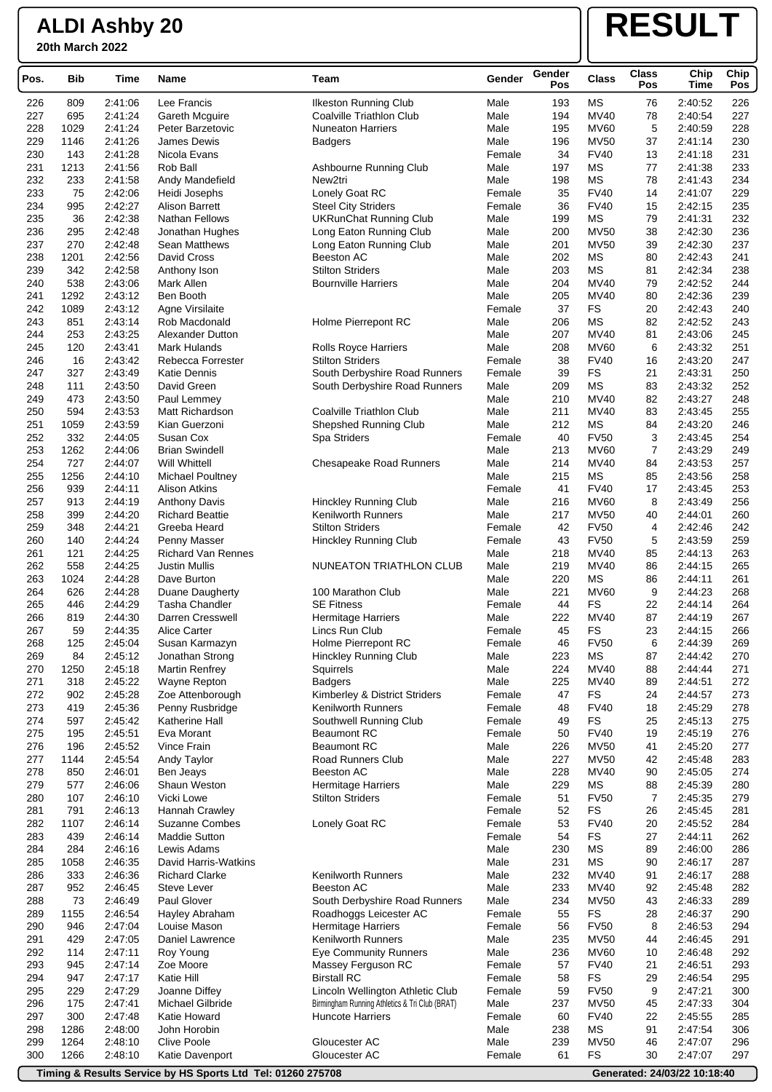**20th March 2022**

### **RESULT**

| Pos.       | <b>Bib</b>  | Time               | Name                              | Team                                           | Gender         | Gender<br>Pos | Class                      | <b>Class</b><br>Pos | Chip<br>Time       | Chip<br>Pos |
|------------|-------------|--------------------|-----------------------------------|------------------------------------------------|----------------|---------------|----------------------------|---------------------|--------------------|-------------|
| 226        | 809         | 2:41:06            | Lee Francis                       | <b>Ilkeston Running Club</b>                   | Male           | 193           | <b>MS</b>                  | 76                  | 2:40:52            | 226         |
| 227        | 695         | 2:41:24            | Gareth Mcguire                    | Coalville Triathlon Club                       | Male           | 194           | <b>MV40</b>                | 78                  | 2:40:54            | 227         |
| 228        | 1029        | 2:41:24            | Peter Barzetovic                  | <b>Nuneaton Harriers</b>                       | Male           | 195           | <b>MV60</b>                | 5                   | 2:40:59            | 228         |
| 229        | 1146        | 2:41:26            | James Dewis                       | <b>Badgers</b>                                 | Male           | 196           | <b>MV50</b>                | 37                  | 2:41:14            | 230         |
| 230        | 143         | 2:41:28            | Nicola Evans                      |                                                | Female         | 34            | <b>FV40</b>                | 13                  | 2:41:18            | 231         |
| 231        | 1213        | 2:41:56            | Rob Ball                          | Ashbourne Running Club                         | Male           | 197           | <b>MS</b>                  | 77                  | 2:41:38            | 233         |
| 232        | 233         | 2:41:58            | Andy Mandefield                   | New <sub>2tri</sub>                            | Male           | 198           | МS                         | 78                  | 2:41:43            | 234         |
| 233        | 75          | 2:42:06            | Heidi Josephs                     | Lonely Goat RC                                 | Female         | 35            | <b>FV40</b>                | 14                  | 2:41:07            | 229         |
| 234        | 995         | 2:42:27            | <b>Alison Barrett</b>             | <b>Steel City Striders</b>                     | Female         | 36            | <b>FV40</b>                | 15                  | 2:42:15            | 235         |
| 235        | 36          | 2:42:38            | <b>Nathan Fellows</b>             | <b>UKRunChat Running Club</b>                  | Male           | 199           | МS                         | 79                  | 2:41:31            | 232         |
| 236        | 295         | 2:42:48            | Jonathan Hughes                   | Long Eaton Running Club                        | Male           | 200           | <b>MV50</b>                | 38                  | 2:42:30            | 236         |
| 237        | 270         | 2:42:48            | Sean Matthews                     | Long Eaton Running Club                        | Male           | 201           | <b>MV50</b>                | 39                  | 2:42:30            | 237         |
| 238        | 1201        | 2:42:56            | David Cross                       | Beeston AC                                     | Male           | 202           | <b>MS</b>                  | 80                  | 2:42:43            | 241         |
| 239        | 342         | 2:42:58            | Anthony Ison                      | <b>Stilton Striders</b>                        | Male           | 203           | <b>MS</b>                  | 81                  | 2:42:34            | 238         |
| 240        | 538         | 2.43.06            | Mark Allen                        | <b>Bournville Harriers</b>                     | Male           | 204           | <b>MV40</b>                | 79                  | 2:42:52            | 244         |
| 241        | 1292        | 2:43:12            | Ben Booth                         |                                                | Male           | 205           | <b>MV40</b>                | 80                  | 2:42:36            | 239         |
| 242        | 1089        | 2:43:12            | Agne Virsilaite                   |                                                | Female         | 37            | FS                         | 20                  | 2:42:43            | 240         |
| 243        | 851         | 2:43:14            | Rob Macdonald                     | Holme Pierrepont RC                            | Male           | 206           | <b>MS</b>                  | 82                  | 2:42:52            | 243         |
| 244        | 253         | 2:43:25            | <b>Alexander Dutton</b>           |                                                | Male           | 207           | <b>MV40</b>                | 81                  | 2:43:06            | 245         |
| 245        | 120         | 2:43:41            | Mark Hulands                      | Rolls Royce Harriers                           | Male           | 208           | <b>MV60</b>                | 6                   | 2:43:32            | 251         |
| 246        | 16          | 2:43:42            | Rebecca Forrester                 | <b>Stilton Striders</b>                        | Female         | 38            | <b>FV40</b>                | 16                  | 2:43:20            | 247         |
| 247        | 327         | 2.43.49            | <b>Katie Dennis</b>               | South Derbyshire Road Runners                  | Female         | 39            | <b>FS</b>                  | 21                  | 2:43:31            | 250         |
| 248        | 111         | 2:43:50            | David Green                       | South Derbyshire Road Runners                  | Male           | 209           | ΜS                         | 83                  | 2:43:32            | 252         |
| 249        | 473         | 2:43:50            | Paul Lemmey                       |                                                | Male           | 210           | <b>MV40</b>                | 82                  | 2:43:27            | 248         |
| 250        | 594         | 2:43:53            | Matt Richardson                   | Coalville Triathlon Club                       | Male           | 211           | MV40                       | 83                  | 2:43:45            | 255         |
| 251        | 1059        | 2:43:59            | Kian Guerzoni                     | Shepshed Running Club                          | Male           | 212           | <b>MS</b>                  | 84                  | 2:43:20            | 246         |
| 252        | 332         | 2:44:05            | Susan Cox                         | Spa Striders                                   | Female         | 40            | <b>FV50</b>                | 3<br>$\overline{7}$ | 2:43:45            | 254         |
| 253        | 1262        | 2:44:06            | <b>Brian Swindell</b>             | <b>Chesapeake Road Runners</b>                 | Male           | 213           | <b>MV60</b><br><b>MV40</b> |                     | 2:43:29            | 249         |
| 254<br>255 | 727<br>1256 | 2:44:07<br>2:44:10 | Will Whittell<br>Michael Poultney |                                                | Male<br>Male   | 214<br>215    | <b>MS</b>                  | 84<br>85            | 2:43:53<br>2:43:56 | 257<br>258  |
| 256        | 939         | 2:44:11            | <b>Alison Atkins</b>              |                                                | Female         | 41            | <b>FV40</b>                | 17                  | 2:43:45            | 253         |
| 257        | 913         | 2:44:19            | <b>Anthony Davis</b>              | <b>Hinckley Running Club</b>                   | Male           | 216           | <b>MV60</b>                | 8                   | 2:43:49            | 256         |
| 258        | 399         | 2:44:20            | <b>Richard Beattie</b>            | <b>Kenilworth Runners</b>                      | Male           | 217           | <b>MV50</b>                | 40                  | 2:44:01            | 260         |
| 259        | 348         | 2:44:21            | Greeba Heard                      | <b>Stilton Striders</b>                        | Female         | 42            | <b>FV50</b>                | 4                   | 2:42:46            | 242         |
| 260        | 140         | 2:44:24            | Penny Masser                      | <b>Hinckley Running Club</b>                   | Female         | 43            | <b>FV50</b>                | 5                   | 2:43:59            | 259         |
| 261        | 121         | 2:44:25            | <b>Richard Van Rennes</b>         |                                                | Male           | 218           | <b>MV40</b>                | 85                  | 2:44:13            | 263         |
| 262        | 558         | 2:44:25            | <b>Justin Mullis</b>              | NUNEATON TRIATHLON CLUB                        | Male           | 219           | <b>MV40</b>                | 86                  | 2:44:15            | 265         |
| 263        | 1024        | 2:44:28            | Dave Burton                       |                                                | Male           | 220           | <b>MS</b>                  | 86                  | 2:44:11            | 261         |
| 264        | 626         | 2:44:28            | Duane Daugherty                   | 100 Marathon Club                              | Male           | 221           | <b>MV60</b>                | 9                   | 2:44:23            | 268         |
| 265        | 446         | 2:44:29            | <b>Tasha Chandler</b>             | <b>SE Fitness</b>                              | Female         | 44            | <b>FS</b>                  | 22                  | 2:44:14            | 264         |
| 266        | 819         | 2:44:30            | Darren Cresswell                  | <b>Hermitage Harriers</b>                      | Male           | 222           | <b>MV40</b>                | 87                  | 2:44:19            | 267         |
| 267        | 59          | 2:44:35            | <b>Alice Carter</b>               | Lincs Run Club                                 | Female         | 45            | FS                         | 23                  | 2:44:15            | 266         |
| 268        | 125         | 2:45:04            | Susan Karmazyn                    | Holme Pierrepont RC                            | Female         | 46            | <b>FV50</b>                | 6                   | 2:44:39            | 269         |
| 269        | 84          | 2:45:12            | Jonathan Strong                   | Hinckley Running Club                          | Male           | 223           | <b>MS</b>                  | 87                  | 2:44:42            | 270         |
| 270        | 1250        | 2:45:18            | <b>Martin Renfrey</b>             | Squirrels                                      | Male           | 224           | <b>MV40</b>                | 88                  | 2:44:44            | 271         |
| 271        | 318         | 2:45:22            | Wayne Repton                      | <b>Badgers</b>                                 | Male           | 225           | <b>MV40</b>                | 89                  | 2:44:51            | 272         |
| 272        | 902         | 2:45:28            | Zoe Attenborough                  | Kimberley & District Striders                  | Female         | 47            | <b>FS</b>                  | 24                  | 2:44:57            | 273         |
| 273        | 419         | 2:45:36            | Penny Rusbridge                   | <b>Kenilworth Runners</b>                      | Female         | 48            | <b>FV40</b>                | 18                  | 2:45:29            | 278         |
| 274        | 597         | 2:45:42            | Katherine Hall                    | Southwell Running Club                         | Female         | 49            | FS                         | 25                  | 2:45:13            | 275         |
| 275        | 195         | 2:45:51            | Eva Morant                        | <b>Beaumont RC</b>                             | Female         | 50            | <b>FV40</b>                | 19                  | 2:45:19            | 276         |
| 276        | 196         | 2:45:52            | Vince Frain                       | <b>Beaumont RC</b>                             | Male           | 226           | <b>MV50</b>                | 41                  | 2:45:20            | 277         |
| 277        | 1144        | 2.45.54            | Andy Taylor                       | Road Runners Club                              | Male           | 227           | <b>MV50</b>                | 42                  | 2:45:48            | 283         |
| 278        | 850         | 2.46:01            | Ben Jeays                         | Beeston AC                                     | Male           | 228           | <b>MV40</b>                | 90                  | 2:45:05            | 274         |
| 279        | 577         | 2.46.06            | Shaun Weston                      | Hermitage Harriers                             | Male           | 229           | ΜS                         | 88                  | 2:45:39            | 280         |
| 280        | 107         | 2:46:10            | Vicki Lowe                        | <b>Stilton Striders</b>                        | Female         | 51            | <b>FV50</b>                | $\overline{7}$      | 2:45:35            | 279         |
| 281        | 791         | 2:46:13            | Hannah Crawley                    |                                                | Female         | 52            | FS                         | 26                  | 2:45:45            | 281         |
| 282        | 1107        | 2:46:14            | <b>Suzanne Combes</b>             | Lonely Goat RC                                 | Female         | 53            | <b>FV40</b>                | 20                  | 2:45:52            | 284         |
| 283        | 439         | 2:46:14            | <b>Maddie Sutton</b>              |                                                | Female         | 54            | FS                         | 27                  | 2:44:11            | 262         |
| 284        | 284         | 2:46:16            | Lewis Adams                       |                                                | Male           | 230           | <b>MS</b>                  | 89                  | 2:46:00            | 286         |
| 285        | 1058        | 2.46.35            | David Harris-Watkins              |                                                | Male           | 231           | МS                         | 90                  | 2:46:17            | 287         |
| 286        | 333         | 2:46:36            | <b>Richard Clarke</b>             | <b>Kenilworth Runners</b>                      | Male           | 232           | MV40                       | 91                  | 2:46:17            | 288         |
| 287        | 952         | 2.46.45            | <b>Steve Lever</b>                | Beeston AC                                     | Male           | 233           | <b>MV40</b>                | 92                  | 2:45:48            | 282         |
| 288        | 73          | 2.46.49            | Paul Glover                       | South Derbyshire Road Runners                  | Male           | 234           | <b>MV50</b>                | 43                  | 2:46:33            | 289         |
| 289        | 1155        | 2:46:54            | Hayley Abraham                    | Roadhoggs Leicester AC                         | Female         | 55            | FS                         | 28                  | 2:46:37            | 290         |
| 290        | 946         | 2:47:04            | Louise Mason                      | Hermitage Harriers                             | Female         | 56            | <b>FV50</b>                | 8                   | 2:46:53            | 294         |
| 291        | 429         | 2.47:05            | Daniel Lawrence                   | <b>Kenilworth Runners</b>                      | Male           | 235           | <b>MV50</b>                | 44                  | 2:46:45            | 291         |
| 292        | 114         | 2.47:11            | Roy Young                         | <b>Eye Community Runners</b>                   | Male           | 236           | <b>MV60</b>                | 10                  | 2:46:48            | 292         |
| 293        | 945         | 2:47:14            | Zoe Moore                         | Massey Ferguson RC                             | Female         | 57            | <b>FV40</b>                | 21                  | 2:46:51            | 293         |
| 294        | 947         | 2.47.17            | Katie Hill                        | <b>Birstall RC</b>                             | Female         | 58            | FS                         | 29                  | 2:46:54            | 295         |
| 295        | 229         | 2.47.29            | Joanne Diffey                     | Lincoln Wellington Athletic Club               | Female         | 59            | <b>FV50</b>                | 9                   | 2:47:21            | 300         |
| 296        | 175         | 2.47.41            | Michael Gilbride<br>Katie Howard  | Birmingham Running Athletics & Tri Club (BRAT) | Male           | 237           | <b>MV50</b>                | 45                  | 2:47:33            | 304         |
| 297<br>298 | 300<br>1286 | 2.47.48<br>2:48:00 | John Horobin                      | <b>Huncote Harriers</b>                        | Female<br>Male | 60<br>238     | <b>FV40</b><br><b>MS</b>   | 22<br>91            | 2:45:55<br>2:47:54 | 285<br>306  |
| 299        | 1264        | 2:48:10            | <b>Clive Poole</b>                | Gloucester AC                                  | Male           | 239           | <b>MV50</b>                | 46                  | 2:47:07            | 296         |
| 300        | 1266        | 2:48:10            | Katie Davenport                   | Gloucester AC                                  | Female         | 61            | FS                         | 30                  | 2:47:07            | 297         |
|            |             |                    |                                   |                                                |                |               |                            |                     |                    |             |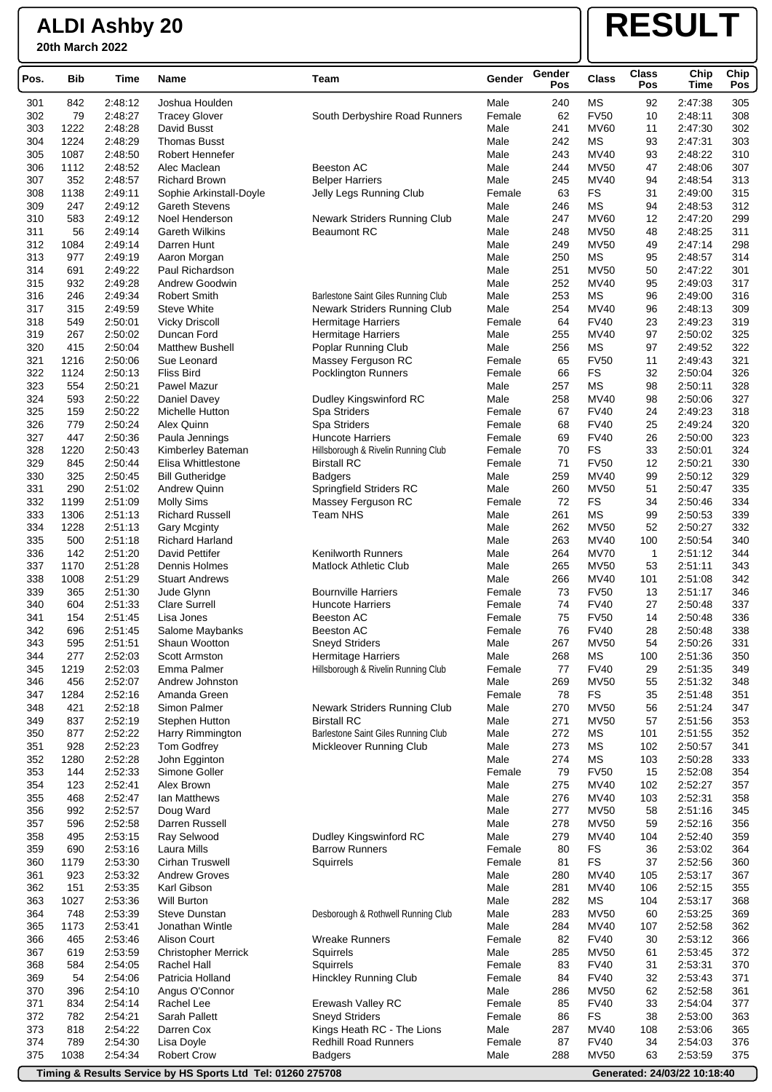**20th March 2022**

# **RESULT**

| Pos.       | <b>Bib</b>  | Time               | Name                                     | Team                                               | Gender         | Gender<br>Pos | Class                      | <b>Class</b><br>Pos | Chip<br>Time       | $\overline{Chip}$<br>Pos |
|------------|-------------|--------------------|------------------------------------------|----------------------------------------------------|----------------|---------------|----------------------------|---------------------|--------------------|--------------------------|
| 301        | 842         | 2:48:12            | Joshua Houlden                           |                                                    | Male           | 240           | <b>MS</b>                  | 92                  | 2:47:38            | 305                      |
| 302        | 79          | 2:48:27            | <b>Tracey Glover</b>                     | South Derbyshire Road Runners                      | Female         | 62            | <b>FV50</b>                | 10                  | 2:48:11            | 308                      |
| 303        | 1222        | 2:48:28            | David Busst                              |                                                    | Male           | 241           | <b>MV60</b>                | 11                  | 2:47:30            | 302                      |
| 304        | 1224        | 2:48:29            | <b>Thomas Busst</b>                      |                                                    | Male           | 242           | <b>MS</b>                  | 93                  | 2:47:31            | 303                      |
| 305        | 1087        | 2:48:50            | <b>Robert Hennefer</b>                   |                                                    | Male           | 243           | MV40                       | 93                  | 2:48:22            | 310                      |
| 306        | 1112        | 2:48:52            | Alec Maclean                             | <b>Beeston AC</b>                                  | Male           | 244           | <b>MV50</b>                | 47                  | 2:48:06            | 307                      |
| 307        | 352         | 2:48:57            | <b>Richard Brown</b>                     | <b>Belper Harriers</b>                             | Male           | 245           | MV40                       | 94                  | 2:48:54            | 313                      |
| 308        | 1138        | 2:49:11            | Sophie Arkinstall-Doyle                  | Jelly Legs Running Club                            | Female         | 63            | <b>FS</b>                  | 31                  | 2:49:00            | 315                      |
| 309        | 247         | 2:49:12            | <b>Gareth Stevens</b>                    |                                                    | Male           | 246           | <b>MS</b>                  | 94                  | 2:48:53            | 312                      |
| 310<br>311 | 583<br>56   | 2:49:12<br>2:49:14 | Noel Henderson<br><b>Gareth Wilkins</b>  | Newark Striders Running Club<br><b>Beaumont RC</b> | Male<br>Male   | 247<br>248    | <b>MV60</b><br><b>MV50</b> | 12<br>48            | 2:47:20<br>2:48:25 | 299<br>311               |
| 312        | 1084        | 2:49:14            | Darren Hunt                              |                                                    | Male           | 249           | <b>MV50</b>                | 49                  | 2:47:14            | 298                      |
| 313        | 977         | 2:49:19            | Aaron Morgan                             |                                                    | Male           | 250           | <b>MS</b>                  | 95                  | 2:48:57            | 314                      |
| 314        | 691         | 2:49:22            | Paul Richardson                          |                                                    | Male           | 251           | <b>MV50</b>                | 50                  | 2:47:22            | 301                      |
| 315        | 932         | 2:49:28            | Andrew Goodwin                           |                                                    | Male           | 252           | MV40                       | 95                  | 2:49:03            | 317                      |
| 316        | 246         | 2:49:34            | <b>Robert Smith</b>                      | Barlestone Saint Giles Running Club                | Male           | 253           | <b>MS</b>                  | 96                  | 2:49:00            | 316                      |
| 317        | 315         | 2:49:59            | <b>Steve White</b>                       | Newark Striders Running Club                       | Male           | 254           | <b>MV40</b>                | 96                  | 2:48:13            | 309                      |
| 318        | 549         | 2:50:01            | <b>Vicky Driscoll</b>                    | <b>Hermitage Harriers</b>                          | Female         | 64            | <b>FV40</b>                | 23                  | 2:49:23            | 319                      |
| 319        | 267         | 2:50:02            | Duncan Ford                              | Hermitage Harriers                                 | Male           | 255           | <b>MV40</b>                | 97                  | 2:50:02            | 325                      |
| 320        | 415         | 2:50:04            | <b>Matthew Bushell</b>                   | Poplar Running Club                                | Male           | 256           | <b>MS</b>                  | 97                  | 2:49:52            | 322                      |
| 321        | 1216        | 2:50:06            | Sue Leonard                              | Massey Ferguson RC                                 | Female         | 65            | <b>FV50</b>                | 11                  | 2:49:43            | 321                      |
| 322<br>323 | 1124<br>554 | 2:50:13<br>2:50:21 | <b>Fliss Bird</b><br>Pawel Mazur         | Pocklington Runners                                | Female<br>Male | 66<br>257     | <b>FS</b><br><b>MS</b>     | 32<br>98            | 2:50:04<br>2:50:11 | 326<br>328               |
| 324        | 593         | 2:50:22            | Daniel Davey                             | Dudley Kingswinford RC                             | Male           | 258           | <b>MV40</b>                | 98                  | 2:50:06            | 327                      |
| 325        | 159         | 2:50:22            | Michelle Hutton                          | Spa Striders                                       | Female         | 67            | <b>FV40</b>                | 24                  | 2:49:23            | 318                      |
| 326        | 779         | 2:50:24            | Alex Quinn                               | Spa Striders                                       | Female         | 68            | <b>FV40</b>                | 25                  | 2:49:24            | 320                      |
| 327        | 447         | 2:50:36            | Paula Jennings                           | <b>Huncote Harriers</b>                            | Female         | 69            | <b>FV40</b>                | 26                  | 2:50:00            | 323                      |
| 328        | 1220        | 2:50:43            | Kimberley Bateman                        | Hillsborough & Rivelin Running Club                | Female         | 70            | <b>FS</b>                  | 33                  | 2:50:01            | 324                      |
| 329        | 845         | 2:50:44            | Elisa Whittlestone                       | <b>Birstall RC</b>                                 | Female         | 71            | <b>FV50</b>                | 12                  | 2:50:21            | 330                      |
| 330        | 325         | 2:50:45            | <b>Bill Gutheridge</b>                   | <b>Badgers</b>                                     | Male           | 259           | <b>MV40</b>                | 99                  | 2:50:12            | 329                      |
| 331        | 290         | 2:51:02            | Andrew Quinn                             | Springfield Striders RC                            | Male           | 260           | <b>MV50</b>                | 51                  | 2:50:47            | 335                      |
| 332        | 1199        | 2:51:09            | <b>Molly Sims</b>                        | Massey Ferguson RC                                 | Female         | 72            | <b>FS</b>                  | 34                  | 2:50:46            | 334                      |
| 333        | 1306        | 2:51:13            | <b>Richard Russell</b>                   | <b>Team NHS</b>                                    | Male           | 261           | <b>MS</b>                  | 99                  | 2:50:53            | 339                      |
| 334        | 1228        | 2:51:13            | <b>Gary Mcginty</b>                      |                                                    | Male           | 262           | <b>MV50</b>                | 52                  | 2:50:27            | 332                      |
| 335<br>336 | 500<br>142  | 2:51:18<br>2:51:20 | <b>Richard Harland</b><br>David Pettifer | <b>Kenilworth Runners</b>                          | Male<br>Male   | 263<br>264    | MV40<br><b>MV70</b>        | 100<br>$\mathbf{1}$ | 2:50:54<br>2:51:12 | 340<br>344               |
| 337        | 1170        | 2:51:28            | Dennis Holmes                            | <b>Matlock Athletic Club</b>                       | Male           | 265           | <b>MV50</b>                | 53                  | 2:51:11            | 343                      |
| 338        | 1008        | 2:51:29            | <b>Stuart Andrews</b>                    |                                                    | Male           | 266           | MV40                       | 101                 | 2:51:08            | 342                      |
| 339        | 365         | 2:51:30            | Jude Glynn                               | <b>Bournville Harriers</b>                         | Female         | 73            | <b>FV50</b>                | 13                  | 2:51:17            | 346                      |
| 340        | 604         | 2:51:33            | <b>Clare Surrell</b>                     | <b>Huncote Harriers</b>                            | Female         | 74            | <b>FV40</b>                | 27                  | 2:50:48            | 337                      |
| 341        | 154         | 2:51:45            | Lisa Jones                               | <b>Beeston AC</b>                                  | Female         | 75            | <b>FV50</b>                | 14                  | 2:50:48            | 336                      |
| 342        | 696         | 2:51:45            | Salome Maybanks                          | <b>Beeston AC</b>                                  | Female         | 76            | <b>FV40</b>                | 28                  | 2:50:48            | 338                      |
| 343        | 595         | 2:51:51            | Shaun Wootton                            | <b>Sneyd Striders</b>                              | Male           | 267           | <b>MV50</b>                | 54                  | 2:50:26            | 331                      |
| 344        | 277         | 2:52:03            | <b>Scott Armston</b>                     | Hermitage Harriers                                 | Male           | 268           | <b>MS</b>                  | 100                 | 2:51:36            | 350                      |
| 345        | 1219        | 2:52:03            | Emma Palmer                              | Hillsborough & Rivelin Running Club                | Female         | 77            | <b>FV40</b>                | 29                  | 2:51:35            | 349                      |
| 346        | 456         | 2:52:07            | Andrew Johnston                          |                                                    | Male           | 269           | <b>MV50</b>                | 55                  | 2:51:32            | 348                      |
| 347<br>348 | 1284<br>421 | 2:52:16<br>2:52:18 | Amanda Green<br>Simon Palmer             |                                                    | Female<br>Male | 78<br>270     | FS<br><b>MV50</b>          | 35<br>56            | 2:51:48<br>2:51:24 | 351<br>347               |
| 349        | 837         | 2:52:19            | Stephen Hutton                           | Newark Striders Running Club<br><b>Birstall RC</b> | Male           | 271           | <b>MV50</b>                | 57                  | 2:51:56            | 353                      |
| 350        | 877         | 2:52:22            | Harry Rimmington                         | Barlestone Saint Giles Running Club                | Male           | 272           | <b>MS</b>                  | 101                 | 2:51:55            | 352                      |
| 351        | 928         | 2:52:23            | Tom Godfrey                              | Mickleover Running Club                            | Male           | 273           | <b>MS</b>                  | 102                 | 2:50:57            | 341                      |
| 352        | 1280        | 2:52:28            | John Egginton                            |                                                    | Male           | 274           | <b>MS</b>                  | 103                 | 2:50:28            | 333                      |
| 353        | 144         | 2.52.33            | Simone Goller                            |                                                    | Female         | 79            | <b>FV50</b>                | 15                  | 2:52:08            | 354                      |
| 354        | 123         | 2:52:41            | Alex Brown                               |                                                    | Male           | 275           | MV40                       | 102                 | 2:52:27            | 357                      |
| 355        | 468         | 2:52:47            | Ian Matthews                             |                                                    | Male           | 276           | MV40                       | 103                 | 2:52:31            | 358                      |
| 356        | 992         | 2:52:57            | Doug Ward                                |                                                    | Male           | 277           | <b>MV50</b>                | 58                  | 2:51:16            | 345                      |
| 357        | 596         | 2:52:58            | Darren Russell                           |                                                    | Male           | 278           | <b>MV50</b>                | 59                  | 2:52:16            | 356                      |
| 358        | 495         | 2:53:15            | Ray Selwood                              | Dudley Kingswinford RC                             | Male           | 279           | MV40                       | 104                 | 2:52:40            | 359                      |
| 359        | 690         | 2:53:16            | Laura Mills                              | <b>Barrow Runners</b>                              | Female         | 80            | FS                         | 36                  | 2:53:02            | 364                      |
| 360<br>361 | 1179<br>923 | 2:53:30<br>2:53:32 | Cirhan Truswell<br><b>Andrew Groves</b>  | Squirrels                                          | Female<br>Male | 81<br>280     | <b>FS</b><br>MV40          | 37<br>105           | 2:52:56<br>2:53:17 | 360<br>367               |
| 362        | 151         | 2:53:35            | Karl Gibson                              |                                                    | Male           | 281           | <b>MV40</b>                | 106                 | 2:52:15            | 355                      |
| 363        | 1027        | 2:53:36            | Will Burton                              |                                                    | Male           | 282           | <b>MS</b>                  | 104                 | 2:53:17            | 368                      |
| 364        | 748         | 2:53:39            | Steve Dunstan                            | Desborough & Rothwell Running Club                 | Male           | 283           | <b>MV50</b>                | 60                  | 2:53:25            | 369                      |
| 365        | 1173        | 2:53:41            | Jonathan Wintle                          |                                                    | Male           | 284           | MV40                       | 107                 | 2:52:58            | 362                      |
| 366        | 465         | 2:53:46            | Alison Court                             | <b>Wreake Runners</b>                              | Female         | 82            | <b>FV40</b>                | 30                  | 2:53:12            | 366                      |
| 367        | 619         | 2:53:59            | <b>Christopher Merrick</b>               | Squirrels                                          | Male           | 285           | <b>MV50</b>                | 61                  | 2:53:45            | 372                      |
| 368        | 584         | 2:54:05            | <b>Rachel Hall</b>                       | Squirrels                                          | Female         | 83            | <b>FV40</b>                | 31                  | 2:53:31            | 370                      |
| 369        | 54          | 2:54:06            | Patricia Holland                         | Hinckley Running Club                              | Female         | 84            | <b>FV40</b>                | 32                  | 2:53:43            | 371                      |
| 370        | 396         | 2:54:10            | Angus O'Connor                           |                                                    | Male           | 286           | <b>MV50</b>                | 62                  | 2:52:58            | 361                      |
| 371        | 834         | 2:54:14            | Rachel Lee                               | Erewash Valley RC                                  | Female         | 85            | <b>FV40</b>                | 33                  | 2:54:04            | 377                      |
| 372<br>373 | 782<br>818  | 2:54:21<br>2:54:22 | Sarah Pallett<br>Darren Cox              | <b>Sneyd Striders</b>                              | Female<br>Male | 86<br>287     | <b>FS</b><br>MV40          | 38                  | 2:53:00<br>2:53:06 | 363<br>365               |
| 374        | 789         | 2:54:30            | Lisa Doyle                               | Kings Heath RC - The Lions<br>Redhill Road Runners | Female         | 87            | <b>FV40</b>                | 108<br>34           | 2:54:03            | 376                      |
| 375        | 1038        | 2:54:34            | <b>Robert Crow</b>                       | <b>Badgers</b>                                     | Male           | 288           | <b>MV50</b>                | 63                  | 2:53:59            | 375                      |
|            |             |                    |                                          |                                                    |                |               |                            |                     |                    |                          |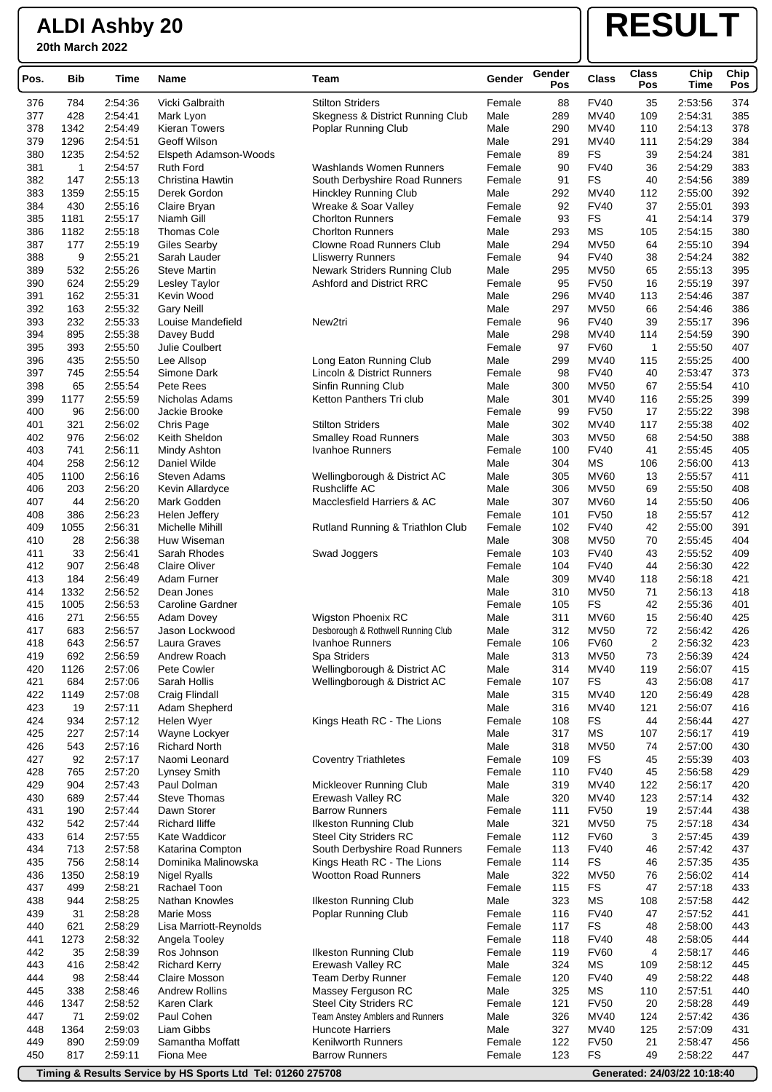**20th March 2022**

# **RESULT**

| Pos.       | <b>Bib</b>  | Time               | <b>Name</b>                  | Team                                            | Gender           | Gender<br>Pos | <b>Class</b>               | Class<br>Pos | Chip<br><b>Time</b> | Chip<br>Pos |
|------------|-------------|--------------------|------------------------------|-------------------------------------------------|------------------|---------------|----------------------------|--------------|---------------------|-------------|
| 376        | 784         | 2:54:36            | Vicki Galbraith              | <b>Stilton Striders</b>                         | Female           | 88            | <b>FV40</b>                | 35           | 2:53:56             | 374         |
| 377        | 428         | 2:54:41            | Mark Lyon                    | Skegness & District Running Club                | Male             | 289           | <b>MV40</b>                | 109          | 2:54:31             | 385         |
| 378        | 1342        | 2:54:49            | <b>Kieran Towers</b>         | Poplar Running Club                             | Male             | 290           | MV40                       | 110          | 2:54:13             | 378         |
| 379        | 1296        | 2:54:51            | Geoff Wilson                 |                                                 | Male             | 291           | <b>MV40</b>                | 111          | 2:54:29             | 384         |
| 380        | 1235        | 2:54:52            | Elspeth Adamson-Woods        |                                                 | Female           | 89            | <b>FS</b>                  | 39           | 2:54:24             | 381         |
| 381        | 1           | 2:54:57            | <b>Ruth Ford</b>             | <b>Washlands Women Runners</b>                  | Female           | 90            | <b>FV40</b>                | 36           | 2:54:29             | 383         |
| 382        | 147         | 2:55:13            | Christina Hawtin             | South Derbyshire Road Runners                   | Female           | 91            | FS                         | 40           | 2:54:56             | 389         |
| 383        | 1359        | 2:55:15            | Derek Gordon                 | <b>Hinckley Running Club</b>                    | Male             | 292           | <b>MV40</b><br><b>FV40</b> | 112          | 2:55:00             | 392<br>393  |
| 384<br>385 | 430<br>1181 | 2:55:16<br>2:55:17 | Claire Bryan<br>Niamh Gill   | Wreake & Soar Valley<br><b>Chorlton Runners</b> | Female<br>Female | 92<br>93      | FS                         | 37<br>41     | 2:55:01<br>2:54:14  | 379         |
| 386        | 1182        | 2:55:18            | <b>Thomas Cole</b>           | <b>Chorlton Runners</b>                         | Male             | 293           | <b>MS</b>                  | 105          | 2:54:15             | 380         |
| 387        | 177         | 2:55:19            | <b>Giles Searby</b>          | <b>Clowne Road Runners Club</b>                 | Male             | 294           | <b>MV50</b>                | 64           | 2:55:10             | 394         |
| 388        | 9           | 2:55:21            | Sarah Lauder                 | <b>Lliswerry Runners</b>                        | Female           | 94            | <b>FV40</b>                | 38           | 2:54:24             | 382         |
| 389        | 532         | 2:55:26            | <b>Steve Martin</b>          | Newark Striders Running Club                    | Male             | 295           | <b>MV50</b>                | 65           | 2:55:13             | 395         |
| 390        | 624         | 2:55:29            | Lesley Taylor                | Ashford and District RRC                        | Female           | 95            | <b>FV50</b>                | 16           | 2:55:19             | 397         |
| 391        | 162         | 2:55:31            | Kevin Wood                   |                                                 | Male             | 296           | <b>MV40</b>                | 113          | 2:54:46             | 387         |
| 392        | 163         | 2:55:32            | <b>Gary Neill</b>            |                                                 | Male             | 297           | <b>MV50</b>                | 66           | 2:54:46             | 386         |
| 393        | 232         | 2:55:33            | Louise Mandefield            | New2tri                                         | Female           | 96            | <b>FV40</b>                | 39           | 2:55:17             | 396         |
| 394        | 895         | 2:55:38            | Davey Budd                   |                                                 | Male             | 298           | <b>MV40</b>                | 114          | 2:54:59             | 390         |
| 395        | 393         | 2:55:50            | <b>Julie Coulbert</b>        |                                                 | Female           | 97            | <b>FV60</b>                | 1            | 2:55:50             | 407         |
| 396        | 435         | 2:55:50            | Lee Allsop                   | Long Eaton Running Club                         | Male             | 299           | <b>MV40</b>                | 115          | 2:55:25             | 400         |
| 397        | 745         | 2:55:54            | Simone Dark                  | Lincoln & District Runners                      | Female           | 98            | <b>FV40</b>                | 40           | 2:53:47             | 373         |
| 398        | 65          | 2:55:54            | Pete Rees                    | Sinfin Running Club                             | Male             | 300           | <b>MV50</b>                | 67           | 2:55:54             | 410         |
| 399        | 1177        | 2:55:59            | Nicholas Adams               | Ketton Panthers Tri club                        | Male             | 301           | <b>MV40</b>                | 116          | 2:55:25             | 399         |
| 400<br>401 | 96<br>321   | 2:56:00<br>2:56:02 | Jackie Brooke                | <b>Stilton Striders</b>                         | Female<br>Male   | 99<br>302     | <b>FV50</b><br><b>MV40</b> | 17<br>117    | 2:55:22<br>2:55:38  | 398<br>402  |
| 402        | 976         | 2:56:02            | Chris Page<br>Keith Sheldon  | <b>Smalley Road Runners</b>                     | Male             | 303           | <b>MV50</b>                | 68           | 2:54:50             | 388         |
| 403        | 741         | 2:56:11            | Mindy Ashton                 | Ivanhoe Runners                                 | Female           | 100           | <b>FV40</b>                | 41           | 2:55:45             | 405         |
| 404        | 258         | 2:56:12            | Daniel Wilde                 |                                                 | Male             | 304           | <b>MS</b>                  | 106          | 2:56:00             | 413         |
| 405        | 1100        | 2:56:16            | Steven Adams                 | Wellingborough & District AC                    | Male             | 305           | <b>MV60</b>                | 13           | 2:55:57             | 411         |
| 406        | 203         | 2:56:20            | Kevin Allardyce              | Rushcliffe AC                                   | Male             | 306           | <b>MV50</b>                | 69           | 2:55:50             | 408         |
| 407        | 44          | 2:56:20            | Mark Godden                  | Macclesfield Harriers & AC                      | Male             | 307           | <b>MV60</b>                | 14           | 2:55:50             | 406         |
| 408        | 386         | 2:56:23            | Helen Jeffery                |                                                 | Female           | 101           | <b>FV50</b>                | 18           | 2:55:57             | 412         |
| 409        | 1055        | 2:56:31            | Michelle Mihill              | Rutland Running & Triathlon Club                | Female           | 102           | <b>FV40</b>                | 42           | 2:55:00             | 391         |
| 410        | 28          | 2:56:38            | Huw Wiseman                  |                                                 | Male             | 308           | <b>MV50</b>                | 70           | 2:55:45             | 404         |
| 411        | 33          | 2:56:41            | Sarah Rhodes                 | Swad Joggers                                    | Female           | 103           | <b>FV40</b>                | 43           | 2:55:52             | 409         |
| 412        | 907         | 2:56:48            | <b>Claire Oliver</b>         |                                                 | Female           | 104           | <b>FV40</b>                | 44           | 2:56:30             | 422         |
| 413        | 184         | 2:56:49            | Adam Furner                  |                                                 | Male             | 309           | <b>MV40</b>                | 118          | 2:56:18             | 421         |
| 414        | 1332        | 2:56:52            | Dean Jones                   |                                                 | Male             | 310           | <b>MV50</b>                | 71           | 2:56:13             | 418         |
| 415        | 1005        | 2:56:53            | <b>Caroline Gardner</b>      |                                                 | Female           | 105           | <b>FS</b>                  | 42           | 2:55:36             | 401         |
| 416        | 271         | 2:56:55            | <b>Adam Dovey</b>            | <b>Wigston Phoenix RC</b>                       | Male             | 311           | <b>MV60</b>                | 15           | 2:56:40             | 425         |
| 417        | 683         | 2:56:57            | Jason Lockwood               | Desborough & Rothwell Running Club              | Male             | 312           | <b>MV50</b>                | 72           | 2:56:42             | 426<br>423  |
| 418<br>419 | 643<br>692  | 2:56:57            | Laura Graves<br>Andrew Roach | Ivanhoe Runners<br>Spa Striders                 | Female<br>Male   | 106<br>313    | <b>FV60</b><br><b>MV50</b> | 2<br>73      | 2:56:32<br>2:56:39  | 424         |
| 420        | 1126        | 2:56:59<br>2:57:06 | Pete Cowler                  | Wellingborough & District AC                    | Male             | 314           | <b>MV40</b>                | 119          | 2:56:07             | 415         |
| 421        | 684         | 2:57:06            | Sarah Hollis                 | Wellingborough & District AC                    | Female           | 107           | FS                         | 43           | 2:56:08             | 417         |
| 422        | 1149        | 2:57:08            | Craig Flindall               |                                                 | Male             | 315           | <b>MV40</b>                | 120          | 2:56:49             | 428         |
| 423        | 19          | 2:57:11            | Adam Shepherd                |                                                 | Male             | 316           | <b>MV40</b>                | 121          | 2:56:07             | 416         |
| 424        | 934         | 2:57:12            | Helen Wyer                   | Kings Heath RC - The Lions                      | Female           | 108           | FS                         | 44           | 2:56:44             | 427         |
| 425        | 227         | 2:57:14            | Wayne Lockyer                |                                                 | Male             | 317           | <b>MS</b>                  | 107          | 2:56:17             | 419         |
| 426        | 543         | 2:57:16            | <b>Richard North</b>         |                                                 | Male             | 318           | <b>MV50</b>                | 74           | 2:57:00             | 430         |
| 427        | 92          | 2:57:17            | Naomi Leonard                | <b>Coventry Triathletes</b>                     | Female           | 109           | FS                         | 45           | 2:55:39             | 403         |
| 428        | 765         | 2:57:20            | Lynsey Smith                 |                                                 | Female           | 110           | <b>FV40</b>                | 45           | 2:56:58             | 429         |
| 429        | 904         | 2:57:43            | Paul Dolman                  | Mickleover Running Club                         | Male             | 319           | <b>MV40</b>                | 122          | 2:56:17             | 420         |
| 430        | 689         | 2:57:44            | <b>Steve Thomas</b>          | Erewash Valley RC                               | Male             | 320           | <b>MV40</b>                | 123          | 2:57:14             | 432         |
| 431        | 190         | 2:57:44            | Dawn Storer                  | <b>Barrow Runners</b>                           | Female           | 111           | <b>FV50</b>                | 19           | 2:57:44             | 438         |
| 432        | 542         | 2:57:44            | <b>Richard Iliffe</b>        | Ilkeston Running Club                           | Male             | 321           | <b>MV50</b>                | 75           | 2:57:18             | 434         |
| 433        | 614         | 2:57:55            | Kate Waddicor                | <b>Steel City Striders RC</b>                   | Female           | 112           | <b>FV60</b>                | 3            | 2:57:45             | 439         |
| 434        | 713         | 2:57:58            | Katarina Compton             | South Derbyshire Road Runners                   | Female           | 113           | <b>FV40</b>                | 46           | 2:57:42             | 437         |
| 435        | 756         | 2:58:14            | Dominika Malinowska          | Kings Heath RC - The Lions                      | Female           | 114           | <b>FS</b>                  | 46           | 2:57:35             | 435         |
| 436<br>437 | 1350<br>499 | 2:58:19<br>2:58:21 | Nigel Ryalls<br>Rachael Toon | <b>Wootton Road Runners</b>                     | Male<br>Female   | 322<br>115    | <b>MV50</b><br>FS          | 76<br>47     | 2:56:02<br>2:57:18  | 414<br>433  |
| 438        | 944         | 2:58:25            | Nathan Knowles               | <b>Ilkeston Running Club</b>                    | Male             | 323           | <b>MS</b>                  | 108          | 2:57:58             | 442         |
| 439        | 31          | 2:58:28            | Marie Moss                   | Poplar Running Club                             | Female           | 116           | <b>FV40</b>                | 47           | 2:57:52             | 441         |
| 440        | 621         | 2:58:29            | Lisa Marriott-Reynolds       |                                                 | Female           | 117           | FS                         | 48           | 2:58:00             | 443         |
| 441        | 1273        | 2:58:32            | Angela Tooley                |                                                 | Female           | 118           | <b>FV40</b>                | 48           | 2:58:05             | 444         |
| 442        | 35          | 2:58:39            | Ros Johnson                  | <b>Ilkeston Running Club</b>                    | Female           | 119           | <b>FV60</b>                | 4            | 2:58:17             | 446         |
| 443        | 416         | 2:58:42            | <b>Richard Kerry</b>         | Erewash Valley RC                               | Male             | 324           | <b>MS</b>                  | 109          | 2:58:12             | 445         |
| 444        | 98          | 2:58:44            | <b>Claire Mosson</b>         | Team Derby Runner                               | Female           | 120           | <b>FV40</b>                | 49           | 2:58:22             | 448         |
| 445        | 338         | 2:58:46            | <b>Andrew Rollins</b>        | Massey Ferguson RC                              | Male             | 325           | <b>MS</b>                  | 110          | 2:57:51             | 440         |
| 446        | 1347        | 2:58:52            | Karen Clark                  | <b>Steel City Striders RC</b>                   | Female           | 121           | <b>FV50</b>                | 20           | 2:58:28             | 449         |
| 447        | 71          | 2:59:02            | Paul Cohen                   | Team Anstey Amblers and Runners                 | Male             | 326           | <b>MV40</b>                | 124          | 2:57:42             | 436         |
| 448        | 1364        | 2:59:03            | Liam Gibbs                   | <b>Huncote Harriers</b>                         | Male             | 327           | <b>MV40</b>                | 125          | 2:57:09             | 431         |
| 449        | 890         | 2:59:09            | Samantha Moffatt             | <b>Kenilworth Runners</b>                       | Female           | 122           | <b>FV50</b>                | 21           | 2:58:47             | 456         |
| 450        | 817         | 2:59:11            | Fiona Mee                    | <b>Barrow Runners</b>                           | Female           | 123           | <b>FS</b>                  | 49           | 2:58:22             | 447         |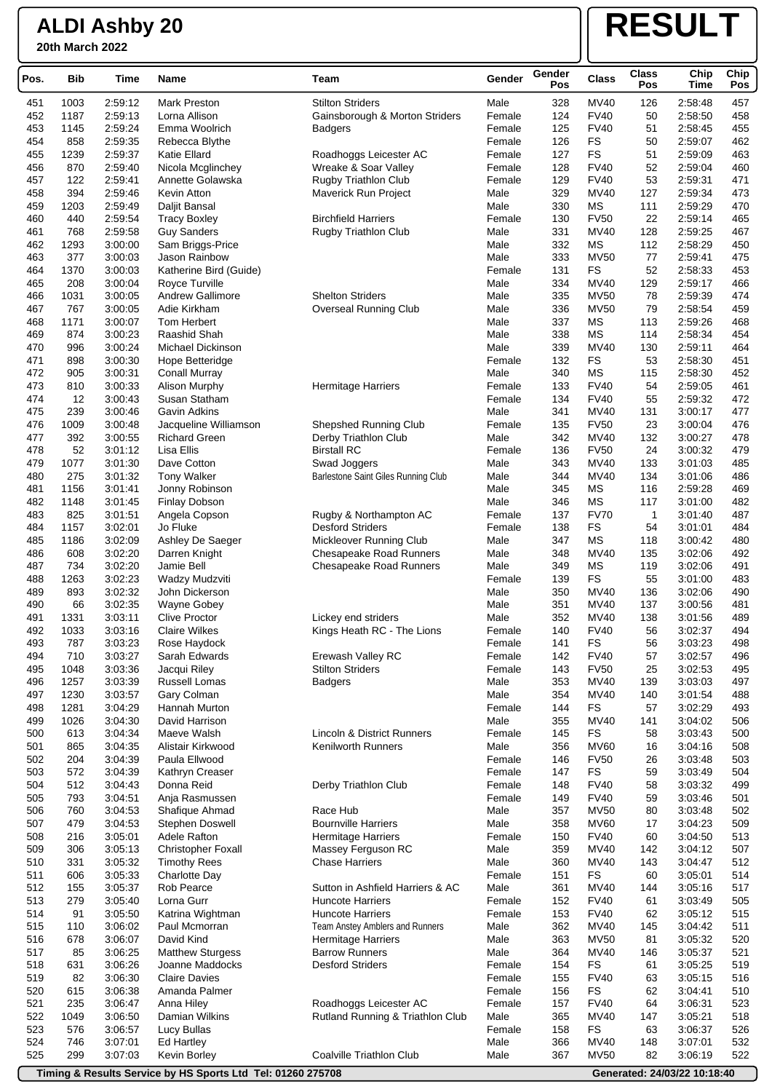**20th March 2022**

# **RESULT**

| Pos.       | <b>Bib</b>  | Time               | <b>Name</b>                          | Team                                              | Gender           | Gender<br>Pos | <b>Class</b>               | <b>Class</b><br>Pos | Chip<br>Time       | Chip<br>Pos |
|------------|-------------|--------------------|--------------------------------------|---------------------------------------------------|------------------|---------------|----------------------------|---------------------|--------------------|-------------|
| 451        | 1003        | 2:59:12            | Mark Preston                         | <b>Stilton Striders</b>                           | Male             | 328           | <b>MV40</b>                | 126                 | 2:58:48            | 457         |
| 452        | 1187        | 2:59:13            | Lorna Allison                        | Gainsborough & Morton Striders                    | Female           | 124           | <b>FV40</b>                | 50                  | 2:58:50            | 458         |
| 453        | 1145        | 2:59:24            | Emma Woolrich                        | <b>Badgers</b>                                    | Female           | 125           | <b>FV40</b>                | 51                  | 2:58:45            | 455         |
| 454        | 858         | 2:59:35            | Rebecca Blythe                       |                                                   | Female           | 126           | FS                         | 50                  | 2:59:07            | 462         |
| 455        | 1239        | 2:59:37            | Katie Ellard                         | Roadhoggs Leicester AC                            | Female           | 127           | <b>FS</b>                  | 51                  | 2:59:09            | 463         |
| 456        | 870         | 2:59:40            | Nicola Mcglinchey                    | Wreake & Soar Valley                              | Female           | 128           | <b>FV40</b>                | 52                  | 2:59:04            | 460         |
| 457        | 122         | 2:59:41            | Annette Golawska                     | Rugby Triathlon Club                              | Female           | 129           | <b>FV40</b>                | 53                  | 2:59:31            | 471         |
| 458<br>459 | 394<br>1203 | 2:59:46<br>2:59:49 | Kevin Atton                          | Maverick Run Project                              | Male<br>Male     | 329<br>330    | <b>MV40</b><br><b>MS</b>   | 127<br>111          | 2:59:34<br>2:59:29 | 473<br>470  |
| 460        | 440         | 2:59:54            | Daljit Bansal<br><b>Tracy Boxley</b> | <b>Birchfield Harriers</b>                        | Female           | 130           | <b>FV50</b>                | 22                  | 2:59:14            | 465         |
| 461        | 768         | 2:59:58            | <b>Guy Sanders</b>                   | Rugby Triathlon Club                              | Male             | 331           | <b>MV40</b>                | 128                 | 2:59:25            | 467         |
| 462        | 1293        | 3:00:00            | Sam Briggs-Price                     |                                                   | Male             | 332           | <b>MS</b>                  | 112                 | 2:58:29            | 450         |
| 463        | 377         | 3:00:03            | Jason Rainbow                        |                                                   | Male             | 333           | <b>MV50</b>                | 77                  | 2:59:41            | 475         |
| 464        | 1370        | 3:00:03            | Katherine Bird (Guide)               |                                                   | Female           | 131           | <b>FS</b>                  | 52                  | 2:58:33            | 453         |
| 465        | 208         | 3:00:04            | Royce Turville                       |                                                   | Male             | 334           | <b>MV40</b>                | 129                 | 2:59:17            | 466         |
| 466        | 1031        | 3:00:05            | <b>Andrew Gallimore</b>              | <b>Shelton Striders</b>                           | Male             | 335           | <b>MV50</b>                | 78                  | 2:59:39            | 474         |
| 467        | 767         | 3:00:05            | Adie Kirkham                         | Overseal Running Club                             | Male             | 336           | <b>MV50</b>                | 79                  | 2:58:54            | 459         |
| 468        | 1171        | 3:00:07            | Tom Herbert                          |                                                   | Male             | 337           | <b>MS</b>                  | 113                 | 2:59:26            | 468         |
| 469        | 874         | 3:00:23            | Raashid Shah                         |                                                   | Male             | 338           | <b>MS</b>                  | 114                 | 2:58:34            | 454         |
| 470        | 996         | 3:00:24            | Michael Dickinson                    |                                                   | Male             | 339           | MV40                       | 130                 | 2:59:11            | 464         |
| 471        | 898         | 3:00:30            | Hope Betteridge                      |                                                   | Female           | 132           | <b>FS</b>                  | 53                  | 2:58:30            | 451         |
| 472        | 905         | 3:00:31            | <b>Conall Murray</b>                 |                                                   | Male             | 340           | <b>MS</b>                  | 115                 | 2:58:30            | 452         |
| 473        | 810         | 3:00:33            | Alison Murphy                        | Hermitage Harriers                                | Female           | 133           | <b>FV40</b>                | 54                  | 2:59:05            | 461         |
| 474        | 12          | 3:00:43            | Susan Statham                        |                                                   | Female           | 134           | <b>FV40</b>                | 55                  | 2:59:32            | 472         |
| 475        | 239         | 3:00:46            | <b>Gavin Adkins</b>                  |                                                   | Male             | 341           | <b>MV40</b>                | 131                 | 3:00:17            | 477         |
| 476        | 1009        | 3:00:48            | Jacqueline Williamson                | Shepshed Running Club                             | Female           | 135           | <b>FV50</b>                | 23                  | 3:00:04            | 476         |
| 477        | 392         | 3:00:55            | <b>Richard Green</b>                 | Derby Triathlon Club                              | Male             | 342           | <b>MV40</b>                | 132                 | 3:00:27            | 478         |
| 478        | 52          | 3:01:12            | Lisa Ellis                           | <b>Birstall RC</b>                                | Female           | 136           | <b>FV50</b>                | 24                  | 3:00:32            | 479         |
| 479        | 1077        | 3:01:30            | Dave Cotton                          | Swad Joggers                                      | Male             | 343           | <b>MV40</b>                | 133                 | 3:01:03            | 485         |
| 480        | 275         | 3:01:32            | <b>Tony Walker</b>                   | Barlestone Saint Giles Running Club               | Male             | 344           | <b>MV40</b>                | 134                 | 3:01:06            | 486         |
| 481        | 1156        | 3:01:41            | Jonny Robinson                       |                                                   | Male             | 345           | МS                         | 116                 | 2:59:28            | 469         |
| 482        | 1148        | 3:01:45            | Finlay Dobson                        |                                                   | Male             | 346           | <b>MS</b>                  | 117                 | 3:01:00            | 482         |
| 483<br>484 | 825<br>1157 | 3:01:51<br>3:02:01 | Angela Copson<br>Jo Fluke            | Rugby & Northampton AC<br><b>Desford Striders</b> | Female<br>Female | 137<br>138    | <b>FV70</b><br><b>FS</b>   | 1<br>54             | 3:01:40<br>3:01:01 | 487<br>484  |
| 485        | 1186        | 3:02:09            | Ashley De Saeger                     | Mickleover Running Club                           | Male             | 347           | <b>MS</b>                  | 118                 | 3:00:42            | 480         |
| 486        | 608         | 3:02:20            | Darren Knight                        | <b>Chesapeake Road Runners</b>                    | Male             | 348           | MV40                       | 135                 | 3:02:06            | 492         |
| 487        | 734         | 3:02:20            | Jamie Bell                           | <b>Chesapeake Road Runners</b>                    | Male             | 349           | <b>MS</b>                  | 119                 | 3:02:06            | 491         |
| 488        | 1263        | 3:02:23            | Wadzy Mudzviti                       |                                                   | Female           | 139           | <b>FS</b>                  | 55                  | 3:01:00            | 483         |
| 489        | 893         | 3:02:32            | John Dickerson                       |                                                   | Male             | 350           | <b>MV40</b>                | 136                 | 3:02:06            | 490         |
| 490        | 66          | 3:02:35            | Wayne Gobey                          |                                                   | Male             | 351           | <b>MV40</b>                | 137                 | 3:00:56            | 481         |
| 491        | 1331        | 3:03:11            | <b>Clive Proctor</b>                 | Lickey end striders                               | Male             | 352           | <b>MV40</b>                | 138                 | 3:01:56            | 489         |
| 492        | 1033        | 3:03:16            | <b>Claire Wilkes</b>                 | Kings Heath RC - The Lions                        | Female           | 140           | <b>FV40</b>                | 56                  | 3:02:37            | 494         |
| 493        | 787         | 3:03:23            | Rose Haydock                         |                                                   | Female           | 141           | <b>FS</b>                  | 56                  | 3:03:23            | 498         |
| 494        | 710         | 3:03:27            | Sarah Edwards                        | Erewash Valley RC                                 | Female           | 142           | <b>FV40</b>                | 57                  | 3:02:57            | 496         |
| 495        | 1048        | 3:03:36            | Jacqui Riley                         | <b>Stilton Striders</b>                           | Female           | 143           | <b>FV50</b>                | 25                  | 3:02:53            | 495         |
| 496        | 1257        | 3:03:39            | Russell Lomas                        | <b>Badgers</b>                                    | Male             | 353           | <b>MV40</b>                | 139                 | 3:03:03            | 497         |
| 497        | 1230        | 3:03:57            | Gary Colman                          |                                                   | Male             | 354           | <b>MV40</b>                | 140                 | 3:01:54            | 488         |
| 498        | 1281        | 3:04:29            | Hannah Murton                        |                                                   | Female           | 144           | <b>FS</b>                  | 57                  | 3:02:29            | 493         |
| 499        | 1026        | 3:04:30            | David Harrison                       |                                                   | Male             | 355           | <b>MV40</b>                | 141                 | 3:04:02            | 506         |
| 500        | 613         | 3:04:34            | Maeve Walsh                          | Lincoln & District Runners                        | Female           | 145           | FS                         | 58                  | 3:03:43            | 500         |
| 501        | 865         | 3:04:35            | Alistair Kirkwood                    | <b>Kenilworth Runners</b>                         | Male             | 356           | <b>MV60</b>                | 16                  | 3:04:16            | 508         |
| 502        | 204         | 3:04:39            | Paula Ellwood                        |                                                   | Female           | 146           | <b>FV50</b>                | 26                  | 3:03:48            | 503         |
| 503        | 572         | 3:04:39            | Kathryn Creaser                      |                                                   | Female           | 147           | FS                         | 59                  | 3:03:49            | 504         |
| 504<br>505 | 512<br>793  | 3:04:43<br>3:04:51 | Donna Reid                           | Derby Triathlon Club                              | Female<br>Female | 148<br>149    | <b>FV40</b><br><b>FV40</b> | 58<br>59            | 3:03:32<br>3:03:46 | 499<br>501  |
| 506        | 760         | 3:04:53            | Anja Rasmussen<br>Shafique Ahmad     | Race Hub                                          | Male             | 357           | <b>MV50</b>                | 80                  | 3:03:48            | 502         |
| 507        | 479         | 3:04:53            | <b>Stephen Doswell</b>               | <b>Bournville Harriers</b>                        | Male             | 358           | <b>MV60</b>                | 17                  | 3:04:23            | 509         |
| 508        | 216         | 3:05:01            | Adele Rafton                         | <b>Hermitage Harriers</b>                         | Female           | 150           | <b>FV40</b>                | 60                  | 3:04:50            | 513         |
| 509        | 306         | 3:05:13            | Christopher Foxall                   | Massey Ferguson RC                                | Male             | 359           | <b>MV40</b>                | 142                 | 3:04:12            | 507         |
| 510        | 331         | 3:05:32            | <b>Timothy Rees</b>                  | <b>Chase Harriers</b>                             | Male             | 360           | <b>MV40</b>                | 143                 | 3:04:47            | 512         |
| 511        | 606         | 3:05:33            | <b>Charlotte Day</b>                 |                                                   | Female           | 151           | FS                         | 60                  | 3:05:01            | 514         |
| 512        | 155         | 3:05:37            | Rob Pearce                           | Sutton in Ashfield Harriers & AC                  | Male             | 361           | <b>MV40</b>                | 144                 | 3:05:16            | 517         |
| 513        | 279         | 3:05:40            | Lorna Gurr                           | <b>Huncote Harriers</b>                           | Female           | 152           | <b>FV40</b>                | 61                  | 3:03:49            | 505         |
| 514        | 91          | 3:05:50            | Katrina Wightman                     | <b>Huncote Harriers</b>                           | Female           | 153           | <b>FV40</b>                | 62                  | 3:05:12            | 515         |
| 515        | 110         | 3:06:02            | Paul Mcmorran                        | Team Anstey Amblers and Runners                   | Male             | 362           | <b>MV40</b>                | 145                 | 3:04:42            | 511         |
| 516        | 678         | 3:06:07            | David Kind                           | <b>Hermitage Harriers</b>                         | Male             | 363           | <b>MV50</b>                | 81                  | 3:05:32            | 520         |
| 517        | 85          | 3:06:25            | <b>Matthew Sturgess</b>              | <b>Barrow Runners</b>                             | Male             | 364           | <b>MV40</b>                | 146                 | 3:05:37            | 521         |
| 518        | 631         | 3:06:26            | Joanne Maddocks                      | <b>Desford Striders</b>                           | Female           | 154           | <b>FS</b>                  | 61                  | 3:05:25            | 519         |
| 519        | 82          | 3:06:30            | <b>Claire Davies</b>                 |                                                   | Female           | 155           | <b>FV40</b>                | 63                  | 3:05:15            | 516         |
| 520        | 615         | 3:06:38            | Amanda Palmer                        |                                                   | Female           | 156           | FS                         | 62                  | 3:04:41            | 510         |
| 521        | 235         | 3:06:47            | Anna Hiley                           | Roadhoggs Leicester AC                            | Female           | 157           | <b>FV40</b>                | 64                  | 3:06:31            | 523         |
| 522        | 1049        | 3:06:50            | Damian Wilkins                       | Rutland Running & Triathlon Club                  | Male             | 365           | <b>MV40</b>                | 147                 | 3:05:21            | 518         |
| 523        | 576         | 3:06:57            | Lucy Bullas                          |                                                   | Female           | 158           | FS                         | 63                  | 3:06:37            | 526         |
| 524        | 746         | 3:07:01            | <b>Ed Hartley</b>                    |                                                   | Male             | 366           | <b>MV40</b>                | 148                 | 3:07:01            | 532         |
| 525        | 299         | 3:07:03            | Kevin Borley                         | Coalville Triathlon Club                          | Male             | 367           | <b>MV50</b>                | 82                  | 3:06:19            | 522         |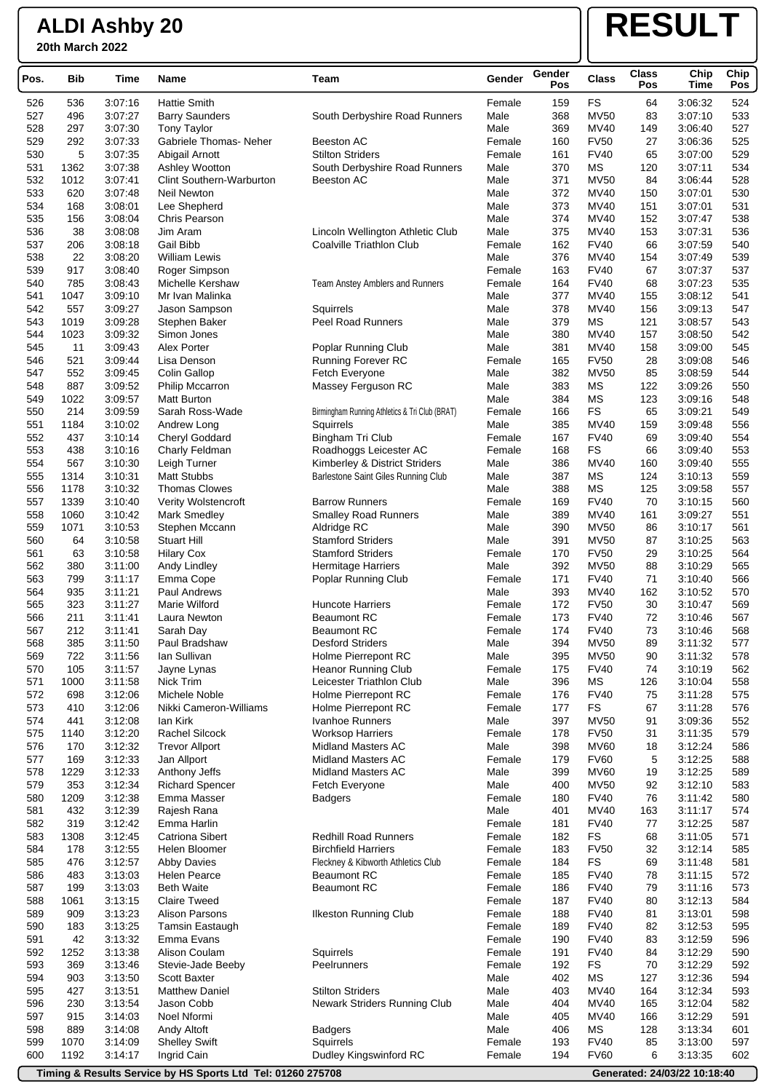**20th March 2022**

# **RESULT**

| Pos.       | Bib         | Time               | Name                                         | Team                                             | Gender         | Gender<br>Pos | <b>Class</b>               | Class<br>Pos | Chip<br>Time       | Chip<br>Pos |
|------------|-------------|--------------------|----------------------------------------------|--------------------------------------------------|----------------|---------------|----------------------------|--------------|--------------------|-------------|
| 526        | 536         | 3:07:16            | <b>Hattie Smith</b>                          |                                                  | Female         | 159           | FS                         | 64           | 3:06:32            | 524         |
| 527        | 496         | 3:07:27            | <b>Barry Saunders</b>                        | South Derbyshire Road Runners                    | Male           | 368           | <b>MV50</b>                | 83           | 3:07:10            | 533         |
| 528        | 297         | 3:07:30            | <b>Tony Taylor</b>                           |                                                  | Male           | 369           | MV40                       | 149          | 3:06:40            | 527         |
| 529        | 292         | 3:07:33            | Gabriele Thomas-Neher                        | Beeston AC                                       | Female         | 160           | <b>FV50</b>                | 27           | 3:06:36            | 525         |
| 530        | 5           | 3:07:35            | Abigail Arnott                               | <b>Stilton Striders</b>                          | Female         | 161           | <b>FV40</b>                | 65           | 3:07:00            | 529         |
| 531        | 1362        | 3:07:38            | Ashley Wootton                               | South Derbyshire Road Runners                    | Male           | 370           | <b>MS</b>                  | 120          | 3:07:11            | 534         |
| 532        | 1012        | 3:07:41            | <b>Clint Southern-Warburton</b>              | Beeston AC                                       | Male           | 371           | <b>MV50</b>                | 84           | 3:06:44            | 528         |
| 533        | 620         | 3:07:48            | Neil Newton                                  |                                                  | Male           | 372           | MV40                       | 150          | 3:07:01            | 530         |
| 534        | 168         | 3:08:01            | Lee Shepherd                                 |                                                  | Male           | 373           | MV40                       | 151          | 3:07:01            | 531         |
| 535        | 156         | 3:08:04            | <b>Chris Pearson</b>                         |                                                  | Male           | 374           | MV40                       | 152          | 3:07:47            | 538         |
| 536        | 38          | 3:08:08            | Jim Aram                                     | Lincoln Wellington Athletic Club                 | Male           | 375           | MV40                       | 153          | 3:07:31            | 536         |
| 537        | 206         | 3:08:18            | Gail Bibb                                    | <b>Coalville Triathlon Club</b>                  | Female         | 162           | <b>FV40</b>                | 66           | 3:07:59            | 540         |
| 538        | 22          | 3:08:20            | <b>William Lewis</b>                         |                                                  | Male           | 376           | MV40                       | 154          | 3:07:49            | 539         |
| 539        | 917         | 3:08:40            | Roger Simpson                                |                                                  | Female         | 163           | <b>FV40</b>                | 67           | 3:07:37            | 537         |
| 540        | 785         | 3:08:43            | Michelle Kershaw                             | Team Anstey Amblers and Runners                  | Female         | 164           | <b>FV40</b>                | 68           | 3:07:23            | 535         |
| 541        | 1047        | 3:09:10            | Mr Ivan Malinka                              |                                                  | Male           | 377           | MV40                       | 155          | 3:08:12            | 541         |
| 542<br>543 | 557<br>1019 | 3:09:27<br>3:09:28 | Jason Sampson                                | Squirrels<br><b>Peel Road Runners</b>            | Male<br>Male   | 378<br>379    | MV40<br><b>MS</b>          | 156<br>121   | 3:09:13<br>3:08:57 | 547<br>543  |
|            |             |                    | Stephen Baker                                |                                                  |                |               |                            |              |                    | 542         |
| 544<br>545 | 1023<br>11  | 3:09:32<br>3:09:43 | Simon Jones<br>Alex Porter                   |                                                  | Male<br>Male   | 380<br>381    | MV40<br>MV40               | 157<br>158   | 3:08:50            | 545         |
| 546        | 521         | 3:09:44            | Lisa Denson                                  | Poplar Running Club<br><b>Running Forever RC</b> |                | 165           | <b>FV50</b>                | 28           | 3:09:00<br>3:09:08 | 546         |
| 547        | 552         | 3:09:45            | <b>Colin Gallop</b>                          | Fetch Everyone                                   | Female<br>Male | 382           | <b>MV50</b>                | 85           | 3:08:59            | 544         |
| 548        | 887         | 3:09:52            |                                              | Massey Ferguson RC                               | Male           | 383           | <b>MS</b>                  | 122          | 3:09:26            | 550         |
| 549        | 1022        | 3:09:57            | <b>Philip Mccarron</b><br><b>Matt Burton</b> |                                                  | Male           | 384           | МS                         | 123          | 3:09:16            | 548         |
| 550        | 214         | 3:09:59            | Sarah Ross-Wade                              | Birmingham Running Athletics & Tri Club (BRAT)   | Female         | 166           | <b>FS</b>                  | 65           | 3:09:21            | 549         |
| 551        | 1184        | 3:10:02            | Andrew Long                                  | Squirrels                                        | Male           | 385           | MV40                       | 159          | 3:09:48            | 556         |
| 552        | 437         | 3:10:14            | Cheryl Goddard                               | Bingham Tri Club                                 | Female         | 167           | <b>FV40</b>                | 69           | 3:09:40            | 554         |
| 553        | 438         | 3:10:16            | Charly Feldman                               | Roadhoggs Leicester AC                           | Female         | 168           | <b>FS</b>                  | 66           | 3:09:40            | 553         |
| 554        | 567         | 3:10:30            | Leigh Turner                                 | Kimberley & District Striders                    | Male           | 386           | MV40                       | 160          | 3:09:40            | 555         |
| 555        | 1314        | 3:10:31            | <b>Matt Stubbs</b>                           | Barlestone Saint Giles Running Club              | Male           | 387           | МS                         | 124          | 3:10:13            | 559         |
| 556        | 1178        | 3:10:32            | <b>Thomas Clowes</b>                         |                                                  | Male           | 388           | <b>MS</b>                  | 125          | 3:09:58            | 557         |
| 557        | 1339        | 3:10:40            | Verity Wolstencroft                          | <b>Barrow Runners</b>                            | Female         | 169           | <b>FV40</b>                | 70           | 3:10:15            | 560         |
| 558        | 1060        | 3:10:42            | Mark Smedley                                 | <b>Smalley Road Runners</b>                      | Male           | 389           | MV40                       | 161          | 3:09:27            | 551         |
| 559        | 1071        | 3:10:53            | Stephen Mccann                               | Aldridge RC                                      | Male           | 390           | <b>MV50</b>                | 86           | 3:10:17            | 561         |
| 560        | 64          | 3:10:58            | <b>Stuart Hill</b>                           | <b>Stamford Striders</b>                         | Male           | 391           | <b>MV50</b>                | 87           | 3:10:25            | 563         |
| 561        | 63          | 3:10:58            | <b>Hilary Cox</b>                            | <b>Stamford Striders</b>                         | Female         | 170           | <b>FV50</b>                | 29           | 3:10:25            | 564         |
| 562        | 380         | 3:11:00            | Andy Lindley                                 | <b>Hermitage Harriers</b>                        | Male           | 392           | <b>MV50</b>                | 88           | 3:10:29            | 565         |
| 563        | 799         | 3:11:17            | Emma Cope                                    | Poplar Running Club                              | Female         | 171           | <b>FV40</b>                | 71           | 3:10:40            | 566         |
| 564        | 935         | 3:11:21            | Paul Andrews                                 |                                                  | Male           | 393           | MV40                       | 162          | 3:10:52            | 570         |
| 565        | 323         | 3:11:27            | Marie Wilford                                | <b>Huncote Harriers</b>                          | Female         | 172           | <b>FV50</b>                | 30           | 3:10:47            | 569         |
| 566        | 211         | 3:11:41            | Laura Newton                                 | <b>Beaumont RC</b>                               | Female         | 173           | <b>FV40</b>                | 72           | 3:10:46            | 567         |
| 567        | 212         | 3:11:41            | Sarah Day                                    | <b>Beaumont RC</b>                               | Female         | 174           | <b>FV40</b>                | 73           | 3:10:46            | 568         |
| 568        | 385         | 3:11:50            | Paul Bradshaw                                | <b>Desford Striders</b>                          | Male           | 394           | <b>MV50</b>                | 89           | 3:11:32            | 577         |
| 569        | 722         | 3:11:56            | Ian Sullivan                                 | Holme Pierrepont RC                              | Male           | 395           | <b>MV50</b>                | 90           | 3:11:32            | 578         |
| 570        | 105         | 3:11:57            | Jayne Lynas                                  | <b>Heanor Running Club</b>                       | Female         | 175           | <b>FV40</b>                | 74           | 3:10:19            | 562         |
| 571        | 1000        | 3:11:58            | Nick Trim                                    | Leicester Triathlon Club                         | Male           | 396           | <b>MS</b>                  | 126          | 3:10:04            | 558         |
| 572        | 698         | 3:12:06            | Michele Noble                                | Holme Pierrepont RC                              | Female         | 176           | <b>FV40</b>                | 75           | 3:11:28            | 575         |
| 573        | 410         | 3:12:06            | Nikki Cameron-Williams                       | Holme Pierrepont RC                              | Female         | 177           | FS                         | 67           | 3:11:28            | 576         |
| 574        | 441         | 3:12:08            | lan Kirk                                     | Ivanhoe Runners                                  | Male           | 397           | <b>MV50</b>                | 91           | 3:09:36            | 552         |
| 575        | 1140        | 3:12:20            | <b>Rachel Silcock</b>                        | <b>Worksop Harriers</b>                          | Female         | 178           | <b>FV50</b>                | 31           | 3:11:35            | 579         |
| 576        | 170         | 3:12:32            | <b>Trevor Allport</b>                        | <b>Midland Masters AC</b>                        | Male           | 398           | <b>MV60</b>                | 18           | 3:12:24            | 586         |
| 577        | 169         | 3:12:33            | Jan Allport                                  | <b>Midland Masters AC</b>                        | Female         | 179           | <b>FV60</b>                | 5            | 3:12:25            | 588         |
| 578        | 1229        | 3:12:33            | Anthony Jeffs                                | <b>Midland Masters AC</b>                        | Male           | 399           | <b>MV60</b>                | 19           | 3:12:25            | 589         |
| 579        | 353         | 3:12:34            | <b>Richard Spencer</b>                       | Fetch Everyone                                   | Male           | 400           | <b>MV50</b>                | 92           | 3:12:10            | 583         |
| 580        | 1209        | 3:12:38            | Emma Masser                                  | <b>Badgers</b>                                   | Female         | 180           | <b>FV40</b>                | 76           | 3:11:42            | 580         |
| 581        | 432         | 3:12:39            | Rajesh Rana                                  |                                                  | Male           | 401           | MV40                       | 163          | 3:11:17            | 574         |
| 582        | 319         | 3:12:42            | Emma Harlin                                  |                                                  | Female         | 181           | <b>FV40</b>                | 77           | 3:12:25            | 587         |
| 583        | 1308        | 3:12:45            | <b>Catriona Sibert</b>                       | <b>Redhill Road Runners</b>                      | Female         | 182           | FS                         | 68           | 3:11:05            | 571         |
| 584        | 178         | 3:12:55            | Helen Bloomer                                | <b>Birchfield Harriers</b>                       | Female         | 183           | <b>FV50</b>                | 32           | 3:12:14            | 585         |
| 585        | 476         | 3:12:57            | <b>Abby Davies</b>                           | Fleckney & Kibworth Athletics Club               | Female         | 184           | FS                         | 69           | 3:11:48            | 581         |
| 586        | 483         | 3:13:03            | <b>Helen Pearce</b>                          | <b>Beaumont RC</b>                               | Female         | 185           | <b>FV40</b>                | 78           | 3:11:15            | 572         |
| 587        | 199         | 3:13:03            | <b>Beth Waite</b>                            | <b>Beaumont RC</b>                               | Female         | 186           | <b>FV40</b>                | 79           | 3:11:16            | 573         |
| 588        | 1061        | 3:13:15            | <b>Claire Tweed</b>                          |                                                  | Female         | 187           | <b>FV40</b>                | 80           | 3:12:13            | 584         |
| 589        | 909         | 3:13:23            | <b>Alison Parsons</b>                        | Ilkeston Running Club                            | Female         | 188           | <b>FV40</b>                | 81           | 3:13:01            | 598         |
| 590        | 183         | 3:13:25            | Tamsin Eastaugh                              |                                                  | Female         | 189           | <b>FV40</b>                | 82           | 3:12:53            | 595         |
| 591        | 42          | 3:13:32            | Emma Evans                                   |                                                  | Female         | 190           | <b>FV40</b><br><b>FV40</b> | 83           | 3:12:59            | 596         |
| 592        | 1252        | 3:13:38            | Alison Coulam                                | Squirrels                                        | Female         | 191           |                            | 84           | 3:12:29            | 590         |
| 593<br>594 | 369<br>903  | 3:13:46<br>3:13:50 | Stevie-Jade Beeby<br><b>Scott Baxter</b>     | Peelrunners                                      | Female<br>Male | 192<br>402    | FS<br><b>MS</b>            | 70<br>127    | 3:12:29<br>3:12:36 | 592<br>594  |
| 595        | 427         |                    | <b>Matthew Daniel</b>                        | <b>Stilton Striders</b>                          | Male           | 403           | MV40                       | 164          | 3:12:34            | 593         |
| 596        | 230         | 3:13:51<br>3:13:54 | Jason Cobb                                   | Newark Striders Running Club                     | Male           | 404           | MV40                       | 165          | 3:12:04            | 582         |
| 597        | 915         | 3:14:03            | Noel Nformi                                  |                                                  | Male           | 405           | <b>MV40</b>                | 166          | 3:12:29            | 591         |
| 598        | 889         | 3:14:08            | Andy Altoft                                  | <b>Badgers</b>                                   | Male           | 406           | <b>MS</b>                  | 128          | 3:13:34            | 601         |
| 599        | 1070        | 3:14:09            | <b>Shelley Swift</b>                         | Squirrels                                        | Female         | 193           | <b>FV40</b>                | 85           | 3:13:00            | 597         |
| 600        | 1192        | 3:14:17            | Ingrid Cain                                  | Dudley Kingswinford RC                           | Female         | 194           | <b>FV60</b>                | 6            | 3:13:35            | 602         |
|            |             |                    |                                              |                                                  |                |               |                            |              |                    |             |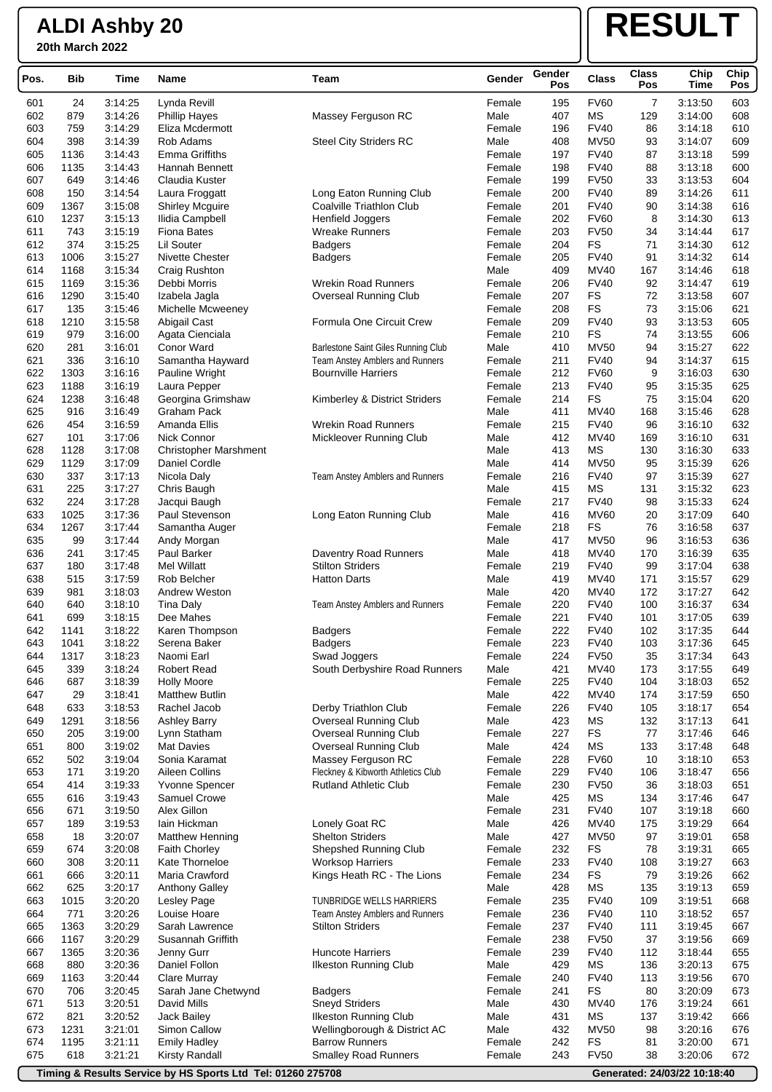**20th March 2022**

# **RESULT**

| Pos.       | <b>Bib</b>   | Time               | Name                                      | Team                                                                   | Gender           | Gender<br>Pos | <b>Class</b>               | <b>Class</b><br>Pos | Chip<br>Time       | Chip<br>Pos |
|------------|--------------|--------------------|-------------------------------------------|------------------------------------------------------------------------|------------------|---------------|----------------------------|---------------------|--------------------|-------------|
| 601        | 24           | 3:14:25            | Lynda Revill                              |                                                                        | Female           | 195           | <b>FV60</b>                | 7                   | 3:13:50            | 603         |
| 602        | 879          | 3:14:26            | <b>Phillip Hayes</b>                      | Massey Ferguson RC                                                     | Male             | 407           | <b>MS</b>                  | 129                 | 3:14:00            | 608         |
| 603        | 759          | 3:14:29            | Eliza Mcdermott                           |                                                                        | Female           | 196           | <b>FV40</b>                | 86                  | 3:14:18            | 610         |
| 604        | 398          | 3:14:39            | Rob Adams                                 | <b>Steel City Striders RC</b>                                          | Male             | 408           | <b>MV50</b>                | 93                  | 3:14:07            | 609         |
| 605        | 1136         | 3:14:43            | Emma Griffiths                            |                                                                        | Female           | 197           | <b>FV40</b>                | 87                  | 3:13:18            | 599         |
| 606        | 1135         | 3:14:43            | Hannah Bennett                            |                                                                        | Female           | 198           | <b>FV40</b>                | 88                  | 3:13:18            | 600         |
| 607        | 649          | 3:14:46            | Claudia Kuster                            |                                                                        | Female           | 199           | <b>FV50</b>                | 33                  | 3:13:53            | 604         |
| 608        | 150          | 3:14:54            | Laura Froggatt                            | Long Eaton Running Club                                                | Female           | 200           | <b>FV40</b><br><b>FV40</b> | 89                  | 3:14:26            | 611         |
| 609<br>610 | 1367<br>1237 | 3:15:08<br>3:15:13 | <b>Shirley Mcguire</b><br>Ilidia Campbell | Coalville Triathlon Club<br>Henfield Joggers                           | Female<br>Female | 201<br>202    | <b>FV60</b>                | 90<br>8             | 3:14:38<br>3:14:30 | 616<br>613  |
| 611        | 743          | 3:15:19            | <b>Fiona Bates</b>                        | <b>Wreake Runners</b>                                                  | Female           | 203           | <b>FV50</b>                | 34                  | 3:14:44            | 617         |
| 612        | 374          | 3:15:25            | <b>Lil Souter</b>                         | <b>Badgers</b>                                                         | Female           | 204           | <b>FS</b>                  | 71                  | 3:14:30            | 612         |
| 613        | 1006         | 3:15:27            | Nivette Chester                           | <b>Badgers</b>                                                         | Female           | 205           | <b>FV40</b>                | 91                  | 3:14:32            | 614         |
| 614        | 1168         | 3:15:34            | Craig Rushton                             |                                                                        | Male             | 409           | MV40                       | 167                 | 3:14:46            | 618         |
| 615        | 1169         | 3:15:36            | Debbi Morris                              | <b>Wrekin Road Runners</b>                                             | Female           | 206           | <b>FV40</b>                | 92                  | 3:14:47            | 619         |
| 616        | 1290         | 3:15:40            | Izabela Jagla                             | <b>Overseal Running Club</b>                                           | Female           | 207           | <b>FS</b>                  | 72                  | 3:13:58            | 607         |
| 617        | 135          | 3:15:46            | Michelle Mcweeney                         |                                                                        | Female           | 208           | <b>FS</b>                  | 73                  | 3:15:06            | 621         |
| 618        | 1210         | 3:15:58            | Abigail Cast                              | Formula One Circuit Crew                                               | Female           | 209           | <b>FV40</b>                | 93                  | 3:13:53            | 605         |
| 619<br>620 | 979<br>281   | 3:16:00<br>3:16:01 | Agata Cienciala<br>Conor Ward             |                                                                        | Female<br>Male   | 210<br>410    | <b>FS</b><br><b>MV50</b>   | 74<br>94            | 3:13:55<br>3:15:27 | 606<br>622  |
| 621        | 336          | 3:16:10            | Samantha Hayward                          | Barlestone Saint Giles Running Club<br>Team Anstey Amblers and Runners | Female           | 211           | <b>FV40</b>                | 94                  | 3:14:37            | 615         |
| 622        | 1303         | 3:16:16            | Pauline Wright                            | <b>Bournville Harriers</b>                                             | Female           | 212           | <b>FV60</b>                | 9                   | 3:16:03            | 630         |
| 623        | 1188         | 3:16:19            | Laura Pepper                              |                                                                        | Female           | 213           | <b>FV40</b>                | 95                  | 3:15:35            | 625         |
| 624        | 1238         | 3:16:48            | Georgina Grimshaw                         | Kimberley & District Striders                                          | Female           | 214           | FS                         | 75                  | 3:15:04            | 620         |
| 625        | 916          | 3:16:49            | Graham Pack                               |                                                                        | Male             | 411           | MV40                       | 168                 | 3:15:46            | 628         |
| 626        | 454          | 3:16:59            | Amanda Ellis                              | <b>Wrekin Road Runners</b>                                             | Female           | 215           | <b>FV40</b>                | 96                  | 3:16:10            | 632         |
| 627        | 101          | 3:17:06            | Nick Connor                               | Mickleover Running Club                                                | Male             | 412           | MV40                       | 169                 | 3:16:10            | 631         |
| 628        | 1128         | 3:17:08            | <b>Christopher Marshment</b>              |                                                                        | Male             | 413           | МS                         | 130                 | 3:16:30            | 633         |
| 629        | 1129         | 3:17:09            | Daniel Cordle                             |                                                                        | Male             | 414           | <b>MV50</b>                | 95                  | 3:15:39            | 626         |
| 630        | 337          | 3:17:13            | Nicola Daly                               | Team Anstey Amblers and Runners                                        | Female           | 216           | <b>FV40</b>                | 97                  | 3:15:39            | 627         |
| 631<br>632 | 225<br>224   | 3:17:27<br>3:17:28 | Chris Baugh                               |                                                                        | Male             | 415<br>217    | <b>MS</b><br><b>FV40</b>   | 131<br>98           | 3:15:32<br>3:15:33 | 623<br>624  |
| 633        | 1025         | 3:17:36            | Jacqui Baugh<br>Paul Stevenson            | Long Eaton Running Club                                                | Female<br>Male   | 416           | <b>MV60</b>                | 20                  | 3:17:09            | 640         |
| 634        | 1267         | 3:17:44            | Samantha Auger                            |                                                                        | Female           | 218           | <b>FS</b>                  | 76                  | 3:16:58            | 637         |
| 635        | 99           | 3:17:44            | Andy Morgan                               |                                                                        | Male             | 417           | <b>MV50</b>                | 96                  | 3:16:53            | 636         |
| 636        | 241          | 3:17:45            | Paul Barker                               | Daventry Road Runners                                                  | Male             | 418           | MV40                       | 170                 | 3:16:39            | 635         |
| 637        | 180          | 3:17:48            | Mel Willatt                               | <b>Stilton Striders</b>                                                | Female           | 219           | <b>FV40</b>                | 99                  | 3:17:04            | 638         |
| 638        | 515          | 3:17:59            | Rob Belcher                               | <b>Hatton Darts</b>                                                    | Male             | 419           | MV40                       | 171                 | 3:15:57            | 629         |
| 639        | 981          | 3:18:03            | Andrew Weston                             |                                                                        | Male             | 420           | MV40                       | 172                 | 3:17:27            | 642         |
| 640        | 640          | 3:18:10            | <b>Tina Daly</b>                          | Team Anstey Amblers and Runners                                        | Female           | 220           | <b>FV40</b>                | 100                 | 3:16:37            | 634         |
| 641        | 699          | 3:18:15            | Dee Mahes                                 |                                                                        | Female           | 221           | <b>FV40</b>                | 101                 | 3:17:05            | 639         |
| 642<br>643 | 1141<br>1041 | 3:18:22<br>3:18:22 | Karen Thompson<br>Serena Baker            | Badgers                                                                | Female           | 222<br>223    | <b>FV40</b><br><b>FV40</b> | 102                 | 3:17:35<br>3:17:36 | 644<br>645  |
| 644        | 1317         | 3:18:23            | Naomi Earl                                | <b>Badgers</b><br>Swad Joggers                                         | Female<br>Female | 224           | <b>FV50</b>                | 103<br>35           | 3:17:34            | 643         |
| 645        | 339          | 3:18:24            | Robert Read                               | South Derbyshire Road Runners                                          | Male             | 421           | MV40                       | 173                 | 3:17:55            | 649         |
| 646        | 687          | 3:18:39            | <b>Holly Moore</b>                        |                                                                        | Female           | 225           | <b>FV40</b>                | 104                 | 3:18:03            | 652         |
| 647        | 29           | 3:18:41            | <b>Matthew Butlin</b>                     |                                                                        | Male             | 422           | MV40                       | 174                 | 3:17:59            | 650         |
| 648        | 633          | 3:18:53            | Rachel Jacob                              | Derby Triathlon Club                                                   | Female           | 226           | <b>FV40</b>                | 105                 | 3:18:17            | 654         |
| 649        | 1291         | 3:18:56            | Ashley Barry                              | <b>Overseal Running Club</b>                                           | Male             | 423           | <b>MS</b>                  | 132                 | 3:17:13            | 641         |
| 650        | 205          | 3:19:00            | Lynn Statham                              | <b>Overseal Running Club</b>                                           | Female           | 227           | FS                         | 77                  | 3:17:46            | 646         |
| 651        | 800          | 3:19:02            | <b>Mat Davies</b>                         | <b>Overseal Running Club</b>                                           | Male             | 424           | <b>MS</b>                  | 133                 | 3:17:48            | 648         |
| 652        | 502          | 3:19:04            | Sonia Karamat                             | Massey Ferguson RC                                                     | Female           | 228           | <b>FV60</b>                | 10                  | 3:18:10            | 653         |
| 653        | 171          | 3:19:20            | Aileen Collins                            | Fleckney & Kibworth Athletics Club                                     | Female           | 229           | <b>FV40</b>                | 106                 | 3:18:47            | 656         |
| 654<br>655 | 414<br>616   | 3:19:33<br>3:19:43 | Yvonne Spencer<br><b>Samuel Crowe</b>     | <b>Rutland Athletic Club</b>                                           | Female<br>Male   | 230<br>425    | <b>FV50</b><br>МS          | 36<br>134           | 3:18:03<br>3:17:46 | 651<br>647  |
| 656        | 671          | 3:19:50            | Alex Gillon                               |                                                                        | Female           | 231           | <b>FV40</b>                | 107                 | 3:19:18            | 660         |
| 657        | 189          | 3:19:53            | lain Hickman                              | Lonely Goat RC                                                         | Male             | 426           | MV40                       | 175                 | 3:19:29            | 664         |
| 658        | 18           | 3:20:07            | Matthew Henning                           | <b>Shelton Striders</b>                                                | Male             | 427           | <b>MV50</b>                | 97                  | 3:19:01            | 658         |
| 659        | 674          | 3:20:08            | <b>Faith Chorley</b>                      | Shepshed Running Club                                                  | Female           | 232           | FS                         | 78                  | 3:19:31            | 665         |
| 660        | 308          | 3:20:11            | Kate Thorneloe                            | <b>Worksop Harriers</b>                                                | Female           | 233           | <b>FV40</b>                | 108                 | 3:19:27            | 663         |
| 661        | 666          | 3:20:11            | Maria Crawford                            | Kings Heath RC - The Lions                                             | Female           | 234           | FS                         | 79                  | 3:19:26            | 662         |
| 662        | 625          | 3:20:17            | <b>Anthony Galley</b>                     |                                                                        | Male             | 428           | <b>MS</b>                  | 135                 | 3:19:13            | 659         |
| 663        | 1015         | 3:20:20            | Lesley Page                               | TUNBRIDGE WELLS HARRIERS                                               | Female           | 235           | <b>FV40</b>                | 109                 | 3:19:51            | 668         |
| 664        | 771          | 3:20:26            | Louise Hoare                              | Team Anstey Amblers and Runners                                        | Female           | 236           | <b>FV40</b>                | 110                 | 3:18:52            | 657         |
| 665<br>666 | 1363<br>1167 | 3:20:29<br>3:20:29 | Sarah Lawrence                            | <b>Stilton Striders</b>                                                | Female           | 237<br>238    | <b>FV40</b><br><b>FV50</b> | 111<br>37           | 3:19:45            | 667<br>669  |
| 667        | 1365         | 3:20:36            | Susannah Griffith<br>Jenny Gurr           | <b>Huncote Harriers</b>                                                | Female<br>Female | 239           | <b>FV40</b>                | 112                 | 3:19:56<br>3:18:44 | 655         |
| 668        | 880          | 3:20:36            | Daniel Follon                             | <b>Ilkeston Running Club</b>                                           | Male             | 429           | МS                         | 136                 | 3:20:13            | 675         |
| 669        | 1163         | 3:20:44            | Clare Murray                              |                                                                        | Female           | 240           | <b>FV40</b>                | 113                 | 3:19:56            | 670         |
| 670        | 706          | 3:20:45            | Sarah Jane Chetwynd                       | <b>Badgers</b>                                                         | Female           | 241           | <b>FS</b>                  | 80                  | 3:20:09            | 673         |
| 671        | 513          | 3:20:51            | David Mills                               | <b>Sneyd Striders</b>                                                  | Male             | 430           | MV40                       | 176                 | 3:19:24            | 661         |
| 672        | 821          | 3:20:52            | Jack Bailey                               | <b>Ilkeston Running Club</b>                                           | Male             | 431           | <b>MS</b>                  | 137                 | 3:19:42            | 666         |
| 673        | 1231         | 3:21:01            | Simon Callow                              | Wellingborough & District AC                                           | Male             | 432           | <b>MV50</b>                | 98                  | 3:20:16            | 676         |
| 674        | 1195         | 3:21:11            | <b>Emily Hadley</b>                       | <b>Barrow Runners</b>                                                  | Female           | 242           | FS                         | 81                  | 3:20:00            | 671         |
| 675        | 618          | 3:21:21            | Kirsty Randall                            | <b>Smalley Road Runners</b>                                            | Female           | 243           | <b>FV50</b>                | 38                  | 3:20:06            | 672         |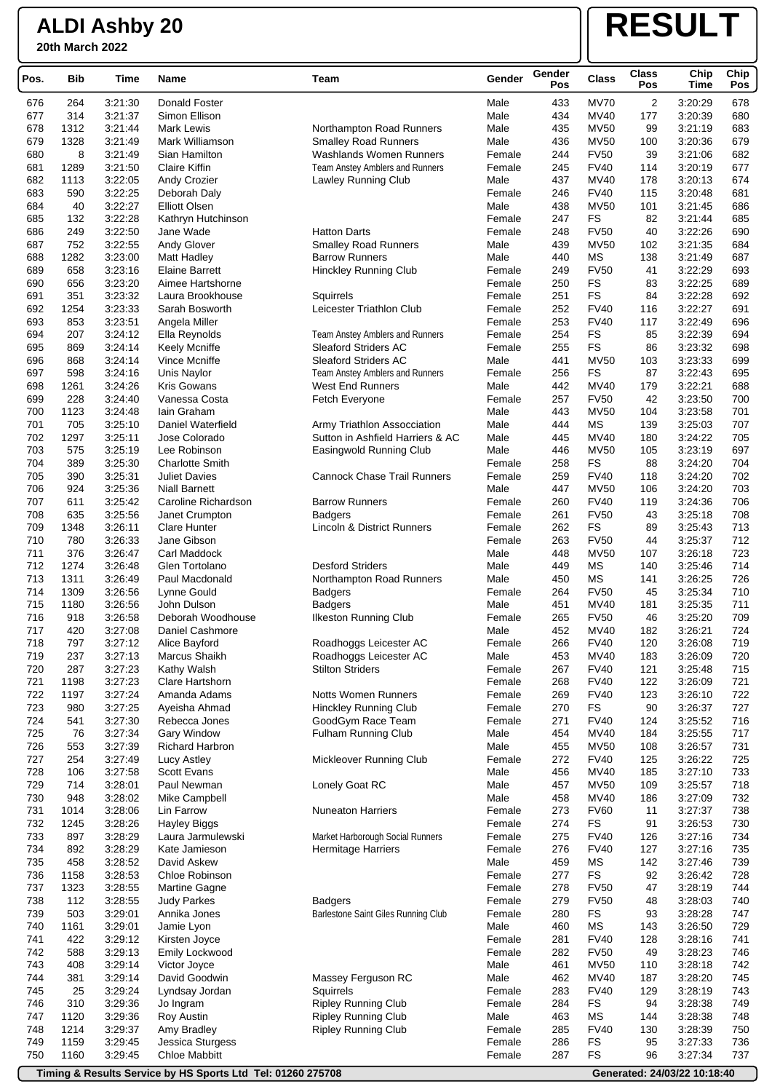**20th March 2022**

# **RESULT**

| Pos.       | Bib          | Time               | <b>Name</b>                          | Team                                              | Gender           | Gender<br>Pos | <b>Class</b>             | <b>Class</b><br>Pos | Chip<br>Time       | Chip<br>Pos |
|------------|--------------|--------------------|--------------------------------------|---------------------------------------------------|------------------|---------------|--------------------------|---------------------|--------------------|-------------|
| 676        | 264          | 3:21:30            | Donald Foster                        |                                                   | Male             | 433           | <b>MV70</b>              | 2                   | 3:20:29            | 678         |
| 677        | 314          | 3:21:37            | Simon Ellison                        |                                                   | Male             | 434           | MV40                     | 177                 | 3:20:39            | 680         |
| 678        | 1312         | 3:21:44            | <b>Mark Lewis</b>                    | Northampton Road Runners                          | Male             | 435           | <b>MV50</b>              | 99                  | 3:21:19            | 683         |
| 679        | 1328         | 3:21:49            | Mark Williamson                      | <b>Smalley Road Runners</b>                       | Male             | 436           | <b>MV50</b>              | 100                 | 3:20:36            | 679         |
| 680        | 8            | 3:21:49            | Sian Hamilton                        | <b>Washlands Women Runners</b>                    | Female           | 244           | <b>FV50</b>              | 39                  | 3:21:06            | 682         |
| 681        | 1289         | 3:21:50            | <b>Claire Kiffin</b>                 | Team Anstey Amblers and Runners                   | Female           | 245           | <b>FV40</b>              | 114                 | 3:20:19            | 677         |
| 682        | 1113         | 3:22:05            | Andy Crozier                         | Lawley Running Club                               | Male             | 437           | MV40                     | 178                 | 3:20:13            | 674         |
| 683        | 590          | 3:22:25            | Deborah Daly                         |                                                   | Female           | 246           | <b>FV40</b>              | 115                 | 3:20:48            | 681         |
| 684        | 40           | 3:22:27            | <b>Elliott Olsen</b>                 |                                                   | Male             | 438           | <b>MV50</b>              | 101                 | 3:21:45            | 686         |
| 685        | 132          | 3:22:28            | Kathryn Hutchinson                   |                                                   | Female           | 247           | <b>FS</b>                | 82                  | 3:21:44            | 685         |
| 686        | 249          | 3:22:50            | Jane Wade                            | <b>Hatton Darts</b>                               | Female           | 248           | <b>FV50</b>              | 40                  | 3:22:26            | 690         |
| 687        | 752          | 3:22:55            | <b>Andy Glover</b>                   | <b>Smalley Road Runners</b>                       | Male             | 439           | <b>MV50</b><br><b>MS</b> | 102                 | 3:21:35            | 684<br>687  |
| 688<br>689 | 1282<br>658  | 3:23:00<br>3:23:16 | Matt Hadley<br><b>Elaine Barrett</b> | <b>Barrow Runners</b>                             | Male             | 440<br>249    | <b>FV50</b>              | 138<br>41           | 3:21:49<br>3:22:29 | 693         |
| 690        | 656          | 3:23:20            | Aimee Hartshorne                     | <b>Hinckley Running Club</b>                      | Female<br>Female | 250           | <b>FS</b>                | 83                  | 3:22:25            | 689         |
| 691        | 351          | 3:23:32            | Laura Brookhouse                     | Squirrels                                         | Female           | 251           | <b>FS</b>                | 84                  | 3:22:28            | 692         |
| 692        | 1254         | 3:23:33            | Sarah Bosworth                       | Leicester Triathlon Club                          | Female           | 252           | <b>FV40</b>              | 116                 | 3:22:27            | 691         |
| 693        | 853          | 3:23:51            | Angela Miller                        |                                                   | Female           | 253           | <b>FV40</b>              | 117                 | 3:22:49            | 696         |
| 694        | 207          | 3:24:12            | Ella Reynolds                        | <b>Team Anstey Amblers and Runners</b>            | Female           | 254           | <b>FS</b>                | 85                  | 3:22:39            | 694         |
| 695        | 869          | 3:24:14            | <b>Keely Mcniffe</b>                 | <b>Sleaford Striders AC</b>                       | Female           | 255           | <b>FS</b>                | 86                  | 3:23:32            | 698         |
| 696        | 868          | 3:24:14            | Vince Mcniffe                        | <b>Sleaford Striders AC</b>                       | Male             | 441           | <b>MV50</b>              | 103                 | 3:23:33            | 699         |
| 697        | 598          | 3:24:16            | Unis Naylor                          | Team Anstey Amblers and Runners                   | Female           | 256           | FS                       | 87                  | 3:22:43            | 695         |
| 698        | 1261         | 3:24:26            | <b>Kris Gowans</b>                   | <b>West End Runners</b>                           | Male             | 442           | <b>MV40</b>              | 179                 | 3:22:21            | 688         |
| 699        | 228          | 3:24:40            | Vanessa Costa                        | Fetch Everyone                                    | Female           | 257           | <b>FV50</b>              | 42                  | 3:23:50            | 700         |
| 700        | 1123         | 3:24:48            | Iain Graham                          |                                                   | Male             | 443           | <b>MV50</b>              | 104                 | 3:23:58            | 701         |
| 701        | 705          | 3:25:10            | Daniel Waterfield                    | Army Triathlon Assocciation                       | Male             | 444           | <b>MS</b>                | 139                 | 3:25:03            | 707         |
| 702        | 1297         | 3:25:11            | Jose Colorado                        | Sutton in Ashfield Harriers & AC                  | Male             | 445           | MV40                     | 180                 | 3:24:22            | 705         |
| 703        | 575          | 3:25:19            | Lee Robinson                         | Easingwold Running Club                           | Male             | 446           | <b>MV50</b>              | 105                 | 3:23:19            | 697         |
| 704        | 389          | 3:25:30            | <b>Charlotte Smith</b>               |                                                   | Female           | 258           | <b>FS</b>                | 88                  | 3:24:20            | 704         |
| 705        | 390          | 3:25:31            | <b>Juliet Davies</b>                 | <b>Cannock Chase Trail Runners</b>                | Female           | 259           | <b>FV40</b>              | 118                 | 3:24:20            | 702         |
| 706        | 924          | 3:25:36            | <b>Niall Barnett</b>                 |                                                   | Male             | 447           | <b>MV50</b>              | 106                 | 3:24:20            | 703         |
| 707        | 611          | 3:25:42            | Caroline Richardson                  | <b>Barrow Runners</b>                             | Female           | 260           | <b>FV40</b>              | 119                 | 3:24:36            | 706         |
| 708        | 635          | 3:25:56            | Janet Crumpton                       | <b>Badgers</b>                                    | Female           | 261           | <b>FV50</b>              | 43                  | 3:25:18            | 708         |
| 709        | 1348         | 3:26:11            | <b>Clare Hunter</b>                  | Lincoln & District Runners                        | Female           | 262           | <b>FS</b>                | 89                  | 3:25:43            | 713         |
| 710        | 780          | 3:26:33            | Jane Gibson                          |                                                   | Female           | 263           | <b>FV50</b>              | 44                  | 3:25:37            | 712         |
| 711        | 376          | 3:26:47            | Carl Maddock                         |                                                   | Male             | 448           | <b>MV50</b>              | 107                 | 3:26:18            | 723         |
| 712        | 1274         | 3:26:48            | Glen Tortolano                       | <b>Desford Striders</b>                           | Male             | 449           | <b>MS</b>                | 140                 | 3:25:46            | 714         |
| 713        | 1311         | 3:26:49            | Paul Macdonald                       | Northampton Road Runners                          | Male             | 450           | МS                       | 141                 | 3:26:25            | 726         |
| 714        | 1309         | 3:26:56            | Lynne Gould                          | <b>Badgers</b>                                    | Female           | 264           | <b>FV50</b>              | 45                  | 3:25:34            | 710         |
| 715        | 1180         | 3:26:56            | John Dulson                          | <b>Badgers</b>                                    | Male             | 451           | MV40                     | 181                 | 3:25:35            | 711         |
| 716        | 918          | 3:26:58            | Deborah Woodhouse                    | <b>Ilkeston Running Club</b>                      | Female           | 265           | <b>FV50</b>              | 46                  | 3:25:20            | 709         |
| 717        | 420          | 3:27:08<br>3:27:12 | Daniel Cashmore                      |                                                   | Male             | 452<br>266    | MV40                     | 182                 | 3:26:21<br>3:26:08 | 724         |
| 718        | 797          |                    | Alice Bayford                        | Roadhoggs Leicester AC                            | Female           |               | <b>FV40</b>              | 120                 |                    | 719         |
| 719<br>720 | 237<br>287   | 3:27:13<br>3:27:23 | Marcus Shaikh<br>Kathy Walsh         | Roadhoggs Leicester AC<br><b>Stilton Striders</b> | Male<br>Female   | 453<br>267    | MV40<br><b>FV40</b>      | 183<br>121          | 3:26:09<br>3:25:48 | 720<br>715  |
| 721        | 1198         | 3:27:23            | Clare Hartshorn                      |                                                   | Female           | 268           | <b>FV40</b>              | 122                 | 3:26:09            | 721         |
| 722        | 1197         | 3:27:24            | Amanda Adams                         | Notts Women Runners                               | Female           | 269           | <b>FV40</b>              | 123                 | 3:26:10            | 722         |
| 723        | 980          | 3:27:25            | Ayeisha Ahmad                        | Hinckley Running Club                             | Female           | 270           | FS                       | 90                  | 3:26:37            | 727         |
| 724        | 541          | 3:27:30            | Rebecca Jones                        | GoodGym Race Team                                 | Female           | 271           | <b>FV40</b>              | 124                 | 3:25:52            | 716         |
| 725        | 76           | 3:27:34            | Gary Window                          | Fulham Running Club                               | Male             | 454           | MV40                     | 184                 | 3:25:55            | 717         |
| 726        | 553          | 3:27:39            | <b>Richard Harbron</b>               |                                                   | Male             | 455           | <b>MV50</b>              | 108                 | 3:26:57            | 731         |
| 727        | 254          | 3:27:49            | Lucy Astley                          | Mickleover Running Club                           | Female           | 272           | <b>FV40</b>              | 125                 | 3:26:22            | 725         |
| 728        | 106          | 3:27:58            | Scott Evans                          |                                                   | Male             | 456           | MV40                     | 185                 | 3:27:10            | 733         |
| 729        | 714          | 3:28:01            | Paul Newman                          | Lonely Goat RC                                    | Male             | 457           | <b>MV50</b>              | 109                 | 3:25:57            | 718         |
| 730        | 948          | 3:28:02            | Mike Campbell                        |                                                   | Male             | 458           | MV40                     | 186                 | 3:27:09            | 732         |
| 731        | 1014         | 3:28:06            | Lin Farrow                           | <b>Nuneaton Harriers</b>                          | Female           | 273           | <b>FV60</b>              | 11                  | 3:27:37            | 738         |
| 732        | 1245         | 3:28:26            | <b>Hayley Biggs</b>                  |                                                   | Female           | 274           | <b>FS</b>                | 91                  | 3:26:53            | 730         |
| 733        | 897          | 3:28:29            | Laura Jarmulewski                    | Market Harborough Social Runners                  | Female           | 275           | <b>FV40</b>              | 126                 | 3:27:16            | 734         |
| 734        | 892          | 3:28:29            | Kate Jamieson                        | <b>Hermitage Harriers</b>                         | Female           | 276           | <b>FV40</b>              | 127                 | 3:27:16            | 735         |
| 735        | 458          | 3:28:52            | David Askew                          |                                                   | Male             | 459           | <b>MS</b>                | 142                 | 3:27:46            | 739         |
| 736        | 1158         | 3:28:53            | Chloe Robinson                       |                                                   | Female           | 277           | FS                       | 92                  | 3:26:42            | 728         |
| 737        | 1323         | 3:28:55            | Martine Gagne                        |                                                   | Female           | 278           | <b>FV50</b>              | 47                  | 3:28:19            | 744         |
| 738        | 112          | 3:28:55            | <b>Judy Parkes</b>                   | <b>Badgers</b>                                    | Female           | 279           | <b>FV50</b>              | 48                  | 3:28:03            | 740         |
| 739        | 503          | 3:29:01            | Annika Jones                         | Barlestone Saint Giles Running Club               | Female           | 280           | FS                       | 93                  | 3:28:28            | 747         |
| 740        | 1161         | 3:29:01            | Jamie Lyon                           |                                                   | Male             | 460           | MS                       | 143                 | 3:26:50            | 729         |
| 741        | 422          | 3:29:12            | Kirsten Joyce                        |                                                   | Female           | 281           | <b>FV40</b>              | 128                 | 3:28:16            | 741         |
| 742        | 588          | 3:29:13            | Emily Lockwood                       |                                                   | Female           | 282           | <b>FV50</b>              | 49                  | 3:28:23            | 746         |
| 743        | 408          | 3:29:14            | Victor Joyce                         |                                                   | Male             | 461           | <b>MV50</b>              | 110                 | 3:28:18            | 742         |
| 744        | 381          | 3:29:14            | David Goodwin                        | Massey Ferguson RC                                | Male             | 462           | MV40                     | 187                 | 3:28:20            | 745         |
| 745        | 25           | 3:29:24            | Lyndsay Jordan                       | Squirrels                                         | Female           | 283           | <b>FV40</b>              | 129                 | 3:28:19            | 743         |
| 746        | 310          | 3:29:36            | Jo Ingram                            | <b>Ripley Running Club</b>                        | Female           | 284           | FS                       | 94                  | 3:28:38            | 749         |
| 747<br>748 | 1120         | 3:29:36            | <b>Roy Austin</b>                    | <b>Ripley Running Club</b>                        | Male             | 463<br>285    | МS<br><b>FV40</b>        | 144                 | 3:28:38            | 748<br>750  |
| 749        | 1214<br>1159 | 3:29:37<br>3:29:45 | Amy Bradley<br>Jessica Sturgess      | <b>Ripley Running Club</b>                        | Female<br>Female | 286           | FS                       | 130<br>95           | 3:28:39<br>3:27:33 | 736         |
| 750        | 1160         | 3:29:45            | <b>Chloe Mabbitt</b>                 |                                                   | Female           | 287           | FS                       | 96                  | 3:27:34            | 737         |
|            |              |                    |                                      |                                                   |                  |               |                          |                     |                    |             |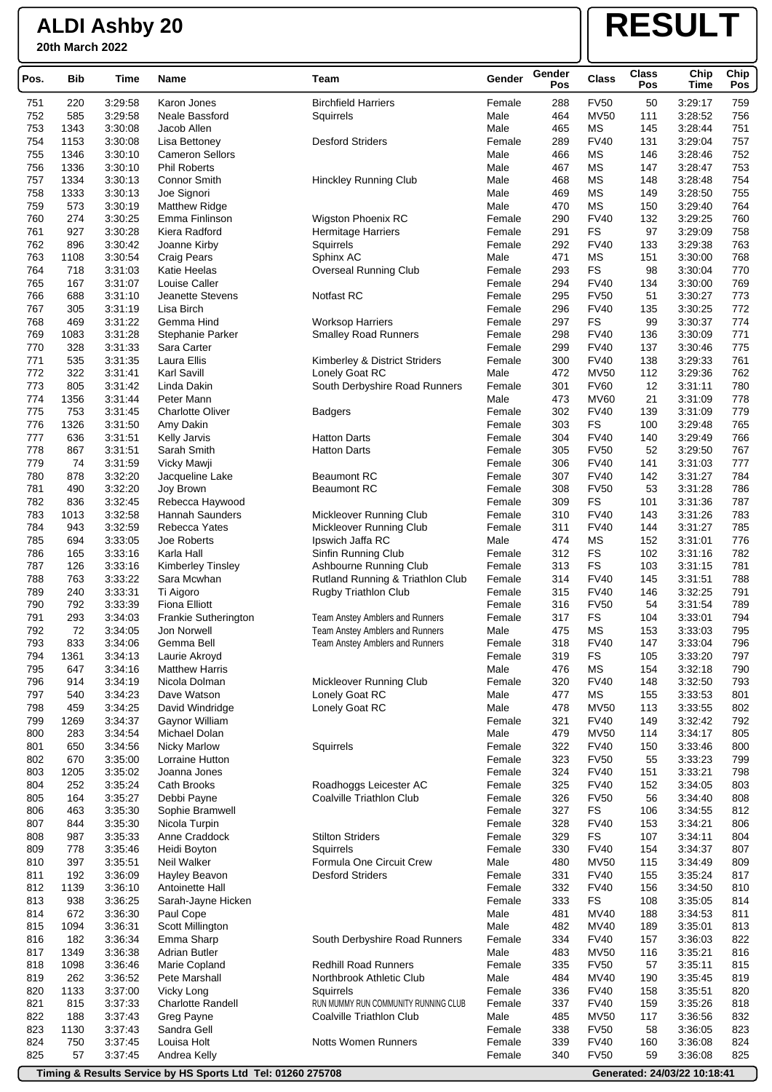**20th March 2022**

### **RESULT**

| Pos.       | <b>Bib</b>  | Time               | Name                                       | Team                                                               | Gender           | Gender<br>Pos | Class                      | Class<br>Pos | Chip<br><b>Time</b> | Chip<br>Pos |
|------------|-------------|--------------------|--------------------------------------------|--------------------------------------------------------------------|------------------|---------------|----------------------------|--------------|---------------------|-------------|
| 751        | 220         | 3:29:58            | Karon Jones                                | <b>Birchfield Harriers</b>                                         | Female           | 288           | <b>FV50</b>                | 50           | 3:29:17             | 759         |
| 752        | 585         | 3:29:58            | Neale Bassford                             | Squirrels                                                          | Male             | 464           | <b>MV50</b>                | 111          | 3:28:52             | 756         |
| 753        | 1343        | 3:30:08            | Jacob Allen                                |                                                                    | Male             | 465           | <b>MS</b>                  | 145          | 3:28:44             | 751         |
| 754        | 1153        | 3:30:08            | Lisa Bettoney                              | <b>Desford Striders</b>                                            | Female           | 289           | <b>FV40</b>                | 131          | 3:29:04             | 757         |
| 755        | 1346        | 3:30:10            | <b>Cameron Sellors</b>                     |                                                                    | Male             | 466           | <b>MS</b>                  | 146          | 3:28:46             | 752         |
| 756        | 1336        | 3:30:10            | <b>Phil Roberts</b>                        |                                                                    | Male             | 467           | MS                         | 147          | 3:28:47             | 753         |
| 757        | 1334        | 3:30:13            | Connor Smith                               | Hinckley Running Club                                              | Male             | 468           | <b>MS</b>                  | 148          | 3:28:48             | 754         |
| 758        | 1333        | 3:30:13            | Joe Signori                                |                                                                    | Male             | 469           | <b>MS</b>                  | 149          | 3:28:50             | 755         |
| 759        | 573         | 3:30:19            | Matthew Ridge                              |                                                                    | Male             | 470           | <b>MS</b>                  | 150          | 3:29:40             | 764         |
| 760<br>761 | 274<br>927  | 3:30:25<br>3:30:28 | Emma Finlinson<br>Kiera Radford            | Wigston Phoenix RC                                                 | Female<br>Female | 290<br>291    | <b>FV40</b><br><b>FS</b>   | 132<br>97    | 3:29:25<br>3:29:09  | 760<br>758  |
| 762        | 896         | 3:30:42            | Joanne Kirby                               | Hermitage Harriers<br>Squirrels                                    | Female           | 292           | <b>FV40</b>                | 133          | 3:29:38             | 763         |
| 763        | 1108        | 3:30:54            | <b>Craig Pears</b>                         | Sphinx AC                                                          | Male             | 471           | <b>MS</b>                  | 151          | 3:30:00             | 768         |
| 764        | 718         | 3:31:03            | Katie Heelas                               | Overseal Running Club                                              | Female           | 293           | <b>FS</b>                  | 98           | 3:30:04             | 770         |
| 765        | 167         | 3:31:07            | Louise Caller                              |                                                                    | Female           | 294           | <b>FV40</b>                | 134          | 3:30:00             | 769         |
| 766        | 688         | 3:31:10            | <b>Jeanette Stevens</b>                    | <b>Notfast RC</b>                                                  | Female           | 295           | <b>FV50</b>                | 51           | 3:30:27             | 773         |
| 767        | 305         | 3:31:19            | Lisa Birch                                 |                                                                    | Female           | 296           | <b>FV40</b>                | 135          | 3:30:25             | 772         |
| 768        | 469         | 3:31:22            | Gemma Hind                                 | <b>Worksop Harriers</b>                                            | Female           | 297           | <b>FS</b>                  | 99           | 3:30:37             | 774         |
| 769        | 1083        | 3:31:28            | Stephanie Parker                           | <b>Smalley Road Runners</b>                                        | Female           | 298           | <b>FV40</b>                | 136          | 3:30:09             | 771         |
| 770        | 328         | 3:31:33            | Sara Carter                                |                                                                    | Female           | 299           | <b>FV40</b>                | 137          | 3:30:46             | 775         |
| 771        | 535         | 3:31:35            | Laura Ellis                                | Kimberley & District Striders                                      | Female           | 300           | <b>FV40</b>                | 138          | 3:29:33             | 761         |
| 772        | 322         | 3:31:41            | <b>Karl Savill</b>                         | Lonely Goat RC                                                     | Male             | 472           | <b>MV50</b>                | 112          | 3:29:36             | 762         |
| 773        | 805         | 3:31:42            | Linda Dakin                                | South Derbyshire Road Runners                                      | Female           | 301           | <b>FV60</b>                | 12           | 3:31:11             | 780         |
| 774<br>775 | 1356<br>753 | 3:31:44<br>3:31:45 | Peter Mann                                 |                                                                    | Male<br>Female   | 473<br>302    | <b>MV60</b><br><b>FV40</b> | 21<br>139    | 3:31:09<br>3:31:09  | 778<br>779  |
| 776        | 1326        | 3:31:50            | <b>Charlotte Oliver</b><br>Amy Dakin       | <b>Badgers</b>                                                     | Female           | 303           | <b>FS</b>                  | 100          | 3:29:48             | 765         |
| 777        | 636         | 3:31:51            | Kelly Jarvis                               | <b>Hatton Darts</b>                                                | Female           | 304           | <b>FV40</b>                | 140          | 3:29:49             | 766         |
| 778        | 867         | 3:31:51            | Sarah Smith                                | <b>Hatton Darts</b>                                                | Female           | 305           | <b>FV50</b>                | 52           | 3:29:50             | 767         |
| 779        | 74          | 3:31:59            | Vicky Mawji                                |                                                                    | Female           | 306           | <b>FV40</b>                | 141          | 3:31:03             | 777         |
| 780        | 878         | 3:32:20            | Jacqueline Lake                            | <b>Beaumont RC</b>                                                 | Female           | 307           | <b>FV40</b>                | 142          | 3:31:27             | 784         |
| 781        | 490         | 3:32:20            | Joy Brown                                  | <b>Beaumont RC</b>                                                 | Female           | 308           | <b>FV50</b>                | 53           | 3:31:28             | 786         |
| 782        | 836         | 3:32:45            | Rebecca Haywood                            |                                                                    | Female           | 309           | <b>FS</b>                  | 101          | 3:31:36             | 787         |
| 783        | 1013        | 3:32:58            | Hannah Saunders                            | Mickleover Running Club                                            | Female           | 310           | <b>FV40</b>                | 143          | 3:31:26             | 783         |
| 784        | 943         | 3:32:59            | Rebecca Yates                              | Mickleover Running Club                                            | Female           | 311           | <b>FV40</b>                | 144          | 3:31:27             | 785         |
| 785        | 694         | 3:33:05            | Joe Roberts                                | Ipswich Jaffa RC                                                   | Male             | 474           | MS                         | 152          | 3:31:01             | 776         |
| 786        | 165         | 3:33:16            | Karla Hall                                 | Sinfin Running Club                                                | Female           | 312           | FS                         | 102          | 3:31:16             | 782         |
| 787        | 126         | 3:33:16            | <b>Kimberley Tinsley</b>                   | Ashbourne Running Club                                             | Female           | 313           | <b>FS</b>                  | 103          | 3:31:15             | 781         |
| 788        | 763         | 3:33:22            | Sara Mcwhan                                | Rutland Running & Triathlon Club                                   | Female           | 314           | <b>FV40</b>                | 145          | 3:31:51             | 788         |
| 789        | 240         | 3:33:31            | Ti Aigoro                                  | Rugby Triathlon Club                                               | Female           | 315           | <b>FV40</b>                | 146          | 3:32:25             | 791         |
| 790        | 792         | 3:33:39            | <b>Fiona Elliott</b>                       |                                                                    | Female           | 316           | <b>FV50</b>                | 54           | 3:31:54             | 789         |
| 791        | 293         | 3:34:03            | <b>Frankie Sutherington</b><br>Jon Norwell | Team Anstey Amblers and Runners                                    | Female           | 317           | <b>FS</b><br><b>MS</b>     | 104          | 3:33:01             | 794         |
| 792<br>793 | 72<br>833   | 3:34:05<br>3:34:06 | Gemma Bell                                 | Team Anstey Amblers and Runners<br>Team Anstey Amblers and Runners | Male<br>Female   | 475<br>318    | <b>FV40</b>                | 153<br>147   | 3:33:03<br>3:33:04  | 795<br>796  |
| 794        | 1361        | 3:34:13            | Laurie Akroyd                              |                                                                    | Female           | 319           | <b>FS</b>                  | 105          | 3:33:20             | 797         |
| 795        | 647         | 3:34:16            | <b>Matthew Harris</b>                      |                                                                    | Male             | 476           | MS                         | 154          | 3:32:18             | 790         |
| 796        | 914         | 3:34:19            | Nicola Dolman                              | Mickleover Running Club                                            | Female           | 320           | <b>FV40</b>                | 148          | 3:32:50             | 793         |
| 797        | 540         | 3:34:23            | Dave Watson                                | Lonely Goat RC                                                     | Male             | 477           | <b>MS</b>                  | 155          | 3:33:53             | 801         |
| 798        | 459         | 3:34:25            | David Windridge                            | Lonely Goat RC                                                     | Male             | 478           | <b>MV50</b>                | 113          | 3:33:55             | 802         |
| 799        | 1269        | 3:34:37            | Gaynor William                             |                                                                    | Female           | 321           | <b>FV40</b>                | 149          | 3:32:42             | 792         |
| 800        | 283         | 3:34:54            | Michael Dolan                              |                                                                    | Male             | 479           | <b>MV50</b>                | 114          | 3:34:17             | 805         |
| 801        | 650         | 3:34:56            | <b>Nicky Marlow</b>                        | Squirrels                                                          | Female           | 322           | <b>FV40</b>                | 150          | 3:33:46             | 800         |
| 802        | 670         | 3:35:00            | Lorraine Hutton                            |                                                                    | Female           | 323           | <b>FV50</b>                | 55           | 3:33:23             | 799         |
| 803        | 1205        | 3:35:02            | Joanna Jones                               |                                                                    | Female           | 324           | <b>FV40</b>                | 151          | 3:33:21             | 798         |
| 804        | 252         | 3:35:24            | Cath Brooks                                | Roadhoggs Leicester AC                                             | Female           | 325           | <b>FV40</b>                | 152          | 3:34:05             | 803         |
| 805        | 164         | 3:35:27<br>3:35:30 | Debbi Payne<br>Sophie Bramwell             | Coalville Triathlon Club                                           | Female           | 326           | <b>FV50</b>                | 56           | 3:34:40             | 808         |
| 806<br>807 | 463<br>844  | 3:35:30            | Nicola Turpin                              |                                                                    | Female<br>Female | 327<br>328    | <b>FS</b><br><b>FV40</b>   | 106<br>153   | 3:34:55<br>3:34:21  | 812<br>806  |
| 808        | 987         | 3:35:33            | Anne Craddock                              | <b>Stilton Striders</b>                                            | Female           | 329           | <b>FS</b>                  | 107          | 3:34:11             | 804         |
| 809        | 778         | 3:35:46            | Heidi Boyton                               | Squirrels                                                          | Female           | 330           | <b>FV40</b>                | 154          | 3:34:37             | 807         |
| 810        | 397         | 3:35:51            | Neil Walker                                | Formula One Circuit Crew                                           | Male             | 480           | <b>MV50</b>                | 115          | 3:34:49             | 809         |
| 811        | 192         | 3:36:09            | Hayley Beavon                              | <b>Desford Striders</b>                                            | Female           | 331           | <b>FV40</b>                | 155          | 3:35:24             | 817         |
| 812        | 1139        | 3:36:10            | Antoinette Hall                            |                                                                    | Female           | 332           | <b>FV40</b>                | 156          | 3:34:50             | 810         |
| 813        | 938         | 3:36:25            | Sarah-Jayne Hicken                         |                                                                    | Female           | 333           | <b>FS</b>                  | 108          | 3:35:05             | 814         |
| 814        | 672         | 3:36:30            | Paul Cope                                  |                                                                    | Male             | 481           | MV40                       | 188          | 3:34:53             | 811         |
| 815        | 1094        | 3:36:31            | Scott Millington                           |                                                                    | Male             | 482           | MV40                       | 189          | 3:35:01             | 813         |
| 816        | 182         | 3:36:34            | Emma Sharp                                 | South Derbyshire Road Runners                                      | Female           | 334           | <b>FV40</b>                | 157          | 3:36:03             | 822         |
| 817        | 1349        | 3:36:38            | <b>Adrian Butler</b>                       |                                                                    | Male             | 483           | <b>MV50</b>                | 116          | 3:35:21             | 816         |
| 818        | 1098        | 3:36:46            | Marie Copland                              | <b>Redhill Road Runners</b>                                        | Female           | 335           | <b>FV50</b>                | 57           | 3:35:11             | 815         |
| 819        | 262         | 3:36:52            | Pete Marshall                              | Northbrook Athletic Club                                           | Male             | 484           | MV40                       | 190          | 3:35:45             | 819         |
| 820        | 1133        | 3:37:00            | Vicky Long                                 | Squirrels                                                          | Female           | 336           | <b>FV40</b>                | 158          | 3:35:51             | 820         |
| 821        | 815         | 3:37:33            | Charlotte Randell                          | RUN MUMMY RUN COMMUNITY RUNNING CLUB                               | Female           | 337           | <b>FV40</b>                | 159          | 3:35:26             | 818         |
| 822        | 188         | 3:37:43            | Greg Payne                                 | Coalville Triathlon Club                                           | Male             | 485           | <b>MV50</b>                | 117          | 3:36:56             | 832         |
| 823<br>824 | 1130<br>750 | 3:37:43<br>3:37:45 | Sandra Gell<br>Louisa Holt                 | Notts Women Runners                                                | Female<br>Female | 338<br>339    | <b>FV50</b><br><b>FV40</b> | 58<br>160    | 3:36:05<br>3:36:08  | 823<br>824  |
| 825        | 57          | 3:37:45            | Andrea Kelly                               |                                                                    | Female           | 340           | <b>FV50</b>                | 59           | 3:36:08             | 825         |
|            |             |                    |                                            |                                                                    |                  |               |                            |              |                     |             |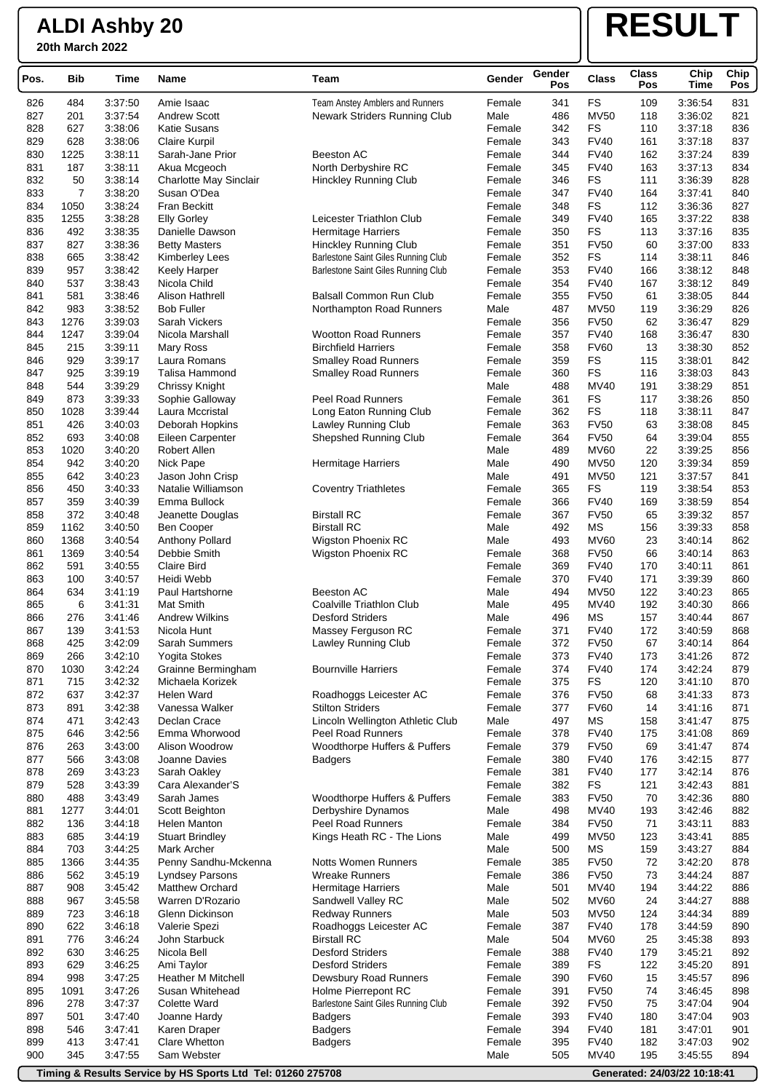**20th March 2022**

### **RESULT**

| Pos.       | <b>Bib</b>  | Time               | Name                             | Team                                                | Gender           | Gender<br>Pos | <b>Class</b>    | <b>Class</b><br>Pos | Chip<br>Time       | Chip<br>Pos |
|------------|-------------|--------------------|----------------------------------|-----------------------------------------------------|------------------|---------------|-----------------|---------------------|--------------------|-------------|
| 826        | 484         | 3:37:50            | Amie Isaac                       | Team Anstey Amblers and Runners                     | Female           | 341           | <b>FS</b>       | 109                 | 3:36:54            | 831         |
| 827        | 201         | 3:37:54            | <b>Andrew Scott</b>              | Newark Striders Running Club                        | Male             | 486           | <b>MV50</b>     | 118                 | 3:36:02            | 821         |
| 828        | 627         | 3:38:06            | <b>Katie Susans</b>              |                                                     | Female           | 342           | <b>FS</b>       | 110                 | 3:37:18            | 836         |
| 829        | 628         | 3:38:06            | <b>Claire Kurpil</b>             |                                                     | Female           | 343           | <b>FV40</b>     | 161                 | 3:37:18            | 837         |
| 830        | 1225        | 3:38:11            | Sarah-Jane Prior                 | <b>Beeston AC</b>                                   | Female           | 344           | <b>FV40</b>     | 162                 | 3:37:24            | 839         |
| 831        | 187         | 3:38:11            | Akua Mcgeoch                     | North Derbyshire RC                                 | Female           | 345           | <b>FV40</b>     | 163                 | 3:37:13            | 834         |
| 832        | 50          | 3:38:14            | Charlotte May Sinclair           | Hinckley Running Club                               | Female           | 346           | <b>FS</b>       | 111                 | 3:36:39            | 828         |
| 833        | 7           | 3:38:20            | Susan O'Dea                      |                                                     | Female           | 347           | <b>FV40</b>     | 164                 | 3:37:41            | 840         |
| 834        | 1050        | 3:38:24            | Fran Beckitt                     |                                                     | Female           | 348           | <b>FS</b>       | 112                 | 3:36:36            | 827         |
| 835        | 1255        | 3:38:28            | <b>Elly Gorley</b>               | Leicester Triathlon Club                            | Female           | 349           | <b>FV40</b>     | 165                 | 3:37:22            | 838         |
| 836        | 492         | 3:38:35            | Danielle Dawson                  | <b>Hermitage Harriers</b>                           | Female           | 350           | <b>FS</b>       | 113                 | 3:37:16            | 835         |
| 837        | 827         | 3:38:36            | <b>Betty Masters</b>             | Hinckley Running Club                               | Female           | 351           | <b>FV50</b>     | 60                  | 3:37:00            | 833         |
| 838        | 665         | 3:38:42            | <b>Kimberley Lees</b>            | Barlestone Saint Giles Running Club                 | Female           | 352           | <b>FS</b>       | 114                 | 3:38:11            | 846         |
| 839        | 957         | 3:38:42            | <b>Keely Harper</b>              | Barlestone Saint Giles Running Club                 | Female           | 353           | <b>FV40</b>     | 166                 | 3:38:12            | 848         |
| 840        | 537         | 3:38:43            | Nicola Child                     |                                                     | Female           | 354           | <b>FV40</b>     | 167                 | 3:38:12            | 849         |
| 841        | 581         | 3:38:46            | <b>Alison Hathrell</b>           | <b>Balsall Common Run Club</b>                      | Female           | 355           | <b>FV50</b>     | 61                  | 3:38:05            | 844         |
| 842        | 983         | 3:38:52            | <b>Bob Fuller</b>                | Northampton Road Runners                            | Male             | 487           | <b>MV50</b>     | 119                 | 3:36:29            | 826         |
| 843        | 1276        | 3:39:03            | Sarah Vickers                    |                                                     | Female           | 356           | <b>FV50</b>     | 62                  | 3:36:47            | 829         |
| 844        | 1247        | 3:39:04            | Nicola Marshall                  | <b>Wootton Road Runners</b>                         | Female           | 357           | <b>FV40</b>     | 168                 | 3:36:47            | 830         |
| 845        | 215         | 3:39:11            | <b>Mary Ross</b>                 | <b>Birchfield Harriers</b>                          | Female           | 358           | <b>FV60</b>     | 13                  | 3:38:30            | 852         |
| 846        | 929         | 3:39:17            | Laura Romans                     | <b>Smalley Road Runners</b>                         | Female           | 359           | <b>FS</b>       | 115                 | 3:38:01            | 842         |
| 847        | 925         | 3:39:19            | Talisa Hammond                   | <b>Smalley Road Runners</b>                         | Female           | 360           | <b>FS</b>       | 116                 | 3:38:03            | 843         |
| 848        | 544         | 3:39:29            | Chrissy Knight                   |                                                     | Male             | 488           | MV40            | 191                 | 3:38:29            | 851         |
| 849        | 873         | 3:39:33            | Sophie Galloway                  | <b>Peel Road Runners</b>                            | Female           | 361           | FS<br><b>FS</b> | 117                 | 3:38:26            | 850         |
| 850<br>851 | 1028<br>426 | 3:39:44<br>3:40:03 | Laura Mccristal                  | Long Eaton Running Club                             | Female           | 362<br>363    | <b>FV50</b>     | 118<br>63           | 3:38:11<br>3:38:08 | 847<br>845  |
| 852        | 693         | 3:40:08            | Deborah Hopkins                  | Lawley Running Club<br><b>Shepshed Running Club</b> | Female<br>Female | 364           | <b>FV50</b>     | 64                  | 3:39:04            | 855         |
| 853        | 1020        | 3:40:20            | Eileen Carpenter<br>Robert Allen |                                                     | Male             | 489           | <b>MV60</b>     | 22                  | 3:39:25            | 856         |
| 854        | 942         | 3:40:20            | Nick Pape                        | <b>Hermitage Harriers</b>                           | Male             | 490           | <b>MV50</b>     | 120                 | 3:39:34            | 859         |
| 855        | 642         | 3:40:23            | Jason John Crisp                 |                                                     | Male             | 491           | <b>MV50</b>     | 121                 | 3:37:57            | 841         |
| 856        | 450         | 3:40:33            | Natalie Williamson               | <b>Coventry Triathletes</b>                         | Female           | 365           | <b>FS</b>       | 119                 | 3:38:54            | 853         |
| 857        | 359         | 3:40:39            | Emma Bullock                     |                                                     | Female           | 366           | <b>FV40</b>     | 169                 | 3:38:59            | 854         |
| 858        | 372         | 3:40:48            | Jeanette Douglas                 | <b>Birstall RC</b>                                  | Female           | 367           | <b>FV50</b>     | 65                  | 3:39:32            | 857         |
| 859        | 1162        | 3:40:50            | Ben Cooper                       | <b>Birstall RC</b>                                  | Male             | 492           | МS              | 156                 | 3:39:33            | 858         |
| 860        | 1368        | 3:40:54            | Anthony Pollard                  | Wigston Phoenix RC                                  | Male             | 493           | <b>MV60</b>     | 23                  | 3:40:14            | 862         |
| 861        | 1369        | 3:40:54            | Debbie Smith                     | Wigston Phoenix RC                                  | Female           | 368           | <b>FV50</b>     | 66                  | 3:40:14            | 863         |
| 862        | 591         | 3:40:55            | <b>Claire Bird</b>               |                                                     | Female           | 369           | <b>FV40</b>     | 170                 | 3:40:11            | 861         |
| 863        | 100         | 3:40:57            | Heidi Webb                       |                                                     | Female           | 370           | <b>FV40</b>     | 171                 | 3:39:39            | 860         |
| 864        | 634         | 3:41:19            | Paul Hartshorne                  | <b>Beeston AC</b>                                   | Male             | 494           | <b>MV50</b>     | 122                 | 3:40:23            | 865         |
| 865        | 6           | 3:41:31            | Mat Smith                        | Coalville Triathlon Club                            | Male             | 495           | MV40            | 192                 | 3:40:30            | 866         |
| 866        | 276         | 3:41:46            | <b>Andrew Wilkins</b>            | <b>Desford Striders</b>                             | Male             | 496           | MS              | 157                 | 3:40:44            | 867         |
| 867        | 139         | 3:41:53            | Nicola Hunt                      | Massey Ferguson RC                                  | Female           | 371           | <b>FV40</b>     | 172                 | 3:40:59            | 868         |
| 868        | 425         | 3.42.09            | Sarah Summers                    | Lawley Running Club                                 | Female           | 372           | <b>FV50</b>     | 67                  | 3:40:14            | 864         |
| 869        | 266         | 3:42:10            | Yogita Stokes                    |                                                     | Female           | 373           | FV40            | 173                 | 3:41:26            | 872         |
| 870        | 1030        | 3:42:24            | Grainne Bermingham               | <b>Bournville Harriers</b>                          | Female           | 374           | <b>FV40</b>     | 174                 | 3:42:24            | 879         |
| 871        | 715         | 3:42:32            | Michaela Korizek                 |                                                     | Female           | 375           | <b>FS</b>       | 120                 | 3:41:10            | 870         |
| 872        | 637         | 3:42:37            | <b>Helen Ward</b>                | Roadhoggs Leicester AC                              | Female           | 376           | <b>FV50</b>     | 68                  | 3:41:33            | 873         |
| 873        | 891         | 3:42:38            | Vanessa Walker                   | <b>Stilton Striders</b>                             | Female           | 377           | <b>FV60</b>     | 14                  | 3:41:16            | 871         |
| 874        | 471         | 3:42:43            | Declan Crace                     | Lincoln Wellington Athletic Club                    | Male             | 497           | МS              | 158                 | 3:41:47            | 875         |
| 875        | 646         | 3:42:56            | Emma Whorwood                    | <b>Peel Road Runners</b>                            | Female           | 378           | <b>FV40</b>     | 175                 | 3:41:08            | 869         |
| 876        | 263         | 3:43:00            | Alison Woodrow                   | Woodthorpe Huffers & Puffers                        | Female           | 379           | <b>FV50</b>     | 69                  | 3:41:47            | 874         |
| 877        | 566         | 3:43:08            | Joanne Davies                    | <b>Badgers</b>                                      | Female           | 380           | <b>FV40</b>     | 176                 | 3:42:15            | 877         |
| 878        | 269         | 3:43:23            | Sarah Oakley                     |                                                     | Female           | 381           | <b>FV40</b>     | 177                 | 3.42.14            | 876         |
| 879        | 528         | 3:43:39            | Cara Alexander'S                 |                                                     | Female           | 382           | <b>FS</b>       | 121                 | 3:42:43            | 881         |
| 880        | 488         | 3:43:49            | Sarah James                      | Woodthorpe Huffers & Puffers                        | Female           | 383           | <b>FV50</b>     | 70                  | 3:42:36            | 880         |
| 881        | 1277        | 3:44:01            | Scott Beighton                   | Derbyshire Dynamos                                  | Male             | 498           | MV40            | 193                 | 3:42:46            | 882         |
| 882        | 136         | 3:44:18            | Helen Manton                     | <b>Peel Road Runners</b>                            | Female           | 384           | <b>FV50</b>     | 71                  | 3:43:11            | 883         |
| 883        | 685         | 3:44:19            | <b>Stuart Brindley</b>           | Kings Heath RC - The Lions                          | Male             | 499           | <b>MV50</b>     | 123                 | 3:43:41            | 885         |
| 884        | 703         | 3:44:25            | Mark Archer                      |                                                     | Male             | 500           | <b>MS</b>       | 159                 | 3.43.27            | 884         |
| 885        | 1366        | 3:44:35            | Penny Sandhu-Mckenna             | <b>Notts Women Runners</b>                          | Female           | 385           | <b>FV50</b>     | 72                  | 3:42:20            | 878         |
| 886        | 562         | 3:45:19            | <b>Lyndsey Parsons</b>           | <b>Wreake Runners</b>                               | Female           | 386           | <b>FV50</b>     | 73                  | 3:44:24            | 887         |
| 887        | 908         | 3:45:42            | <b>Matthew Orchard</b>           | Hermitage Harriers                                  | Male             | 501           | MV40            | 194                 | 3:44:22            | 886         |
| 888        | 967         | 3:45:58            | Warren D'Rozario                 | Sandwell Valley RC                                  | Male             | 502           | <b>MV60</b>     | 24                  | 3.44.27            | 888         |
| 889        | 723         | 3:46:18            | Glenn Dickinson                  | <b>Redway Runners</b>                               | Male             | 503           | <b>MV50</b>     | 124                 | 3:44:34            | 889         |
| 890        | 622         | 3:46:18            | Valerie Spezi                    | Roadhoggs Leicester AC                              | Female           | 387           | <b>FV40</b>     | 178                 | 3:44:59            | 890         |
| 891        | 776         | 3:46:24            | John Starbuck                    | <b>Birstall RC</b>                                  | Male             | 504           | <b>MV60</b>     | 25                  | 3:45:38            | 893         |
| 892        | 630         | 3:46:25            | Nicola Bell                      | <b>Desford Striders</b>                             | Female           | 388           | <b>FV40</b>     | 179                 | 3:45:21            | 892         |
| 893        | 629         | 3:46:25            | Ami Taylor                       | <b>Desford Striders</b>                             | Female           | 389           | <b>FS</b>       | 122                 | 3:45:20            | 891         |
| 894        | 998         | 3:47:25            | <b>Heather M Mitchell</b>        | Dewsbury Road Runners                               | Female           | 390           | <b>FV60</b>     | 15                  | 3:45:57            | 896         |
| 895        | 1091        | 3:47:26            | Susan Whitehead                  | Holme Pierrepont RC                                 | Female           | 391           | <b>FV50</b>     | 74                  | 3:46:45            | 898         |
| 896        | 278         | 3:47:37            | Colette Ward                     | Barlestone Saint Giles Running Club                 | Female           | 392           | <b>FV50</b>     | 75                  | 3:47:04            | 904         |
| 897        | 501         | 3:47:40            | Joanne Hardy                     | <b>Badgers</b>                                      | Female           | 393           | <b>FV40</b>     | 180                 | 3.47:04            | 903         |
| 898        | 546         | 3:47:41            | Karen Draper                     | <b>Badgers</b>                                      | Female           | 394           | <b>FV40</b>     | 181                 | 3:47:01            | 901         |
| 899        | 413         | 3:47:41            | Clare Whetton                    | <b>Badgers</b>                                      | Female           | 395           | <b>FV40</b>     | 182                 | 3:47:03            | 902         |
| 900        | 345         | 3:47:55            | Sam Webster                      |                                                     | Male             | 505           | MV40            | 195                 | 3:45:55            | 894         |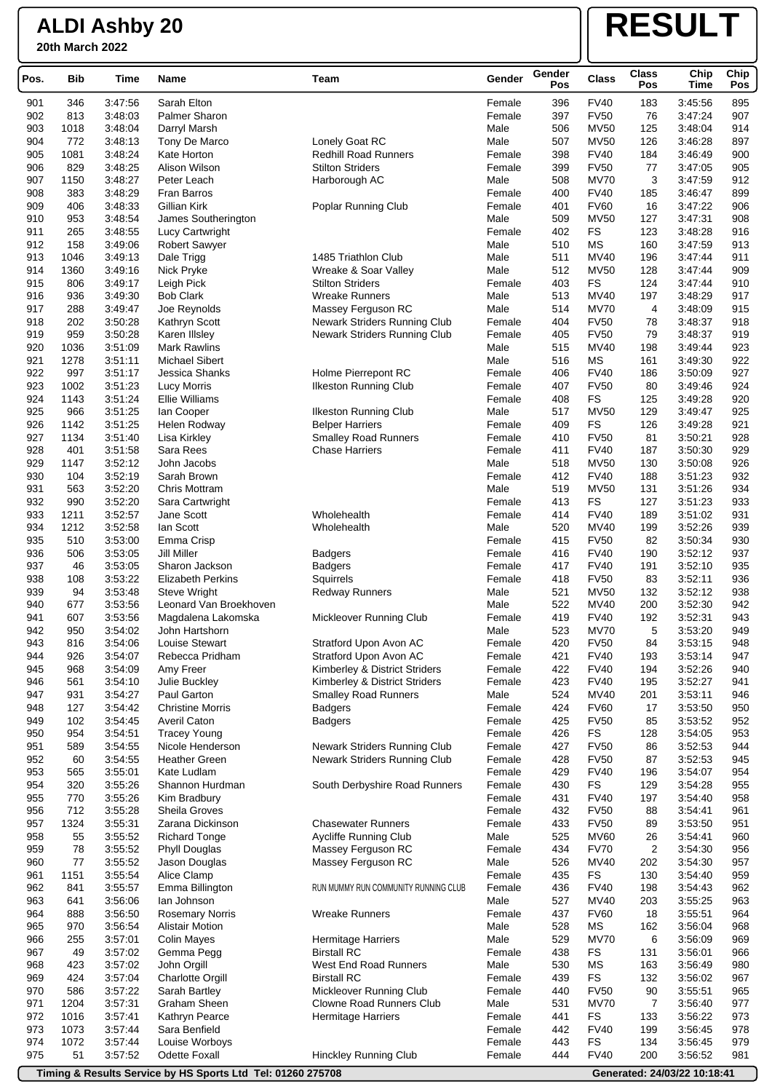**20th March 2022**

# **RESULT**

| Pos.       | <b>Bib</b>   | Time               | Name                                | Team                                 | Gender           | Gender<br>Pos | <b>Class</b>               | <b>Class</b><br>Pos | Chip<br>Time       | Chip<br>Pos |
|------------|--------------|--------------------|-------------------------------------|--------------------------------------|------------------|---------------|----------------------------|---------------------|--------------------|-------------|
| 901        | 346          | 3:47:56            | Sarah Elton                         |                                      | Female           | 396           | <b>FV40</b>                | 183                 | 3:45:56            | 895         |
| 902        | 813          | 3:48:03            | Palmer Sharon                       |                                      | Female           | 397           | <b>FV50</b>                | 76                  | 3:47:24            | 907         |
| 903        | 1018         | 3:48:04            | Darryl Marsh                        |                                      | Male             | 506           | <b>MV50</b>                | 125                 | 3:48:04            | 914         |
| 904        | 772          | 3:48:13            | Tony De Marco                       | Lonely Goat RC                       | Male             | 507           | <b>MV50</b>                | 126                 | 3:46:28            | 897         |
| 905        | 1081         | 3:48:24            | Kate Horton                         | <b>Redhill Road Runners</b>          | Female           | 398           | <b>FV40</b>                | 184                 | 3:46:49            | 900         |
| 906        | 829          | 3:48:25            | Alison Wilson                       | <b>Stilton Striders</b>              | Female           | 399           | <b>FV50</b>                | 77                  | 3:47:05            | 905         |
| 907        | 1150         | 3:48:27            | Peter Leach                         | Harborough AC                        | Male             | 508           | <b>MV70</b>                | 3                   | 3:47:59            | 912         |
| 908        | 383          | 3:48:29            | Fran Barros                         |                                      | Female           | 400           | <b>FV40</b>                | 185                 | 3:46:47            | 899         |
| 909        | 406          | 3:48:33            | Gillian Kirk                        | Poplar Running Club                  | Female           | 401           | <b>FV60</b>                | 16                  | 3:47:22            | 906         |
| 910        | 953          | 3:48:54            | James Southerington                 |                                      | Male             | 509           | <b>MV50</b>                | 127                 | 3:47:31            | 908         |
| 911<br>912 | 265<br>158   | 3:48:55<br>3:49:06 | Lucy Cartwright                     |                                      | Female<br>Male   | 402<br>510    | FS<br>МS                   | 123<br>160          | 3:48:28<br>3:47:59 | 916<br>913  |
| 913        | 1046         | 3:49:13            | <b>Robert Sawyer</b><br>Dale Trigg  | 1485 Triathlon Club                  | Male             | 511           | MV40                       | 196                 | 3:47:44            | 911         |
| 914        | 1360         | 3:49:16            | Nick Pryke                          | Wreake & Soar Valley                 | Male             | 512           | <b>MV50</b>                | 128                 | 3:47:44            | 909         |
| 915        | 806          | 3:49:17            | Leigh Pick                          | <b>Stilton Striders</b>              | Female           | 403           | <b>FS</b>                  | 124                 | 3:47:44            | 910         |
| 916        | 936          | 3:49:30            | <b>Bob Clark</b>                    | <b>Wreake Runners</b>                | Male             | 513           | MV40                       | 197                 | 3:48:29            | 917         |
| 917        | 288          | 3:49:47            | Joe Reynolds                        | Massey Ferguson RC                   | Male             | 514           | <b>MV70</b>                | 4                   | 3:48:09            | 915         |
| 918        | 202          | 3:50:28            | Kathryn Scott                       | Newark Striders Running Club         | Female           | 404           | <b>FV50</b>                | 78                  | 3:48:37            | 918         |
| 919        | 959          | 3:50:28            | Karen Illsley                       | Newark Striders Running Club         | Female           | 405           | <b>FV50</b>                | 79                  | 3:48:37            | 919         |
| 920        | 1036         | 3:51:09            | <b>Mark Rawlins</b>                 |                                      | Male             | 515           | MV40                       | 198                 | 3:49:44            | 923         |
| 921        | 1278         | 3:51:11            | <b>Michael Sibert</b>               |                                      | Male             | 516           | <b>MS</b>                  | 161                 | 3:49:30            | 922         |
| 922        | 997          | 3:51:17            | Jessica Shanks                      | Holme Pierrepont RC                  | Female           | 406           | <b>FV40</b>                | 186                 | 3:50:09            | 927         |
| 923        | 1002         | 3:51:23            | Lucy Morris                         | <b>Ilkeston Running Club</b>         | Female           | 407           | <b>FV50</b>                | 80                  | 3:49:46            | 924         |
| 924        | 1143         | 3:51:24            | Ellie Williams                      |                                      | Female           | 408           | <b>FS</b>                  | 125                 | 3:49:28            | 920         |
| 925        | 966          | 3:51:25            | lan Cooper                          | <b>Ilkeston Running Club</b>         | Male             | 517           | <b>MV50</b>                | 129                 | 3:49:47            | 925         |
| 926        | 1142         | 3:51:25            | Helen Rodway                        | <b>Belper Harriers</b>               | Female           | 409           | <b>FS</b>                  | 126                 | 3:49:28            | 921         |
| 927        | 1134         | 3:51:40            | Lisa Kirkley                        | <b>Smalley Road Runners</b>          | Female           | 410           | <b>FV50</b>                | 81                  | 3:50:21            | 928         |
| 928        | 401          | 3:51:58            | Sara Rees                           | <b>Chase Harriers</b>                | Female           | 411           | <b>FV40</b>                | 187                 | 3:50:30            | 929         |
| 929        | 1147         | 3:52:12            | John Jacobs                         |                                      | Male             | 518           | <b>MV50</b>                | 130                 | 3:50:08            | 926         |
| 930        | 104          | 3:52:19            | Sarah Brown                         |                                      | Female           | 412           | <b>FV40</b>                | 188                 | 3:51:23            | 932         |
| 931        | 563          | 3:52:20            | <b>Chris Mottram</b>                |                                      | Male             | 519           | <b>MV50</b>                | 131                 | 3:51:26            | 934         |
| 932<br>933 | 990          | 3:52:20<br>3:52:57 | Sara Cartwright<br>Jane Scott       | Wholehealth                          | Female           | 413           | <b>FS</b><br><b>FV40</b>   | 127                 | 3:51:23            | 933<br>931  |
| 934        | 1211<br>1212 | 3:52:58            | lan Scott                           | Wholehealth                          | Female<br>Male   | 414<br>520    | MV40                       | 189<br>199          | 3:51:02<br>3:52:26 | 939         |
| 935        | 510          | 3:53:00            | Emma Crisp                          |                                      | Female           | 415           | <b>FV50</b>                | 82                  | 3:50:34            | 930         |
| 936        | 506          | 3:53:05            | Jill Miller                         | <b>Badgers</b>                       | Female           | 416           | <b>FV40</b>                | 190                 | 3:52:12            | 937         |
| 937        | 46           | 3:53:05            | Sharon Jackson                      | <b>Badgers</b>                       | Female           | 417           | <b>FV40</b>                | 191                 | 3:52:10            | 935         |
| 938        | 108          | 3:53:22            | <b>Elizabeth Perkins</b>            | Squirrels                            | Female           | 418           | <b>FV50</b>                | 83                  | 3:52:11            | 936         |
| 939        | 94           | 3:53:48            | Steve Wright                        | <b>Redway Runners</b>                | Male             | 521           | <b>MV50</b>                | 132                 | 3:52:12            | 938         |
| 940        | 677          | 3:53:56            | Leonard Van Broekhoven              |                                      | Male             | 522           | MV40                       | 200                 | 3:52:30            | 942         |
| 941        | 607          | 3:53:56            | Magdalena Lakomska                  | Mickleover Running Club              | Female           | 419           | <b>FV40</b>                | 192                 | 3:52:31            | 943         |
| 942        | 950          | 3:54:02            | John Hartshorn                      |                                      | Male             | 523           | <b>MV70</b>                | 5                   | 3:53:20            | 949         |
| 943        | 816          | 3:54:06            | <b>Louise Stewart</b>               | Stratford Upon Avon AC               | Female           | 420           | <b>FV50</b>                | 84                  | 3:53:15            | 948         |
| 944        | 926          | 3:54:07            | Rebecca Pridham                     | Stratford Upon Avon AC               | Female           | 421           | <b>FV40</b>                | 193                 | 3:53:14            | 947         |
| 945        | 968          | 3:54:09            | Amy Freer                           | Kimberley & District Striders        | Female           | 422           | <b>FV40</b>                | 194                 | 3:52:26            | 940         |
| 946        | 561          | 3:54:10            | Julie Buckley                       | Kimberley & District Striders        | Female           | 423           | <b>FV40</b>                | 195                 | 3:52:27            | 941         |
| 947        | 931          | 3:54:27            | Paul Garton                         | <b>Smalley Road Runners</b>          | Male             | 524           | MV40                       | 201                 | 3:53:11            | 946         |
| 948        | 127          | 3:54:42            | <b>Christine Morris</b>             | <b>Badgers</b>                       | Female           | 424           | <b>FV60</b>                | 17                  | 3:53:50            | 950         |
| 949        | 102          | 3:54:45            | Averil Caton                        | <b>Badgers</b>                       | Female           | 425           | <b>FV50</b>                | 85                  | 3:53:52            | 952         |
| 950        | 954          | 3:54:51            | <b>Tracey Young</b>                 |                                      | Female           | 426           | FS                         | 128                 | 3:54:05            | 953         |
| 951        | 589          | 3:54:55            | Nicole Henderson                    | Newark Striders Running Club         | Female           | 427           | <b>FV50</b>                | 86                  | 3:52:53            | 944         |
| 952<br>953 | 60           | 3:54:55<br>3:55:01 | <b>Heather Green</b><br>Kate Ludlam | Newark Striders Running Club         | Female           | 428<br>429    | <b>FV50</b><br><b>FV40</b> | 87<br>196           | 3:52:53<br>3:54:07 | 945<br>954  |
| 954        | 565<br>320   | 3:55:26            | Shannon Hurdman                     | South Derbyshire Road Runners        | Female<br>Female | 430           | FS                         | 129                 | 3:54:28            | 955         |
| 955        | 770          | 3:55:26            | Kim Bradbury                        |                                      | Female           | 431           | <b>FV40</b>                | 197                 | 3:54:40            | 958         |
| 956        | 712          | 3:55:28            | Sheila Groves                       |                                      | Female           | 432           | <b>FV50</b>                | 88                  | 3:54:41            | 961         |
| 957        | 1324         | 3:55:31            | Zarana Dickinson                    | <b>Chasewater Runners</b>            | Female           | 433           | <b>FV50</b>                | 89                  | 3:53:50            | 951         |
| 958        | 55           | 3:55:52            | <b>Richard Tonge</b>                | Aycliffe Running Club                | Male             | 525           | <b>MV60</b>                | 26                  | 3:54:41            | 960         |
| 959        | 78           | 3:55:52            | Phyll Douglas                       | Massey Ferguson RC                   | Female           | 434           | <b>FV70</b>                | 2                   | 3:54:30            | 956         |
| 960        | 77           | 3:55:52            | Jason Douglas                       | Massey Ferguson RC                   | Male             | 526           | <b>MV40</b>                | 202                 | 3:54:30            | 957         |
| 961        | 1151         | 3:55:54            | Alice Clamp                         |                                      | Female           | 435           | FS                         | 130                 | 3:54:40            | 959         |
| 962        | 841          | 3:55:57            | Emma Billington                     | RUN MUMMY RUN COMMUNITY RUNNING CLUB | Female           | 436           | <b>FV40</b>                | 198                 | 3:54:43            | 962         |
| 963        | 641          | 3:56:06            | lan Johnson                         |                                      | Male             | 527           | <b>MV40</b>                | 203                 | 3:55:25            | 963         |
| 964        | 888          | 3:56:50            | <b>Rosemary Norris</b>              | <b>Wreake Runners</b>                | Female           | 437           | <b>FV60</b>                | 18                  | 3:55:51            | 964         |
| 965        | 970          | 3:56:54            | <b>Alistair Motion</b>              |                                      | Male             | 528           | <b>MS</b>                  | 162                 | 3:56:04            | 968         |
| 966        | 255          | 3:57:01            | <b>Colin Mayes</b>                  | <b>Hermitage Harriers</b>            | Male             | 529           | <b>MV70</b>                | 6                   | 3:56:09            | 969         |
| 967        | 49           | 3:57:02            | Gemma Pegg                          | <b>Birstall RC</b>                   | Female           | 438           | FS                         | 131                 | 3:56:01            | 966         |
| 968        | 423          | 3:57:02            | John Orgill                         | West End Road Runners                | Male             | 530           | <b>MS</b>                  | 163                 | 3:56:49            | 980         |
| 969        | 424          | 3:57:04            | <b>Charlotte Orgill</b>             | <b>Birstall RC</b>                   | Female           | 439           | FS                         | 132                 | 3:56:02            | 967         |
| 970        | 586          | 3:57:22            | Sarah Bartley                       | <b>Mickleover Running Club</b>       | Female           | 440           | <b>FV50</b>                | 90                  | 3:55:51            | 965         |
| 971        | 1204         | 3:57:31            | Graham Sheen                        | Clowne Road Runners Club             | Male             | 531           | <b>MV70</b>                | 7                   | 3:56:40            | 977         |
| 972        | 1016         | 3:57:41            | Kathryn Pearce                      | Hermitage Harriers                   | Female           | 441           | FS                         | 133                 | 3:56:22            | 973         |
| 973        | 1073         | 3:57:44            | Sara Benfield                       |                                      | Female           | 442           | <b>FV40</b>                | 199                 | 3:56:45            | 978         |
| 974<br>975 | 1072<br>51   | 3:57:44<br>3:57:52 | Louise Worboys<br>Odette Foxall     |                                      | Female           | 443<br>444    | FS<br><b>FV40</b>          | 134<br>200          | 3:56:45<br>3:56:52 | 979<br>981  |
|            |              |                    |                                     | Hinckley Running Club                | Female           |               |                            |                     |                    |             |

**Timing & Results Service by HS Sports Ltd Tel: 01260 275708 Generated: 24/03/22 10:18:41** 

 $\overline{ }$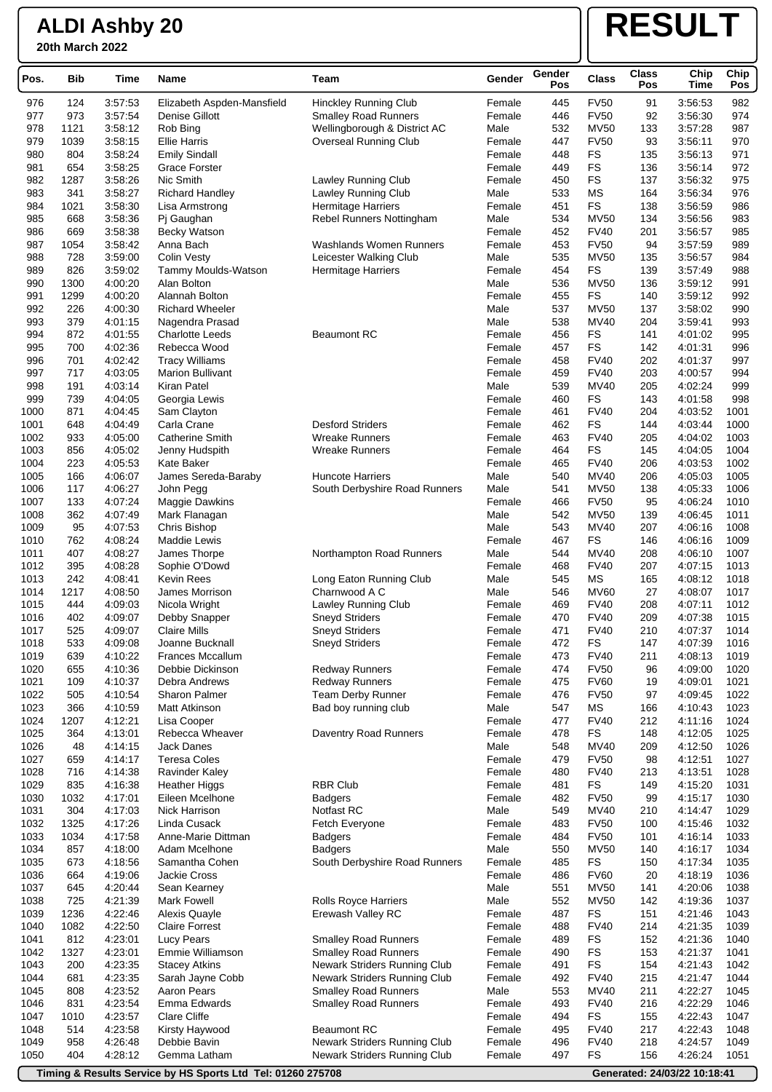**20th March 2022**

### **RESULT**

| Pos.         | <b>Bib</b> | Time               | <b>Name</b>                     | Team                                                       | Gender           | Gender<br>Pos | <b>Class</b>             | <b>Class</b><br>Pos | Chip<br><b>Time</b> | Chip<br>Pos  |
|--------------|------------|--------------------|---------------------------------|------------------------------------------------------------|------------------|---------------|--------------------------|---------------------|---------------------|--------------|
| 976          | 124        | 3:57:53            | Elizabeth Aspden-Mansfield      | Hinckley Running Club                                      | Female           | 445           | <b>FV50</b>              | 91                  | 3:56:53             | 982          |
| 977          | 973        | 3:57:54            | Denise Gillott                  | <b>Smalley Road Runners</b>                                | Female           | 446           | <b>FV50</b>              | 92                  | 3:56:30             | 974          |
| 978          | 1121       | 3:58:12            | Rob Bing                        | Wellingborough & District AC                               | Male             | 532           | <b>MV50</b>              | 133                 | 3:57:28             | 987          |
| 979          | 1039       | 3:58:15            | <b>Ellie Harris</b>             | Overseal Running Club                                      | Female           | 447           | <b>FV50</b>              | 93                  | 3:56:11             | 970          |
| 980          | 804        | 3:58:24            | <b>Emily Sindall</b>            |                                                            | Female           | 448           | <b>FS</b>                | 135                 | 3:56:13             | 971          |
| 981          | 654        | 3:58:25            | <b>Grace Forster</b>            |                                                            | Female           | 449           | <b>FS</b>                | 136                 | 3:56:14             | 972          |
| 982          | 1287       | 3:58:26            | Nic Smith                       | Lawley Running Club                                        | Female           | 450           | FS                       | 137                 | 3:56:32             | 975          |
| 983          | 341        | 3:58:27            | <b>Richard Handley</b>          | Lawley Running Club                                        | Male             | 533           | ΜS                       | 164                 | 3:56:34             | 976          |
| 984          | 1021       | 3:58:30            | Lisa Armstrong                  | Hermitage Harriers                                         | Female           | 451           | FS                       | 138                 | 3.56.59             | 986          |
| 985          | 668        | 3:58:36            | Pj Gaughan                      | Rebel Runners Nottingham                                   | Male             | 534           | <b>MV50</b>              | 134                 | 3:56:56             | 983          |
| 986          | 669        | 3:58:38            | <b>Becky Watson</b>             |                                                            | Female           | 452           | <b>FV40</b>              | 201                 | 3:56:57             | 985          |
| 987          | 1054       | 3:58:42            | Anna Bach                       | Washlands Women Runners                                    | Female           | 453           | <b>FV50</b>              | 94                  | 3:57:59             | 989          |
| 988          | 728        | 3:59:00            | <b>Colin Vesty</b>              | Leicester Walking Club                                     | Male             | 535           | <b>MV50</b>              | 135                 | 3:56:57             | 984          |
| 989          | 826        | 3:59:02            | Tammy Moulds-Watson             | <b>Hermitage Harriers</b>                                  | Female           | 454           | <b>FS</b>                | 139                 | 3.57.49             | 988          |
| 990          | 1300       | 4:00:20            | Alan Bolton                     |                                                            | Male             | 536           | <b>MV50</b>              | 136                 | 3:59:12             | 991          |
| 991          | 1299       | 4:00:20            | Alannah Bolton                  |                                                            | Female           | 455           | <b>FS</b>                | 140                 | 3:59:12             | 992          |
| 992          | 226        | 4:00:30            | <b>Richard Wheeler</b>          |                                                            | Male             | 537           | <b>MV50</b>              | 137                 | 3:58:02             | 990          |
| 993          | 379        | 4:01:15            | Nagendra Prasad                 |                                                            | Male             | 538           | MV40                     | 204                 | 3:59:41             | 993          |
| 994          | 872        | 4:01:55            | <b>Charlotte Leeds</b>          | <b>Beaumont RC</b>                                         | Female           | 456           | <b>FS</b>                | 141                 | 4:01:02             | 995          |
| 995          | 700        | 4:02:36            | Rebecca Wood                    |                                                            | Female           | 457           | FS                       | 142                 | 4:01:31             | 996          |
| 996          | 701        | 4:02:42            | <b>Tracy Williams</b>           |                                                            | Female           | 458           | <b>FV40</b>              | 202                 | 4:01:37             | 997          |
| 997          | 717        | 4:03:05            | <b>Marion Bullivant</b>         |                                                            | Female           | 459           | <b>FV40</b>              | 203                 | 4:00:57             | 994          |
| 998          | 191        | 4:03:14            | Kiran Patel                     |                                                            | Male             | 539           | MV40<br><b>FS</b>        | 205                 | 4:02:24             | 999          |
| 999          | 739        | 4:04:05            | Georgia Lewis                   |                                                            | Female           | 460           | <b>FV40</b>              | 143                 | 4:01:58             | 998          |
| 1000<br>1001 | 871<br>648 | 4:04:45<br>4:04:49 | Sam Clayton<br>Carla Crane      | <b>Desford Striders</b>                                    | Female           | 461<br>462    | <b>FS</b>                | 204                 | 4:03:52<br>4:03:44  | 1001<br>1000 |
|              | 933        | 4:05:00            | <b>Catherine Smith</b>          | <b>Wreake Runners</b>                                      | Female           | 463           | <b>FV40</b>              | 144                 | 4:04:02             | 1003         |
| 1002<br>1003 | 856        | 4:05:02            | Jenny Hudspith                  | <b>Wreake Runners</b>                                      | Female<br>Female | 464           | FS                       | 205<br>145          | 4:04:05             | 1004         |
| 1004         | 223        | 4:05:53            | Kate Baker                      |                                                            | Female           | 465           | <b>FV40</b>              | 206                 | 4:03:53             | 1002         |
| 1005         | 166        | 4:06:07            | James Sereda-Baraby             | <b>Huncote Harriers</b>                                    | Male             | 540           | MV40                     | 206                 | 4:05:03             | 1005         |
| 1006         | 117        | 4:06:27            | John Pegg                       | South Derbyshire Road Runners                              | Male             | 541           | <b>MV50</b>              | 138                 | 4:05:33             | 1006         |
| 1007         | 133        | 4:07:24            | Maggie Dawkins                  |                                                            | Female           | 466           | <b>FV50</b>              | 95                  | 4:06:24             | 1010         |
| 1008         | 362        | 4:07:49            | Mark Flanagan                   |                                                            | Male             | 542           | <b>MV50</b>              | 139                 | 4:06:45             | 1011         |
| 1009         | 95         | 4:07:53            | Chris Bishop                    |                                                            | Male             | 543           | MV40                     | 207                 | 4:06:16             | 1008         |
| 1010         | 762        | 4:08:24            | Maddie Lewis                    |                                                            | Female           | 467           | <b>FS</b>                | 146                 | 4:06:16             | 1009         |
| 1011         | 407        | 4:08:27            | James Thorpe                    | Northampton Road Runners                                   | Male             | 544           | MV40                     | 208                 | 4:06:10             | 1007         |
| 1012         | 395        | 4:08:28            | Sophie O'Dowd                   |                                                            | Female           | 468           | <b>FV40</b>              | 207                 | 4:07:15             | 1013         |
| 1013         | 242        | 4:08:41            | <b>Kevin Rees</b>               | Long Eaton Running Club                                    | Male             | 545           | <b>MS</b>                | 165                 | 4:08:12             | 1018         |
| 1014         | 1217       | 4:08:50            | James Morrison                  | Charnwood A C                                              | Male             | 546           | <b>MV60</b>              | 27                  | 4:08:07             | 1017         |
| 1015         | 444        | 4:09:03            | Nicola Wright                   | Lawley Running Club                                        | Female           | 469           | <b>FV40</b>              | 208                 | 4:07:11             | 1012         |
| 1016         | 402        | 4:09:07            | Debby Snapper                   | <b>Sneyd Striders</b>                                      | Female           | 470           | <b>FV40</b>              | 209                 | 4:07:38             | 1015         |
| 1017         | 525        | 4:09:07            | <b>Claire Mills</b>             | <b>Sneyd Striders</b>                                      | Female           | 471           | <b>FV40</b>              | 210                 | 4:07:37             | 1014         |
| 1018         | 533        | 4:09:08            | Joanne Bucknall                 | <b>Sneyd Striders</b>                                      | Female           | 472           | <b>FS</b>                | 147                 | 4:07:39             | 1016         |
| 1019         | 639        | 4:10:22            | <b>Frances Mccallum</b>         |                                                            | Female           | 473           | <b>FV40</b>              | 211                 | 4:08:13             | 1019         |
| 1020         | 655        | 4:10:36            | Debbie Dickinson                | <b>Redway Runners</b>                                      | Female           | 474           | <b>FV50</b>              | 96                  | 4:09:00             | 1020         |
| 1021         | 109        | 4:10:37            | Debra Andrews                   | <b>Redway Runners</b>                                      | Female           | 475           | <b>FV60</b>              | 19                  | 4:09:01             | 1021         |
| 1022         | 505        | 4:10:54            | <b>Sharon Palmer</b>            | <b>Team Derby Runner</b>                                   | Female           | 476           | <b>FV50</b>              | 97                  | 4:09:45             | 1022         |
| 1023         | 366        | 4:10:59            | <b>Matt Atkinson</b>            | Bad boy running club                                       | Male             | 547           | МS                       | 166                 | 4:10:43             | 1023         |
| 1024         | 1207       | 4:12:21            | Lisa Cooper                     |                                                            | Female           | 477           | <b>FV40</b>              | 212                 | 4:11:16             | 1024         |
| 1025         | 364        | 4:13:01            | Rebecca Wheaver                 | Daventry Road Runners                                      | Female           | 478           | <b>FS</b>                | 148                 | 4:12:05             | 1025         |
| 1026         | 48         | 4:14:15            | <b>Jack Danes</b>               |                                                            | Male             | 548           | MV40                     | 209                 | 4:12:50             | 1026         |
| 1027         | 659        | 4:14:17            | <b>Teresa Coles</b>             |                                                            | Female           | 479           | <b>FV50</b>              | 98                  | 4:12:51             | 1027         |
| 1028         | 716        | 4:14:38            | <b>Ravinder Kaley</b>           |                                                            | Female           | 480           | <b>FV40</b>              | 213                 | 4:13:51             | 1028         |
| 1029         | 835        | 4:16:38            | <b>Heather Higgs</b>            | <b>RBR Club</b>                                            | Female           | 481           | FS                       | 149                 | 4:15:20             | 1031         |
| 1030         | 1032       | 4:17:01            | Eileen Mcelhone                 | <b>Badgers</b>                                             | Female           | 482           | <b>FV50</b>              | 99                  | 4:15:17             | 1030         |
| 1031         | 304        | 4:17:03            | Nick Harrison                   | Notfast RC                                                 | Male             | 549           | MV40                     | 210                 | 4:14:47             | 1029         |
| 1032         | 1325       | 4:17:26            | Linda Cusack                    | Fetch Everyone                                             | Female           | 483           | <b>FV50</b>              | 100                 | 4:15:46             | 1032         |
| 1033         | 1034       | 4:17:58            | Anne-Marie Dittman              | <b>Badgers</b>                                             | Female           | 484           | <b>FV50</b>              | 101                 | 4:16:14             | 1033         |
| 1034         | 857        | 4:18:00            | Adam Mcelhone                   | <b>Badgers</b>                                             | Male             | 550           | <b>MV50</b>              | 140                 | 4:16:17             | 1034         |
| 1035         | 673        | 4:18:56            | Samantha Cohen                  | South Derbyshire Road Runners                              | Female           | 485           | <b>FS</b>                | 150                 | 4:17:34             | 1035         |
| 1036         | 664        | 4:19:06            | Jackie Cross                    |                                                            | Female           | 486           | <b>FV60</b>              | 20                  | 4:18:19             | 1036         |
| 1037         | 645        | 4:20:44            | Sean Kearney                    |                                                            | Male             | 551           | <b>MV50</b>              | 141                 | 4:20:06             | 1038         |
| 1038         | 725        | 4:21:39            | Mark Fowell                     | Rolls Royce Harriers                                       | Male             | 552           | <b>MV50</b>              | 142                 | 4:19:36             | 1037         |
| 1039         | 1236       | 4:22:46            | Alexis Quayle                   | Erewash Valley RC                                          | Female           | 487           | FS                       | 151                 | 4:21:46             | 1043         |
| 1040         | 1082       | 4:22:50            | <b>Claire Forrest</b>           |                                                            | Female           | 488           | <b>FV40</b>              | 214                 | 4:21:35             | 1039         |
| 1041         | 812        | 4:23:01            | Lucy Pears                      | <b>Smalley Road Runners</b>                                | Female           | 489           | FS                       | 152                 | 4:21:36             | 1040         |
| 1042         | 1327       | 4:23:01            | Emmie Williamson                | <b>Smalley Road Runners</b>                                | Female           | 490           | FS                       | 153                 | 4:21:37             | 1041         |
| 1043         | 200<br>681 | 4:23:35            | <b>Stacey Atkins</b>            | Newark Striders Running Club                               | Female           | 491           | <b>FS</b><br><b>FV40</b> | 154<br>215          | 4:21:43             | 1042<br>1044 |
| 1044<br>1045 | 808        | 4:23:35<br>4:23:52 | Sarah Jayne Cobb<br>Aaron Pears | Newark Striders Running Club                               | Female<br>Male   | 492<br>553    | MV40                     | 211                 | 4:21:47<br>4:22:27  | 1045         |
| 1046         | 831        | 4:23:54            | Emma Edwards                    | <b>Smalley Road Runners</b><br><b>Smalley Road Runners</b> | Female           | 493           | <b>FV40</b>              | 216                 | 4:22:29             | 1046         |
| 1047         | 1010       | 4:23:57            | Clare Cliffe                    |                                                            | Female           | 494           | FS                       | 155                 | 4:22:43             | 1047         |
| 1048         | 514        | 4:23:58            | Kirsty Haywood                  | <b>Beaumont RC</b>                                         | Female           | 495           | <b>FV40</b>              | 217                 | 4:22:43             | 1048         |
| 1049         | 958        | 4:26:48            | Debbie Bavin                    | Newark Striders Running Club                               | Female           | 496           | <b>FV40</b>              | 218                 | 4.24.57             | 1049         |
| 1050         | 404        | 4:28:12            | Gemma Latham                    | Newark Striders Running Club                               | Female           | 497           | FS                       | 156                 | 4.26.24             | 1051         |
|              |            |                    |                                 |                                                            |                  |               |                          |                     |                     |              |